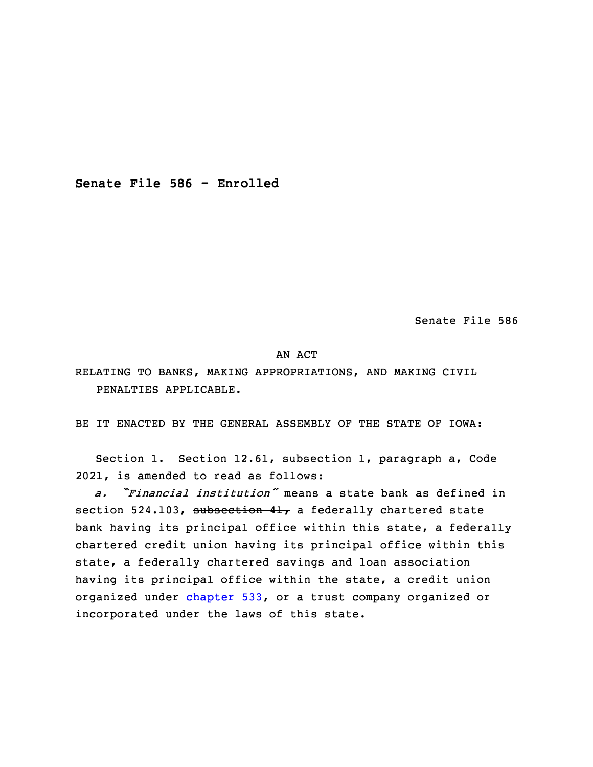**Senate File 586 - Enrolled**

Senate File 586

### AN ACT

RELATING TO BANKS, MAKING APPROPRIATIONS, AND MAKING CIVIL PENALTIES APPLICABLE.

BE IT ENACTED BY THE GENERAL ASSEMBLY OF THE STATE OF IOWA:

 Section 1. Section 12.61, subsection 1, paragraph a, Code 2021, is amended to read as follows:

3 *a. "Financial institution"* means <sup>a</sup> state bank as defined in section 524.103, subsection 41, a federally chartered state bank having its principal office within this state, a federally chartered credit union having its principal office within this state, a federally chartered savings and loan association having its principal office within the state, a credit union organized under [chapter](https://www.legis.iowa.gov/docs/code/2022/533.pdf) 533, or a trust company organized or incorporated under the laws of this state.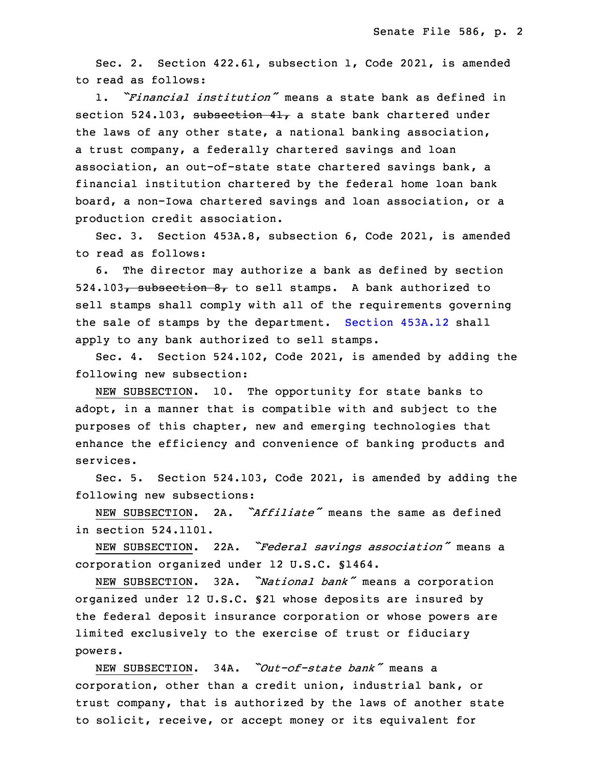Sec. 2. Section 422.61, subsection 1, Code 2021, is amended to read as follows:

13 1. *"Financial institution"* means <sup>a</sup> state bank as defined in section 524.103, subsection 41, a state bank chartered under the laws of any other state, a national banking association, a trust company, a federally chartered savings and loan association, an out-of-state state chartered savings bank, a financial institution chartered by the federal home loan bank board, a non-Iowa chartered savings and loan association, or a production credit association.

 Sec. 3. Section 453A.8, subsection 6, Code 2021, is amended to read as follows:

6. The director may authorize a bank as defined by section 524.103, subsection  $8<sub>r</sub>$  to sell stamps. A bank authorized to sell stamps shall comply with all of the requirements governing the sale of stamps by the department. [Section](https://www.legis.iowa.gov/docs/code/2022/453A.12.pdf) 453A.12 shall apply to any bank authorized to sell stamps.

Sec. 4. Section 524.102, Code 2021, is amended by adding the following new subsection:

NEW SUBSECTION. 10. The opportunity for state banks to adopt, in a manner that is compatible with and subject to the purposes of this chapter, new and emerging technologies that enhance the efficiency and convenience of banking products and services.

Sec. 5. Section 524.103, Code 2021, is amended by adding the following new subsections:

 NEW SUBSECTION. 2A. *"Affiliate"* means the same as defined 3 in section 524.1101.

 NEW SUBSECTION. 22A. *"Federal savings association"* means <sup>a</sup> 5 corporation organized under 12 U.S.C. §1464.

<sup>6</sup> NEW SUBSECTION. 32A. *"National bank"* means <sup>a</sup> corporation organized under 12 U.S.C. §21 whose deposits are insured by the federal deposit insurance corporation or whose powers are limited exclusively to the exercise of trust or fiduciary powers.

 NEW SUBSECTION. 34A. *"Out-of-state bank"* means <sup>a</sup> corporation, other than <sup>a</sup> credit union, industrial bank, or trust company, that is authorized by the laws of another state to solicit, receive, or accept money or its equivalent for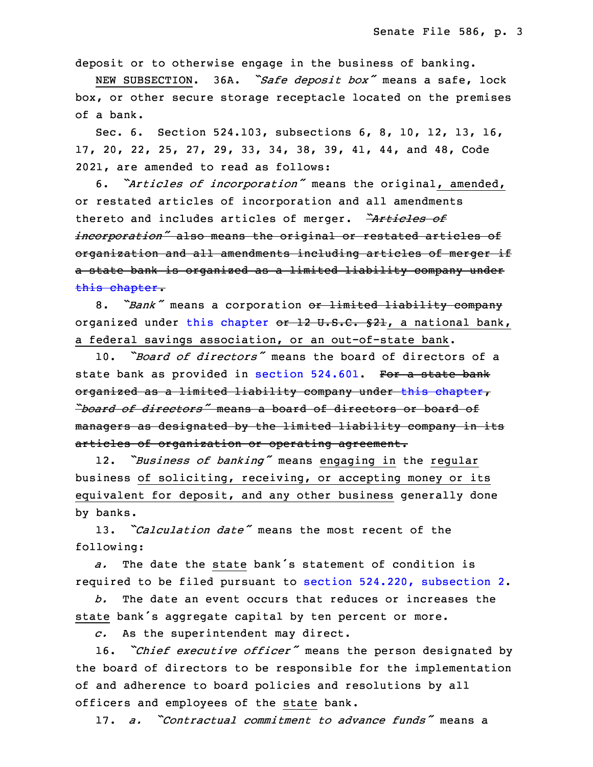deposit or to otherwise engage in the business of banking.

<sup>16</sup> NEW SUBSECTION. 36A. *"Safe deposit box"* means <sup>a</sup> safe, lock box, or other secure storage receptacle located on the premises of a bank.

Sec. 6. Section 524.103, subsections 6, 8, 10, 12, 13, 16, 20 17, 20, 22, 25, 27, 29, 33, 34, 38, 39, 41, 44, and 48, Code 2021, are amended to read as follows:

 6. *"Articles of incorporation"* means the original, amended, or restated articles of incorporation and all amendments thereto and includes articles of merger. *"Articles of* incorporation" also means the original or restated articles of organization and all amendments including articles of merger if a state bank is organized as a limited liability company under this [chapter](https://www.legis.iowa.gov/docs/code/2022/524.pdf).

8. *"Bank"* means a corporation or limited liability company organized under this [chapter](https://www.legis.iowa.gov/docs/code/2022/524.pdf) or 12 U.S.C. §21, a national bank, a federal savings association, or an out-of-state bank.

32 10. *"Board of directors"* means the board of directors of <sup>a</sup> state bank as provided in section [524.601](https://www.legis.iowa.gov/docs/code/2022/524.601.pdf). For a state bank organized as a limited liability company under this [chapter](https://www.legis.iowa.gov/docs/code/2022/524.pdf), 35 *"board of directors"* means <sup>a</sup> board of directors or board of managers as designated by the limited liability company in its articles of organization or operating agreement.

<sup>3</sup> 12. *"Business of banking"* means engaging in the regular business of soliciting, receiving, or accepting money or its equivalent for deposit, and any other business generally done by banks.

7 13. *"Calculation date"* means the most recent of the following:

a. The date the state bank's statement of condition is required to be filed pursuant to section 524.220, [subsection](https://www.legis.iowa.gov/docs/code/2022/524.220.pdf) 2.

 *b.* The date an event occurs that reduces or increases the state bank's aggregate capital by ten percent or more.

c. As the superintendent may direct.

 16. *"Chief executive officer"* means the person designated by the board of directors to be responsible for the implementation of and adherence to board policies and resolutions by all officers and employees of the state bank.

18 17. *a. "Contractual commitment to advance funds"* means <sup>a</sup>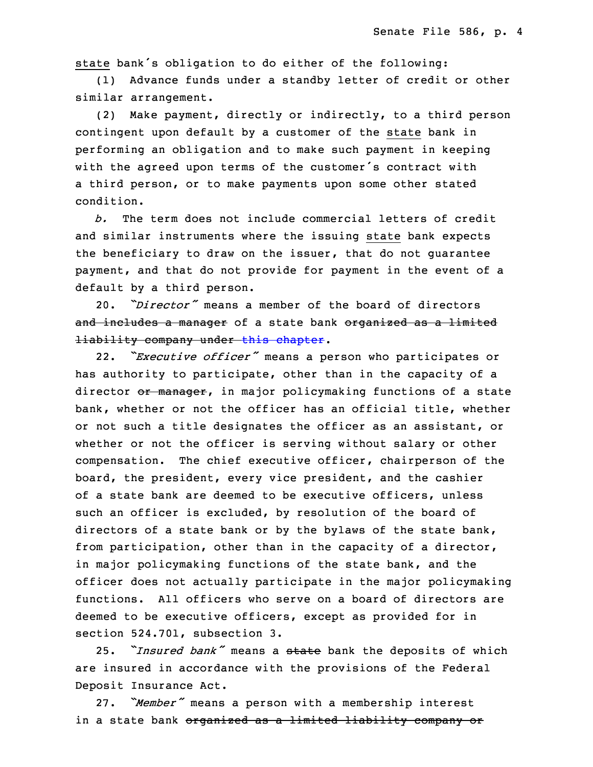state bank's obligation to do either of the following:

(1) Advance funds under a standby letter of credit or other similar arrangement.

 (2) Make payment, directly or indirectly, to <sup>a</sup> third person contingent upon default by a customer of the state bank in performing an obligation and to make such payment in keeping with the agreed upon terms of the customer's contract with a third person, or to make payments upon some other stated condition.

28 *b.* The term does not include commercial letters of credit and similar instruments where the issuing state bank expects the beneficiary to draw on the issuer, that do not quarantee payment, and that do not provide for payment in the event of a default by a third person.

33 20. *"Director"* means <sup>a</sup> member of the board of directors and includes a manager of a state bank organized as a limited liability company under this [chapter](https://www.legis.iowa.gov/docs/code/2022/524.pdf).

 22. *"Executive officer"* means <sup>a</sup> person who participates or has authority to participate, other than in the capacity of <sup>a</sup> director or manager, in major policymaking functions of a state bank, whether or not the officer has an official title, whether or not such a title designates the officer as an assistant, or whether or not the officer is serving without salary or other compensation. The chief executive officer, chairperson of the board, the president, every vice president, and the cashier of a state bank are deemed to be executive officers, unless such an officer is excluded, by resolution of the board of directors of <sup>a</sup> state bank or by the bylaws of the state bank, from participation, other than in the capacity of <sup>a</sup> director, in major policymaking functions of the state bank, and the officer does not actually participate in the major policymaking functions. All officers who serve on a board of directors are deemed to be executive officers, except as provided for in section 524.701, subsection 3.

<sup>18</sup> 25. *"Insured bank"* means <sup>a</sup> state bank the deposits of which are insured in accordance with the provisions of the Federal Deposit Insurance Act.

 27. *"Member"* means <sup>a</sup> person with <sup>a</sup> membership interest in <sup>a</sup> state bank organized as <sup>a</sup> limited liability company or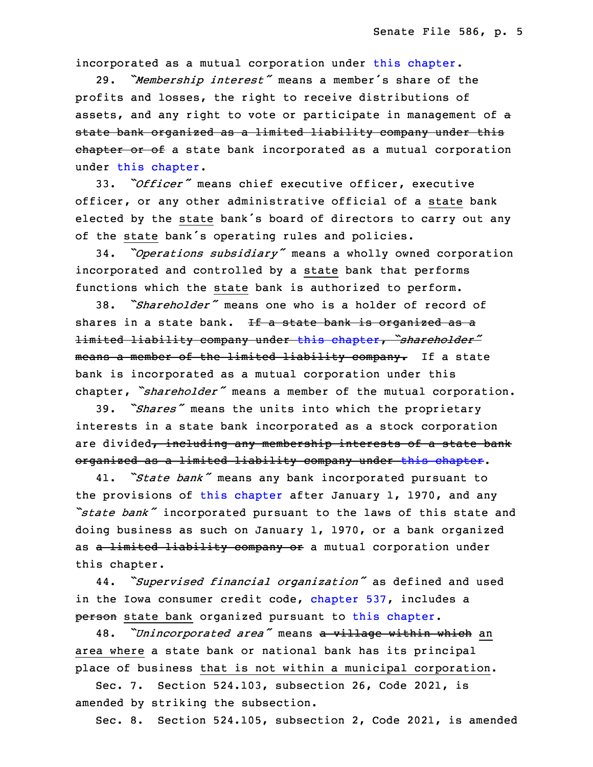incorporated as a mutual corporation under this [chapter](https://www.legis.iowa.gov/docs/code/2022/524.pdf).

 29. *"Membership interest"* means <sup>a</sup> member's share of the profits and losses, the right to receive distributions of assets, and any right to vote or participate in management of a state bank organized as a limited liability company under this ehapter or of a state bank incorporated as a mutual corporation under this [chapter](https://www.legis.iowa.gov/docs/code/2022/524.pdf).

33. *"Officer"* means chief executive officer, executive officer, or any other administrative official of a state bank elected by the state bank's board of directors to carry out any of the state bank's operating rules and policies.

<sup>34</sup> 34. *"Operations subsidiary"* means <sup>a</sup> wholly owned corporation incorporated and controlled by a state bank that performs functions which the state bank is authorized to perform.

 38. *"Shareholder"* means one who is <sup>a</sup> holder of record of shares in a state bank. If a state bank is organized as a limited liability company under this [chapter](https://www.legis.iowa.gov/docs/code/2022/524.pdf), *"shareholder"* means a member of the limited liability company. If a state bank is incorporated as a mutual corporation under this chapter, "shareholder" means a member of the mutual corporation.

<sup>8</sup> 39. *"Shares"* means the units into which the proprietary interests in a state bank incorporated as a stock corporation are divided, including any membership interests of a state bank organized as <sup>a</sup> limited liability company under this [chapter](https://www.legis.iowa.gov/docs/code/2022/524.pdf).

 41. *"State bank"* means any bank incorporated pursuant to the provisions of this [chapter](https://www.legis.iowa.gov/docs/code/2022/524.pdf) after January 1, 1970, and any *"state bank"* incorporated pursuant to the laws of this state and doing business as such on January  $1$ , 1970, or a bank organized as a limited liability company or a mutual corporation under this chapter.

<sup>18</sup> 44. *"Supervised financial organization"* as defined and used in the Iowa consumer credit code, [chapter](https://www.legis.iowa.gov/docs/code/2022/537.pdf) 537, includes a person state bank organized pursuant to this [chapter](https://www.legis.iowa.gov/docs/code/2022/524.pdf).

 48. *"Unincorporated area"* means <sup>a</sup> village within which an area where <sup>a</sup> state bank or national bank has its principal place of business that is not within a municipal corporation.

 Sec. 7. Section 524.103, subsection 26, Code 2021, is amended by striking the subsection.

Sec. 8. Section 524.105, subsection 2, Code 2021, is amended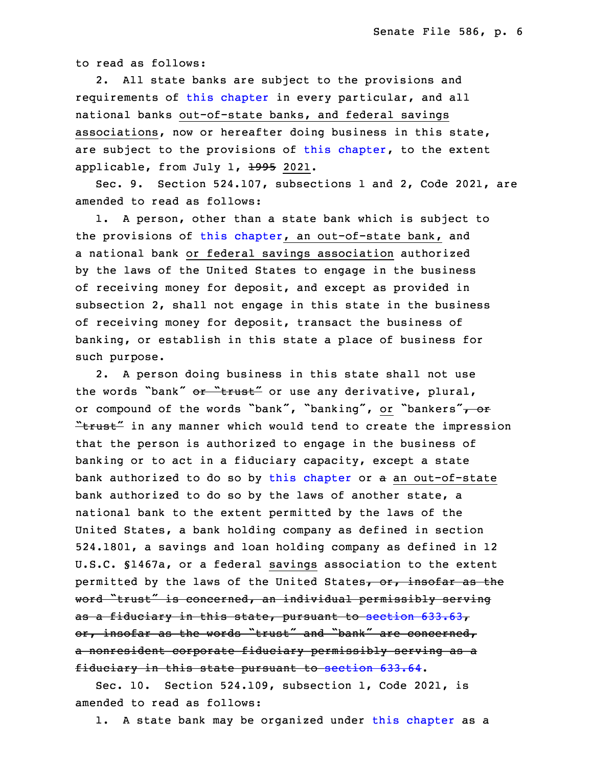to read as follows:

2. All state banks are subject to the provisions and requirements of this [chapter](https://www.legis.iowa.gov/docs/code/2022/524.pdf) in every particular, and all national banks out-of-state banks, and federal savings associations, now or hereafter doing business in this state, are subject to the provisions of this [chapter](https://www.legis.iowa.gov/docs/code/2022/524.pdf), to the extent applicable, from July 1,  $\frac{1995}{2021}$ .

Sec. 9. Section 524.107, subsections 1 and 2, Code 2021, are amended to read as follows:

 1. <sup>A</sup> person, other than <sup>a</sup> state bank which is subject to the provisions of this [chapter](https://www.legis.iowa.gov/docs/code/2022/524.pdf), an out-of-state bank, and a national bank or federal savings association authorized by the laws of the United States to engage in the business of receiving money for deposit, and except as provided in subsection 2, shall not engage in this state in the business of receiving money for deposit, transact the business of banking, or establish in this state a place of business for such purpose.

2. A person doing business in this state shall not use the words "bank" or "trust" or use any derivative, plural, or compound of the words "bank", "banking", or "bankers", or "trust" in any manner which would tend to create the impression that the person is authorized to engage in the business of banking or to act in a fiduciary capacity, except a state bank authorized to do so by this [chapter](https://www.legis.iowa.gov/docs/code/2022/524.pdf) or a an out-of-state bank authorized to do so by the laws of another state, a national bank to the extent permitted by the laws of the United States, a bank holding company as defined in section 524.1801, a savings and loan holding company as defined in 12 U.S.C. §1467a, or <sup>a</sup> federal savings association to the extent permitted by the laws of the United States, or, insofar as the word "trust" is concerned, an individual permissibly serving as <sup>a</sup> fiduciary in this state, pursuant to [section](https://www.legis.iowa.gov/docs/code/2022/633.63.pdf) 633.63, or, insofar as the words "trust" and "bank" are concerned, a nonresident corporate fiduciary permissibly serving as a fiduciary in this state pursuant to [section](https://www.legis.iowa.gov/docs/code/2022/633.64.pdf) 633.64.

Sec. 10. Section 524.109, subsection 1, Code 2021, is amended to read as follows:

1. A state bank may be organized under this [chapter](https://www.legis.iowa.gov/docs/code/2022/524.pdf) as a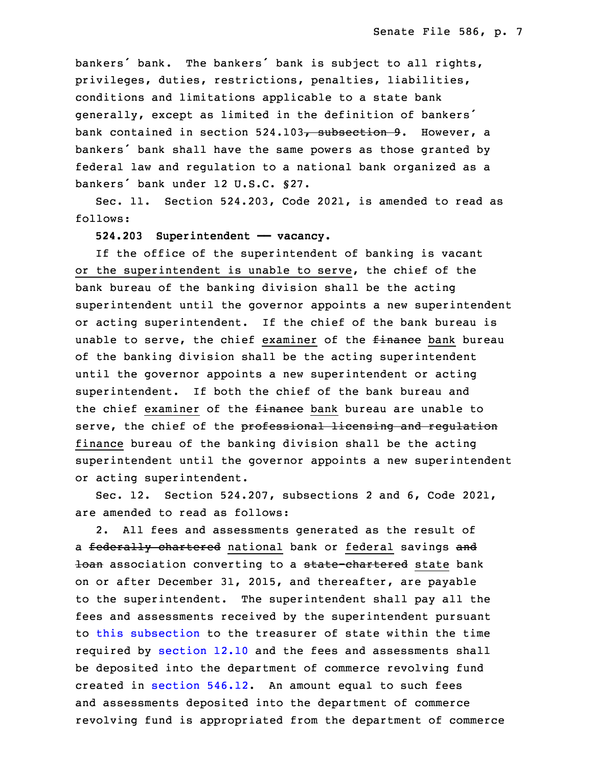bankers' bank. The bankers' bank is subject to all rights, privileges, duties, restrictions, penalties, liabilities, conditions and limitations applicable to a state bank generally, except as limited in the definition of bankers' bank contained in section  $524.103$ , subsection 9. However, a bankers' bank shall have the same powers as those granted by federal law and regulation to <sup>a</sup> national bank organized as <sup>a</sup> bankers' bank under 12 U.S.C. §27.

 Sec. 11. Section 524.203, Code 2021, is amended to read as 5 follows:

6 **524.203 Superintendent —— vacancy.**

If the office of the superintendent of banking is vacant or the superintendent is unable to serve, the chief of the bank bureau of the banking division shall be the acting superintendent until the governor appoints a new superintendent or acting superintendent. If the chief of the bank bureau is unable to serve, the chief examiner of the finance bank bureau of the banking division shall be the acting superintendent until the governor appoints <sup>a</sup> new superintendent or acting superintendent. If both the chief of the bank bureau and the chief examiner of the *finance* bank bureau are unable to serve, the chief of the professional licensing and regulation finance bureau of the banking division shall be the acting superintendent until the governor appoints a new superintendent or acting superintendent.

 Sec. 12. Section 524.207, subsections 2 and 6, Code 2021, are amended to read as follows:

2. All fees and assessments generated as the result of a federally chartered national bank or federal savings and 10an association converting to a state-chartered state bank 26 on or after December 31, 2015, and thereafter, are payable to the superintendent. The superintendent shall pay all the fees and assessments received by the superintendent pursuant to this [subsection](https://www.legis.iowa.gov/docs/code/2022/524.207.pdf) to the treasurer of state within the time required by [section](https://www.legis.iowa.gov/docs/code/2022/12.10.pdf) 12.10 and the fees and assessments shall be deposited into the department of commerce revolving fund created in [section](https://www.legis.iowa.gov/docs/code/2022/546.12.pdf)  $546.12$ . An amount equal to such fees and assessments deposited into the department of commerce revolving fund is appropriated from the department of commerce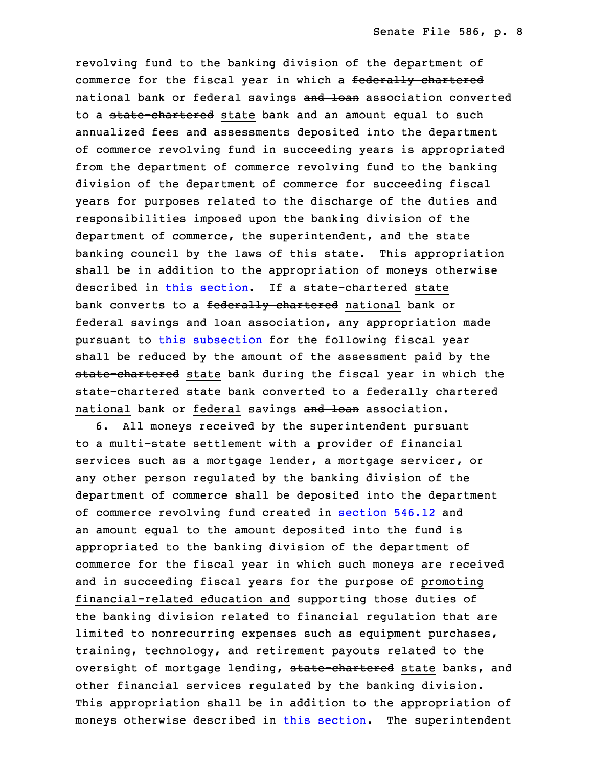revolving fund to the banking division of the department of commerce for the fiscal year in which <sup>a</sup> federally chartered national bank or federal savings and loan association converted to a state-chartered state bank and an amount equal to such annualized fees and assessments deposited into the department of commerce revolving fund in succeeding years is appropriated from the department of commerce revolving fund to the banking division of the department of commerce for succeeding fiscal years for purposes related to the discharge of the duties and responsibilities imposed upon the banking division of the department of commerce, the superintendent, and the state banking council by the laws of this state. This appropriation shall be in addition to the appropriation of moneys otherwise described in this [section](https://www.legis.iowa.gov/docs/code/2022/524.207.pdf). If a state-chartered state bank converts to a federally chartered national bank or federal savings and loan association, any appropriation made pursuant to this [subsection](https://www.legis.iowa.gov/docs/code/2022/524.207.pdf) for the following fiscal year shall be reduced by the amount of the assessment paid by the state-chartered state bank during the fiscal year in which the state-chartered state bank converted to a federally chartered national bank or federal savings and loan association.

 6. All moneys received by the superintendent pursuant to <sup>a</sup> multi-state settlement with <sup>a</sup> provider of financial services such as a mortgage lender, a mortgage servicer, or any other person regulated by the banking division of the department of commerce shall be deposited into the department of commerce revolving fund created in [section](https://www.legis.iowa.gov/docs/code/2022/546.12.pdf) 546.12 and an amount equal to the amount deposited into the fund is appropriated to the banking division of the department of commerce for the fiscal year in which such moneys are received and in succeeding fiscal years for the purpose of promoting financial-related education and supporting those duties of the banking division related to financial regulation that are limited to nonrecurring expenses such as equipment purchases, training, technology, and retirement payouts related to the oversight of mortgage lending, state-chartered state banks, and other financial services regulated by the banking division. This appropriation shall be in addition to the appropriation of moneys otherwise described in this [section](https://www.legis.iowa.gov/docs/code/2022/524.207.pdf). The superintendent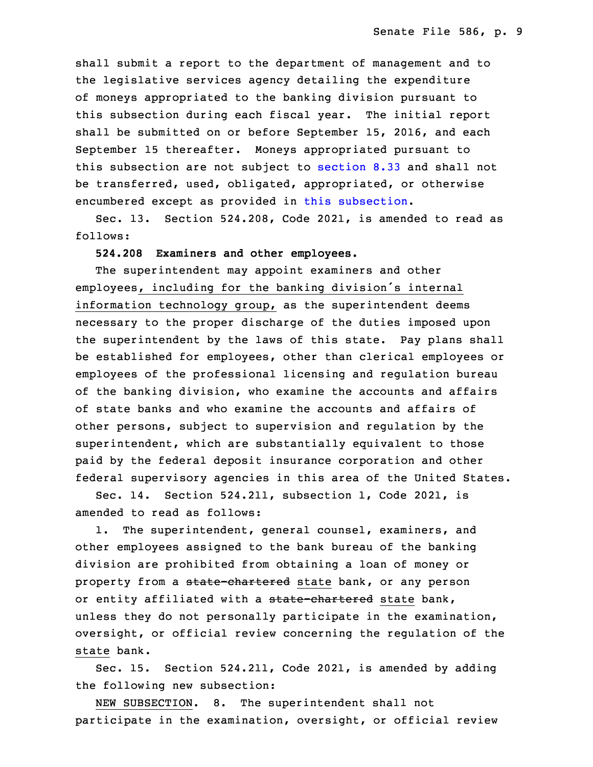shall submit <sup>a</sup> report to the department of management and to the legislative services agency detailing the expenditure 6 of moneys appropriated to the banking division pursuant to this subsection during each fiscal year. The initial report shall be submitted on or before September 15, 2016, and each September 15 thereafter. Moneys appropriated pursuant to this sub[section](https://www.legis.iowa.gov/docs/code/2022/8.33.pdf) are not subject to section 8.33 and shall not be transferred, used, obligated, appropriated, or otherwise encumbered except as provided in this [subsection](https://www.legis.iowa.gov/docs/code/2022/524.207.pdf).

Sec. 13. Section 524.208, Code 2021, is amended to read as follows:

15 **524.208 Examiners and other employees.**

The superintendent may appoint examiners and other employees, including for the banking division's internal information technology group, as the superintendent deems necessary to the proper discharge of the duties imposed upon the superintendent by the laws of this state. Pay plans shall be established for employees, other than clerical employees or employees of the professional licensing and regulation bureau of the banking division, who examine the accounts and affairs of state banks and who examine the accounts and affairs of other persons, subject to supervision and regulation by the superintendent, which are substantially equivalent to those paid by the federal deposit insurance corporation and other federal supervisory agencies in this area of the United States.

Sec. 14. Section 524.211, subsection 1, Code 2021, is amended to read as follows:

1. The superintendent, general counsel, examiners, and other employees assigned to the bank bureau of the banking division are prohibited from obtaining a loan of money or property from a state-chartered state bank, or any person or entity affiliated with a state-chartered state bank, unless they do not personally participate in the examination, oversight, or official review concerning the regulation of the state bank.

 Sec. 15. Section 524.211, Code 2021, is amended by adding the following new subsection:

NEW SUBSECTION. 8. The superintendent shall not participate in the examination, oversight, or official review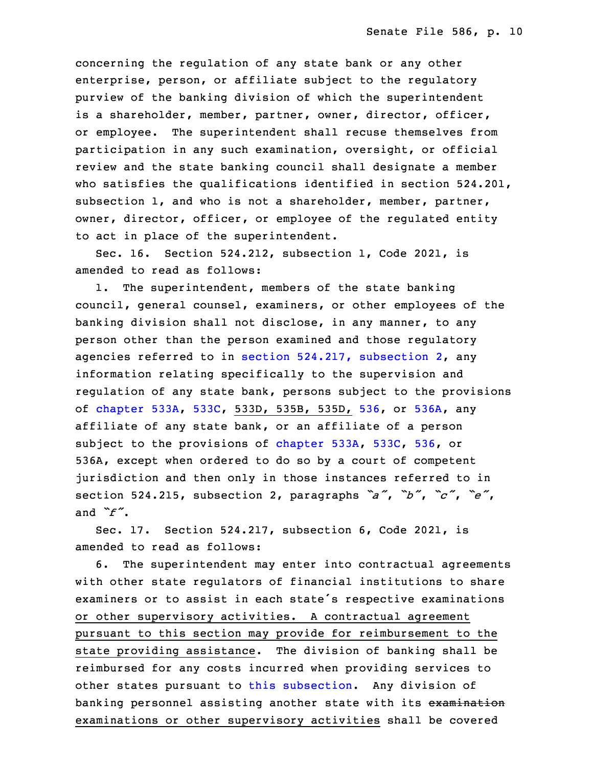concerning the regulation of any state bank or any other enterprise, person, or affiliate subject to the regulatory purview of the banking division of which the superintendent is <sup>a</sup> shareholder, member, partner, owner, director, officer, or employee. The superintendent shall recuse themselves from participation in any such examination, oversight, or official review and the state banking council shall designate <sup>a</sup> member who satisfies the qualifications identified in section  $524.201$ , subsection 1, and who is not a shareholder, member, partner, owner, director, officer, or employee of the requlated entity to act in place of the superintendent.

Sec. 16. Section  $524.212$ , subsection 1, Code 2021, is amended to read as follows:

 1. The superintendent, members of the state banking council, general counsel, examiners, or other employees of the banking division shall not disclose, in any manner, to any person other than the person examined and those regulatory agencies referred to in section  $524.217$ , [subsection](https://www.legis.iowa.gov/docs/code/2022/524.217.pdf)  $2$ , any information relating specifically to the supervision and regulation of any state bank, persons subject to the provisions of [chapter](https://www.legis.iowa.gov/docs/code/2022/533A.pdf) 533A, [533C](https://www.legis.iowa.gov/docs/code/2022/533C.pdf), 533D, 535B, 535D, [536](https://www.legis.iowa.gov/docs/code/2022/536.pdf), or [536A](https://www.legis.iowa.gov/docs/code/2022/536A.pdf), any affiliate of any state bank, or an affiliate of a person subject to the provisions of [chapter](https://www.legis.iowa.gov/docs/code/2022/533A.pdf) 533A, [533C](https://www.legis.iowa.gov/docs/code/2022/533C.pdf), [536](https://www.legis.iowa.gov/docs/code/2022/536.pdf), or 536A, except when ordered to do so by a court of competent jurisdiction and then only in those instances referred to in <sup>33</sup> section 524.215, subsection 2, paragraphs *"a"*, *"b"*, *"c"*, *"e"*, and  $\check{f}$ .

Sec. 17. Section 524.217, subsection 6, Code 2021, is amended to read as follows:

 6. The superintendent may enter into contractual agreements with other state requlators of financial institutions to share examiners or to assist in each state's respective examinations or other supervisory activities. A contractual agreement pursuant to this section may provide for reimbursement to the state providing assistance. The division of banking shall be reimbursed for any costs incurred when providing services to other states pursuant to this [subsection](https://www.legis.iowa.gov/docs/code/2022/524.217.pdf). Any division of banking personnel assisting another state with its examination examinations or other supervisory activities shall be covered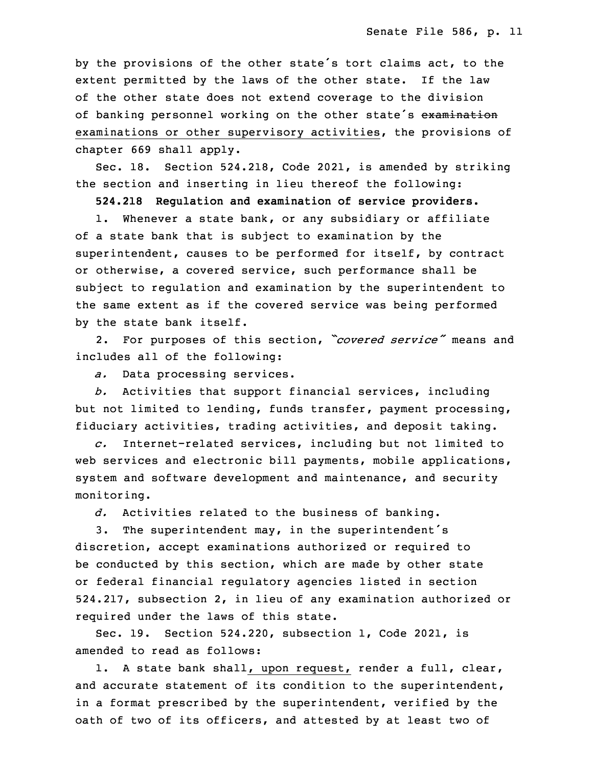by the provisions of the other state's tort claims act, to the extent permitted by the laws of the other state. If the law of the other state does not extend coverage to the division of banking personnel working on the other state's examination examinations or other supervisory activities, the provisions of chapter 669 shall apply.

Sec. 18. Section 524.218, Code 2021, is amended by striking the section and inserting in lieu thereof the following:

20 **524.218 Regulation and examination of service providers.**

 1. Whenever <sup>a</sup> state bank, or any subsidiary or affiliate of <sup>a</sup> state bank that is subject to examination by the superintendent, causes to be performed for itself, by contract or otherwise, <sup>a</sup> covered service, such performance shall be subject to regulation and examination by the superintendent to the same extent as if the covered service was being performed by the state bank itself.

<sup>28</sup> 2. For purposes of this section, *"covered service"* means and includes all of the following:

a. Data processing services.

31 *b.* Activities that support financial services, including but not limited to lending, funds transfer, payment processing, fiduciary activities, trading activities, and deposit taking.

34 *c.* Internet-related services, including but not limited to web services and electronic bill payments, mobile applications, system and software development and maintenance, and security monitoring.

d. Activities related to the business of banking.

 3. The superintendent may, in the superintendent's discretion, accept examinations authorized or required to be conducted by this section, which are made by other state or federal financial regulatory agencies listed in section 8 524.217, subsection 2, in lieu of any examination authorized or required under the laws of this state.

Sec. 19. Section 524.220, subsection 1, Code 2021, is amended to read as follows:

 1. <sup>A</sup> state bank shall, upon request, render <sup>a</sup> full, clear, and accurate statement of its condition to the superintendent, in <sup>a</sup> format prescribed by the superintendent, verified by the oath of two of its officers, and attested by at least two of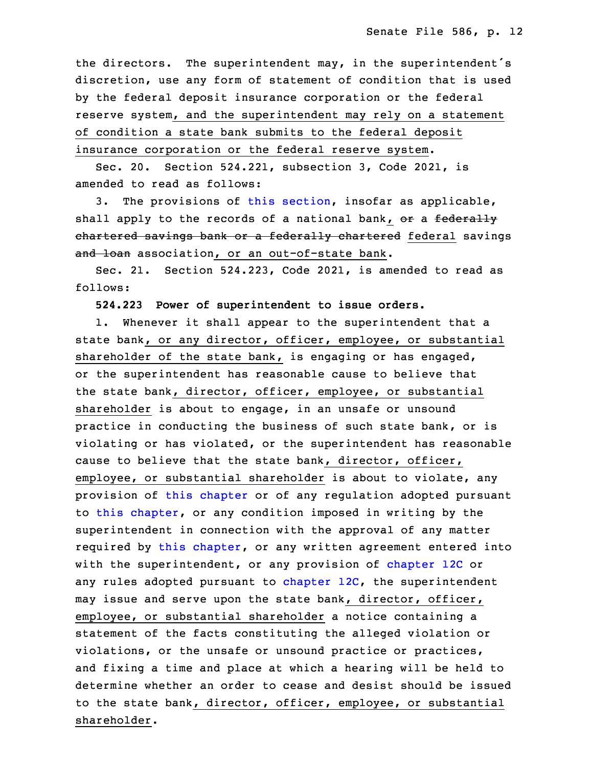the directors. The superintendent may, in the superintendent's discretion, use any form of statement of condition that is used by the federal deposit insurance corporation or the federal reserve system, and the superintendent may rely on a statement of condition a state bank submits to the federal deposit insurance corporation or the federal reserve system.

 Sec. 20. Section 524.221, subsection 3, Code 2021, is amended to read as follows:

 3. The provisions of this [section](https://www.legis.iowa.gov/docs/code/2022/524.221.pdf), insofar as applicable, shall apply to the records of a national bank, or a federally chartered savings bank or a federally chartered federal savings and loan association, or an out-of-state bank.

Sec. 21. Section 524.223, Code 2021, is amended to read as follows:

30 **524.223 Power of superintendent to issue orders.**

1. Whenever it shall appear to the superintendent that a state bank, or any director, officer, employee, or substantial shareholder of the state bank, is engaging or has engaged, or the superintendent has reasonable cause to believe that the state bank, director, officer, employee, or substantial shareholder is about to engage, in an unsafe or unsound practice in conducting the business of such state bank, or is violating or has violated, or the superintendent has reasonable cause to believe that the state bank, director, officer, employee, or substantial shareholder is about to violate, any provision of this [chapter](https://www.legis.iowa.gov/docs/code/2022/524.pdf) or of any regulation adopted pursuant 7 to this [chapter](https://www.legis.iowa.gov/docs/code/2022/524.pdf), or any condition imposed in writing by the superintendent in connection with the approval of any matter required by this [chapter](https://www.legis.iowa.gov/docs/code/2022/524.pdf), or any written agreement entered into with the superintendent, or any provision of [chapter](https://www.legis.iowa.gov/docs/code/2022/12C.pdf) 12C or any rules adopted pursuant to [chapter](https://www.legis.iowa.gov/docs/code/2022/12C.pdf) 12C, the superintendent may issue and serve upon the state bank, director, officer, employee, or substantial shareholder a notice containing a statement of the facts constituting the alleged violation or violations, or the unsafe or unsound practice or practices, and fixing a time and place at which a hearing will be held to determine whether an order to cease and desist should be issued to the state bank, director, officer, employee, or substantial shareholder.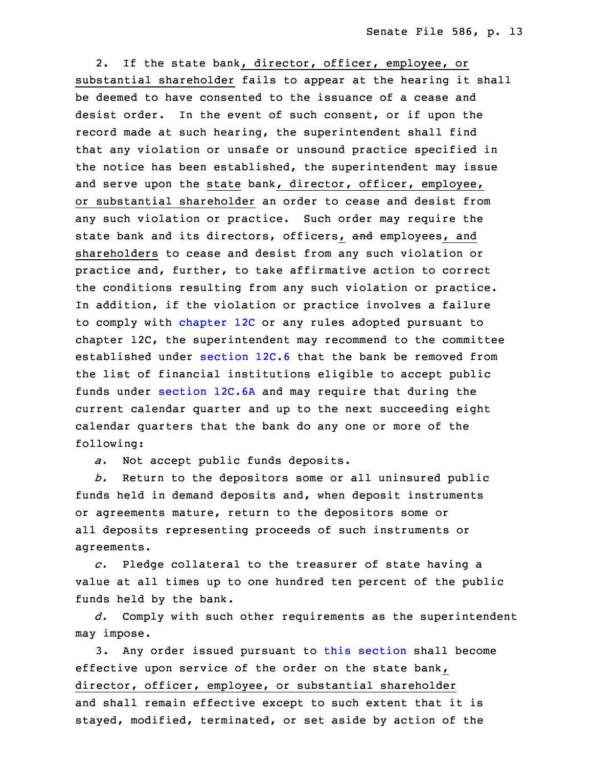2. If the state bank, director, officer, employee, or substantial shareholder fails to appear at the hearing it shall be deemed to have consented to the issuance of <sup>a</sup> cease and desist order. In the event of such consent, or if upon the record made at such hearing, the superintendent shall find that any violation or unsafe or unsound practice specified in the notice has been established, the superintendent may issue and serve upon the state bank, director, officer, employee, or substantial shareholder an order to cease and desist from any such violation or practice. Such order may require the state bank and its directors, officers, and employees, and shareholders to cease and desist from any such violation or practice and, further, to take affirmative action to correct the conditions resulting from any such violation or practice. In addition, if the violation or practice involves a failure to comply with [chapter](https://www.legis.iowa.gov/docs/code/2022/12C.pdf) 12C or any rules adopted pursuant to chapter 12C, the superintendent may recommend to the committee established under [section](https://www.legis.iowa.gov/docs/code/2022/12C.6.pdf) 12C.6 that the bank be removed from the list of financial institutions eligible to accept public funds under [section](https://www.legis.iowa.gov/docs/code/2022/12C.6A.pdf) 12C.6A and may require that during the current calendar quarter and up to the next succeeding eight calendar quarters that the bank do any one or more of the following:

a. Not accept public funds deposits.

9 *b.* Return to the depositors some or all uninsured public funds held in demand deposits and, when deposit instruments or agreements mature, return to the depositors some or all deposits representing proceeds of such instruments or agreements.

 *c.* Pledge collateral to the treasurer of state having <sup>a</sup> value at all times up to one hundred ten percent of the public funds held by the bank.

17 *d.* Comply with such other requirements as the superintendent may impose.

3. Any order issued pursuant to this [section](https://www.legis.iowa.gov/docs/code/2022/524.223.pdf) shall become effective upon service of the order on the state bank, director, officer, employee, or substantial shareholder and shall remain effective except to such extent that it is stayed, modified, terminated, or set aside by action of the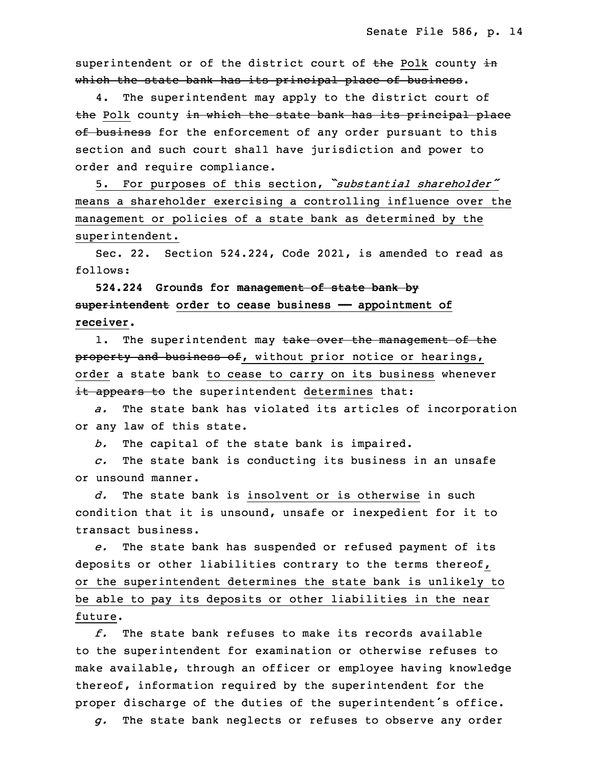superintendent or of the district court of the Polk county in which the state bank has its principal place of business.

4. The superintendent may apply to the district court of the Polk county in which the state bank has its principal place of business for the enforcement of any order pursuant to this section and such court shall have jurisdiction and power to order and require compliance.

<sup>31</sup> 5. For purposes of this section, *"substantial shareholder"* means a shareholder exercising a controlling influence over the management or policies of a state bank as determined by the superintendent.

Sec. 22. Section 524.224, Code 2021, is amended to read as follows:

 **524.224 Grounds for management of state bank by** 3 **superintendent order to cease business —— appointment of receiver.**

1. The superintendent may take over the management of the property and business of, without prior notice or hearings, order a state bank to cease to carry on its business whenever it appears to the superintendent determines that:

a. The state bank has violated its articles of incorporation or any law of this state.

*b.* The capital of the state bank is impaired.

 *c.* The state bank is conducting its business in an unsafe or unsound manner.

 *d.* The state bank is insolvent or is otherwise in such condition that it is unsound, unsafe or inexpedient for it to transact business.

17 *e.* The state bank has suspended or refused payment of its deposits or other liabilities contrary to the terms thereof, or the superintendent determines the state bank is unlikely to be able to pay its deposits or other liabilities in the near future.

 *f.* The state bank refuses to make its records available to the superintendent for examination or otherwise refuses to make available, through an officer or employee having knowledge thereof, information required by the superintendent for the proper discharge of the duties of the superintendent's office.

27 *g.* The state bank neglects or refuses to observe any order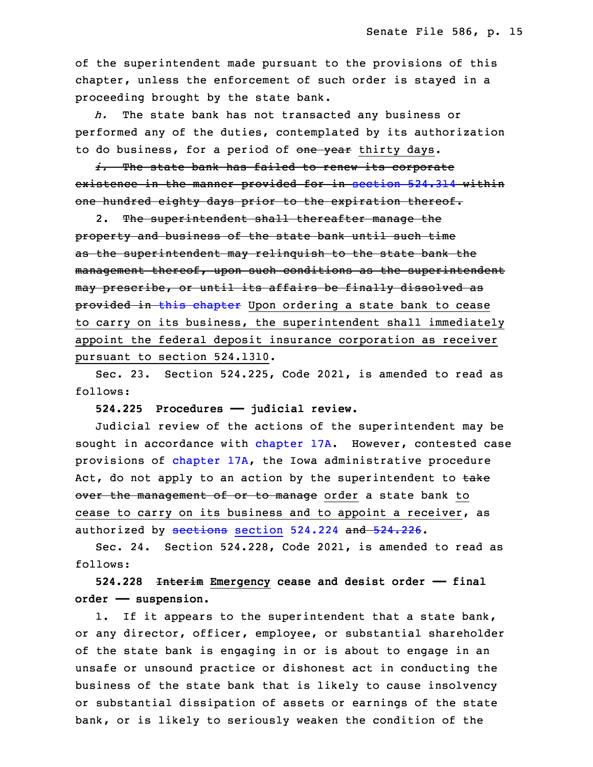of the superintendent made pursuant to the provisions of this chapter, unless the enforcement of such order is stayed in a proceeding brought by the state bank.

The state bank has not transacted any business or performed any of the duties, contemplated by its authorization to do business, for a period of one year thirty days.

i. The state bank has failed to renew its corporate existence in the manner provided for in [section](https://www.legis.iowa.gov/docs/code/2022/524.314.pdf) 524.314 within one hundred eighty days prior to the expiration thereof.

 2. The superintendent shall thereafter manage the property and business of the state bank until such time as the superintendent may relinquish to the state bank the management thereof, upon such conditions as the superintendent may prescribe, or until its affairs be finally dissolved as provided in this [chapter](https://www.legis.iowa.gov/docs/code/2022/524.pdf) Upon ordering a state bank to cease to carry on its business, the superintendent shall immediately appoint the federal deposit insurance corporation as receiver pursuant to section 524.1310.

 Sec. 23. Section 524.225, Code 2021, is amended to read as follows:

13 **524.225 Procedures —— judicial review.**

 Judicial review of the actions of the superintendent may be sought in accordance with [chapter](https://www.legis.iowa.gov/docs/code/2022/17A.pdf) 17A. However, contested case provisions of [chapter](https://www.legis.iowa.gov/docs/code/2022/17A.pdf) 17A, the Iowa administrative procedure Act, do not apply to an action by the superintendent to take over the management of or to manage order a state bank to cease to carry on its business and to appoint a receiver, as authorized by [sections](https://www.legis.iowa.gov/docs/code/2022/524.224.pdf) section 524.224 and [524.226](https://www.legis.iowa.gov/docs/code/2022/524.226.pdf).

 Sec. 24. Section 524.228, Code 2021, is amended to read as follows:

23 **524.228 Interim Emergency cease and desist order —— final order —— suspension.**

1. If it appears to the superintendent that a state bank, or any director, officer, employee, or substantial shareholder of the state bank is engaging in or is about to engage in an unsafe or unsound practice or dishonest act in conducting the business of the state bank that is likely to cause insolvency or substantial dissipation of assets or earnings of the state bank, or is likely to seriously weaken the condition of the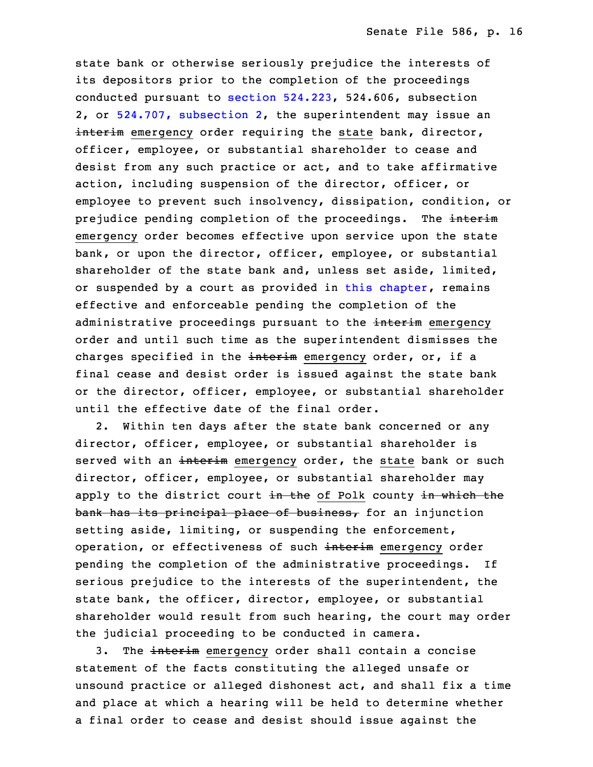state bank or otherwise seriously prejudice the interests of its depositors prior to the completion of the proceedings conducted pursuant to section  $524.223$ ,  $524.606$ , subsection 2, or 524.707, [subsection](https://www.legis.iowa.gov/docs/code/2022/524.707.pdf) 2, the superintendent may issue an interim emergency order requiring the state bank, director, officer, employee, or substantial shareholder to cease and desist from any such practice or act, and to take affirmative action, including suspension of the director, officer, or employee to prevent such insolvency, dissipation, condition, or prejudice pending completion of the proceedings. The interim emergency order becomes effective upon service upon the state bank, or upon the director, officer, employee, or substantial shareholder of the state bank and, unless set aside, limited, or suspended by a court as provided in this [chapter](https://www.legis.iowa.gov/docs/code/2022/524.pdf), remains effective and enforceable pending the completion of the administrative proceedings pursuant to the interim emergency order and until such time as the superintendent dismisses the charges specified in the interim emergency order, or, if a final cease and desist order is issued against the state bank or the director, officer, employee, or substantial shareholder until the effective date of the final order.

2. Within ten days after the state bank concerned or any director, officer, employee, or substantial shareholder is served with an interim emergency order, the state bank or such director, officer, employee, or substantial shareholder may apply to the district court in the of Polk county in which the  $bank$  has its principal place of business, for an injunction setting aside, limiting, or suspending the enforcement, operation, or effectiveness of such interim emergency order pending the completion of the administrative proceedings. If serious prejudice to the interests of the superintendent, the state bank, the officer, director, employee, or substantial shareholder would result from such hearing, the court may order the judicial proceeding to be conducted in camera.

3. The interim emergency order shall contain a concise statement of the facts constituting the alleged unsafe or unsound practice or alleged dishonest act, and shall fix a time and place at which a hearing will be held to determine whether a final order to cease and desist should issue against the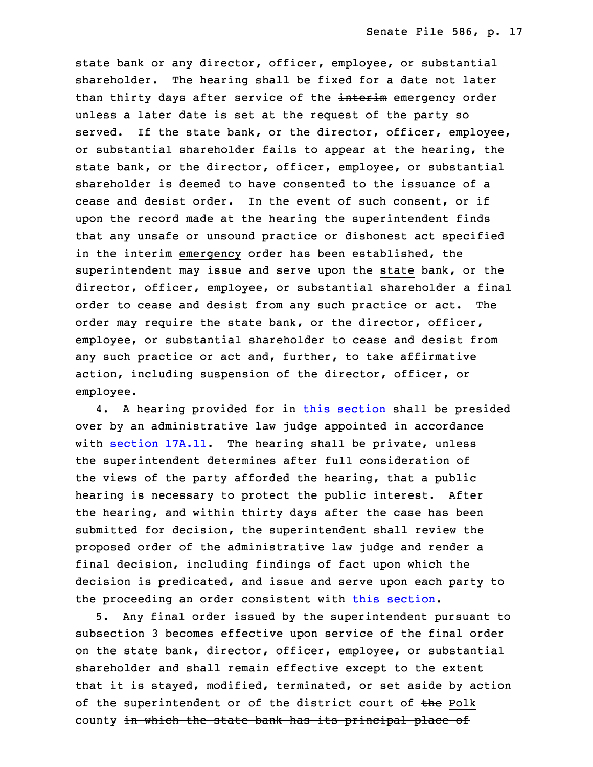state bank or any director, officer, employee, or substantial shareholder. The hearing shall be fixed for <sup>a</sup> date not later than thirty days after service of the interim emergency order unless <sup>a</sup> later date is set at the request of the party so served. If the state bank, or the director, officer, employee, or substantial shareholder fails to appear at the hearing, the state bank, or the director, officer, employee, or substantial shareholder is deemed to have consented to the issuance of a cease and desist order. In the event of such consent, or if upon the record made at the hearing the superintendent finds that any unsafe or unsound practice or dishonest act specified in the interim emergency order has been established, the superintendent may issue and serve upon the state bank, or the director, officer, employee, or substantial shareholder <sup>a</sup> final order to cease and desist from any such practice or act. The order may require the state bank, or the director, officer, employee, or substantial shareholder to cease and desist from any such practice or act and, further, to take affirmative action, including suspension of the director, officer, or employee.

 4. <sup>A</sup> hearing provided for in this [section](https://www.legis.iowa.gov/docs/code/2022/524.228.pdf) shall be presided over by an administrative law judge appointed in accordance with [section](https://www.legis.iowa.gov/docs/code/2022/17A.11.pdf) 17A.11. The hearing shall be private, unless the superintendent determines after full consideration of the views of the party afforded the hearing, that a public hearing is necessary to protect the public interest. After the hearing, and within thirty days after the case has been submitted for decision, the superintendent shall review the proposed order of the administrative law judge and render a final decision, including findings of fact upon which the decision is predicated, and issue and serve upon each party to the proceeding an order consistent with this [section](https://www.legis.iowa.gov/docs/code/2022/524.228.pdf).

33 5. Any final order issued by the superintendent pursuant to subsection 3 becomes effective upon service of the final order on the state bank, director, officer, employee, or substantial shareholder and shall remain effective except to the extent that it is stayed, modified, terminated, or set aside by action of the superintendent or of the district court of the Polk county in which the state bank has its principal place of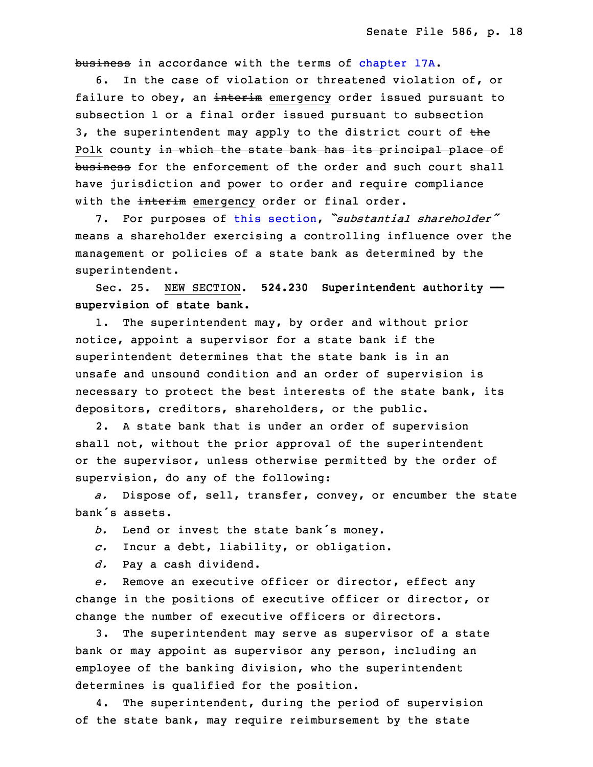business in accordance with the terms of [chapter](https://www.legis.iowa.gov/docs/code/2022/17A.pdf) 17A.

6. In the case of violation or threatened violation of, or failure to obey, an interim emergency order issued pursuant to subsection 1 or a final order issued pursuant to subsection 3, the superintendent may apply to the district court of  $the$ Polk county in which the state bank has its principal place of business for the enforcement of the order and such court shall have jurisdiction and power to order and require compliance with the interim emergency order or final order.

 7. For purposes of this [section](https://www.legis.iowa.gov/docs/code/2022/524.228.pdf), *"substantial shareholder"* means a shareholder exercising a controlling influence over the management or policies of a state bank as determined by the superintendent.

18 Sec. 25. NEW SECTION. **524.230 Superintendent authority ——** 19 **supervision of state bank.**

1. The superintendent may, by order and without prior notice, appoint <sup>a</sup> supervisor for <sup>a</sup> state bank if the superintendent determines that the state bank is in an unsafe and unsound condition and an order of supervision is necessary to protect the best interests of the state bank, its depositors, creditors, shareholders, or the public.

2. A state bank that is under an order of supervision shall not, without the prior approval of the superintendent or the supervisor, unless otherwise permitted by the order of supervision, do any of the following:

a. Dispose of, sell, transfer, convey, or encumber the state bank's assets.

b. Lend or invest the state bank's money.

33 *c.* Incur <sup>a</sup> debt, liability, or obligation.

34 *d.* Pay <sup>a</sup> cash dividend.

35 *e.* Remove an executive officer or director, effect any change in the positions of executive officer or director, or change the number of executive officers or directors.

3. The superintendent may serve as supervisor of a state bank or may appoint as supervisor any person, including an employee of the banking division, who the superintendent determines is qualified for the position.

4. The superintendent, during the period of supervision of the state bank, may require reimbursement by the state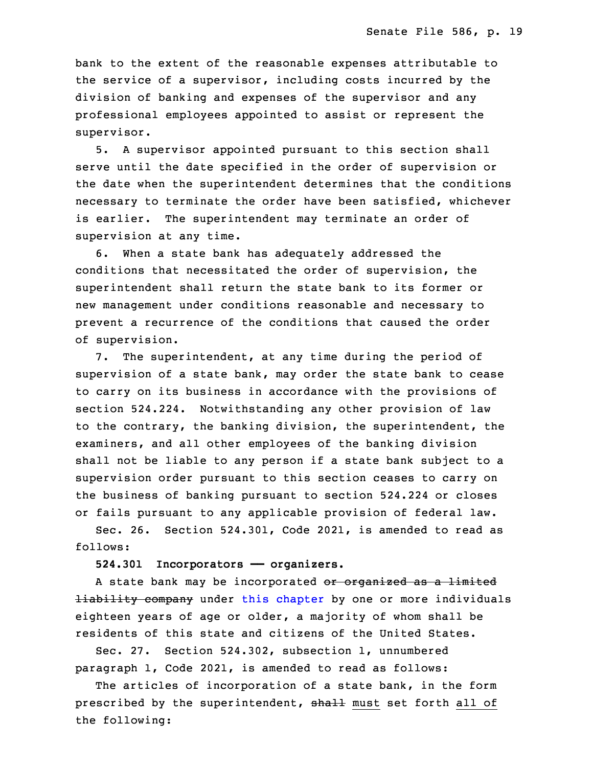bank to the extent of the reasonable expenses attributable to the service of a supervisor, including costs incurred by the division of banking and expenses of the supervisor and any professional employees appointed to assist or represent the supervisor.

 5. <sup>A</sup> supervisor appointed pursuant to this section shall serve until the date specified in the order of supervision or the date when the superintendent determines that the conditions necessary to terminate the order have been satisfied, whichever is earlier. The superintendent may terminate an order of supervision at any time.

6. When a state bank has adequately addressed the conditions that necessitated the order of supervision, the superintendent shall return the state bank to its former or new management under conditions reasonable and necessary to prevent <sup>a</sup> recurrence of the conditions that caused the order of supervision.

7. The superintendent, at any time during the period of supervision of a state bank, may order the state bank to cease to carry on its business in accordance with the provisions of section 524.224. Notwithstanding any other provision of law to the contrary, the banking division, the superintendent, the examiners, and all other employees of the banking division shall not be liable to any person if a state bank subject to a supervision order pursuant to this section ceases to carry on the business of banking pursuant to section 524.224 or closes or fails pursuant to any applicable provision of federal law.

 Sec. 26. Section 524.301, Code 2021, is amended to read as follows:

3 **524.301 Incorporators —— organizers.**

A state bank may be incorporated or organized as a limited **Hiability company** under this [chapter](https://www.legis.iowa.gov/docs/code/2022/524.pdf) by one or more individuals eighteen years of age or older, a majority of whom shall be 7 residents of this state and citizens of the United States.

8 Sec. 27. Section 524.302, subsection 1, unnumbered paragraph 1, Code 2021, is amended to read as follows:

The articles of incorporation of a state bank, in the form prescribed by the superintendent, shall must set forth all of the following: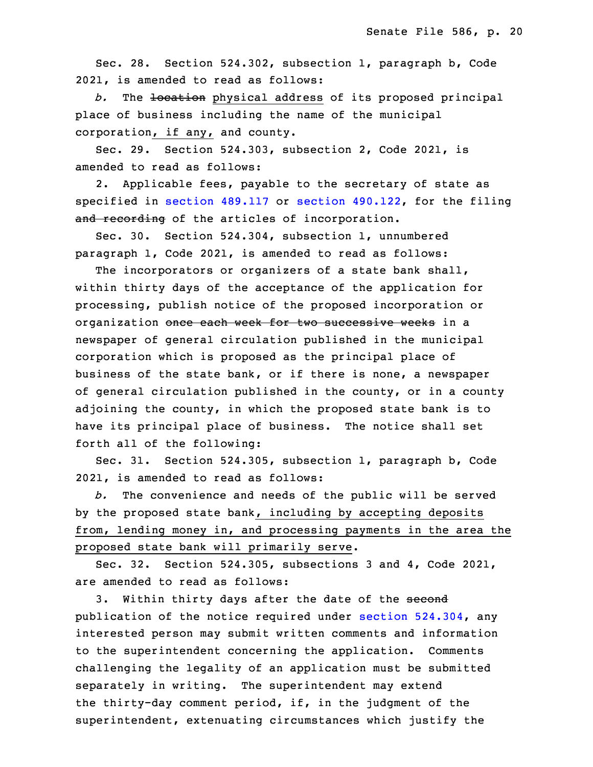Sec. 28. Section 524.302, subsection 1, paragraph b, Code 2021, is amended to read as follows:

b. The location physical address of its proposed principal place of business including the name of the municipal corporation, if any, and county.

Sec. 29. Section 524.303, subsection 2, Code 2021, is amended to read as follows:

2. Applicable fees, payable to the secretary of state as specified in section [489.117](https://www.legis.iowa.gov/docs/code/2022/489.117.pdf) or section [490.122](https://www.legis.iowa.gov/docs/code/2022/490.122.pdf), for the filing and recording of the articles of incorporation.

Sec. 30. Section 524.304, subsection 1, unnumbered paragraph 1, Code 2021, is amended to read as follows:

The incorporators or organizers of a state bank shall, within thirty days of the acceptance of the application for processing, publish notice of the proposed incorporation or organization once each week for two successive weeks in a newspaper of general circulation published in the municipal corporation which is proposed as the principal place of business of the state bank, or if there is none, a newspaper of general circulation published in the county, or in a county adjoining the county, in which the proposed state bank is to have its principal place of business. The notice shall set forth all of the following:

 Sec. 31. Section 524.305, subsection 1, paragraph b, Code 2021, is amended to read as follows:

b. The convenience and needs of the public will be served by the proposed state bank, including by accepting deposits from, lending money in, and processing payments in the area the proposed state bank will primarily serve.

Sec. 32. Section 524.305, subsections 3 and 4, Code 2021, are amended to read as follows:

3. Within thirty days after the date of the second publication of the notice required under section  $524.304$ , any interested person may submit written comments and information to the superintendent concerning the application. Comments challenging the legality of an application must be submitted separately in writing. The superintendent may extend the thirty-day comment period, if, in the judgment of the superintendent, extenuating circumstances which justify the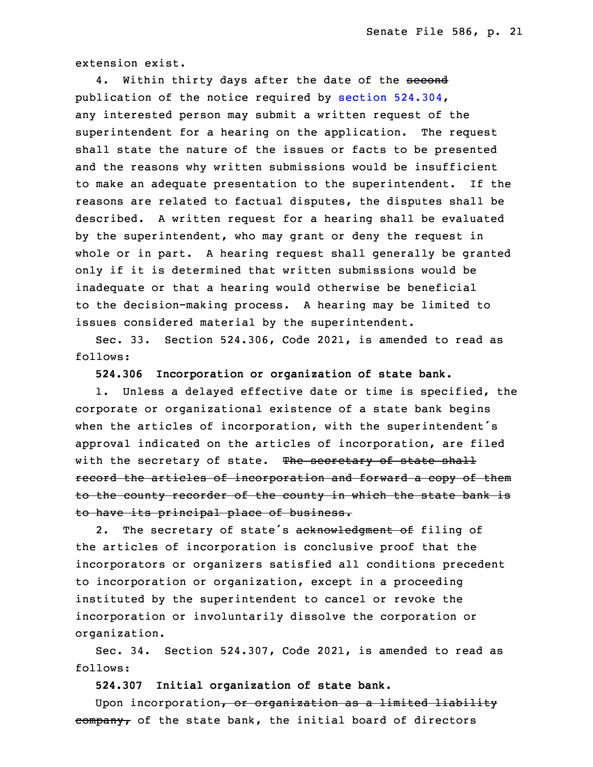extension exist.

4. Within thirty days after the date of the second publication of the notice required by section  $524.304$ , any interested person may submit a written request of the superintendent for <sup>a</sup> hearing on the application. The request shall state the nature of the issues or facts to be presented and the reasons why written submissions would be insufficient to make an adequate presentation to the superintendent. If the reasons are related to factual disputes, the disputes shall be described. A written request for a hearing shall be evaluated by the superintendent, who may grant or deny the request in whole or in part. A hearing request shall generally be granted only if it is determined that written submissions would be inadequate or that a hearing would otherwise be beneficial to the decision-making process. A hearing may be limited to issues considered material by the superintendent.

Sec. 33. Section 524.306, Code 2021, is amended to read as follows:

35 **524.306 Incorporation or organization of state bank.**

 1. Unless <sup>a</sup> delayed effective date or time is specified, the corporate or organizational existence of <sup>a</sup> state bank begins when the articles of incorporation, with the superintendent's approval indicated on the articles of incorporation, are filed with the secretary of state. The secretary of state shall record the articles of incorporation and forward a copy of them to the county recorder of the county in which the state bank is to have its principal place of business.

2. The secretary of state's acknowledgment of filing of the articles of incorporation is conclusive proof that the incorporators or organizers satisfied all conditions precedent to incorporation or organization, except in <sup>a</sup> proceeding instituted by the superintendent to cancel or revoke the incorporation or involuntarily dissolve the corporation or organization.

Sec. 34. Section 524.307, Code 2021, is amended to read as follows:

18 **524.307 Initial organization of state bank.**

Upon incorporation, or organization as a limited liability  $\overline{\text{company}}$  of the state bank, the initial board of directors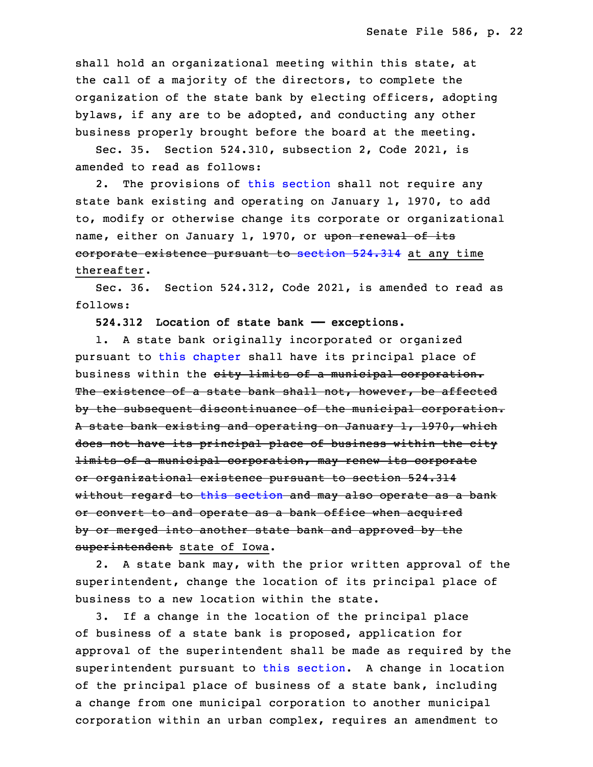shall hold an organizational meeting within this state, at the call of <sup>a</sup> majority of the directors, to complete the organization of the state bank by electing officers, adopting bylaws, if any are to be adopted, and conducting any other business properly brought before the board at the meeting.

Sec. 35. Section 524.310, subsection 2, Code 2021, is amended to read as follows:

2. The provisions of this [section](https://www.legis.iowa.gov/docs/code/2022/524.310.pdf) shall not require any state bank existing and operating on January 1, 1970, to add to, modify or otherwise change its corporate or organizational name, either on January 1, 1970, or upon renewal of its corporate existence pursuant to [section](https://www.legis.iowa.gov/docs/code/2022/524.314.pdf) 524.314 at any time thereafter.

Sec. 36. Section 524.312, Code 2021, is amended to read as follows:

**524.312 Location of state bank —— exceptions.**

 1. <sup>A</sup> state bank originally incorporated or organized pursuant to this [chapter](https://www.legis.iowa.gov/docs/code/2022/524.pdf) shall have its principal place of business within the city limits of a municipal corporation. The existence of a state bank shall not, however, be affected by the subsequent discontinuance of the municipal corporation. A state bank existing and operating on January 1, 1970, which does not have its principal place of business within the city limits of a municipal corporation, may renew its corporate or organizational existence pursuant to section 524.314 without regard to this [section](https://www.legis.iowa.gov/docs/code/2022/524.312.pdf) and may also operate as <sup>a</sup> bank or convert to and operate as <sup>a</sup> bank office when acquired by or merged into another state bank and approved by the superintendent state of Iowa.

2. A state bank may, with the prior written approval of the superintendent, change the location of its principal place of business to a new location within the state.

3. If a change in the location of the principal place of business of a state bank is proposed, application for approval of the superintendent shall be made as required by the superintendent pursuant to this [section](https://www.legis.iowa.gov/docs/code/2022/524.312.pdf). <sup>A</sup> change in location of the principal place of business of <sup>a</sup> state bank, including a change from one municipal corporation to another municipal corporation within an urban complex, requires an amendment to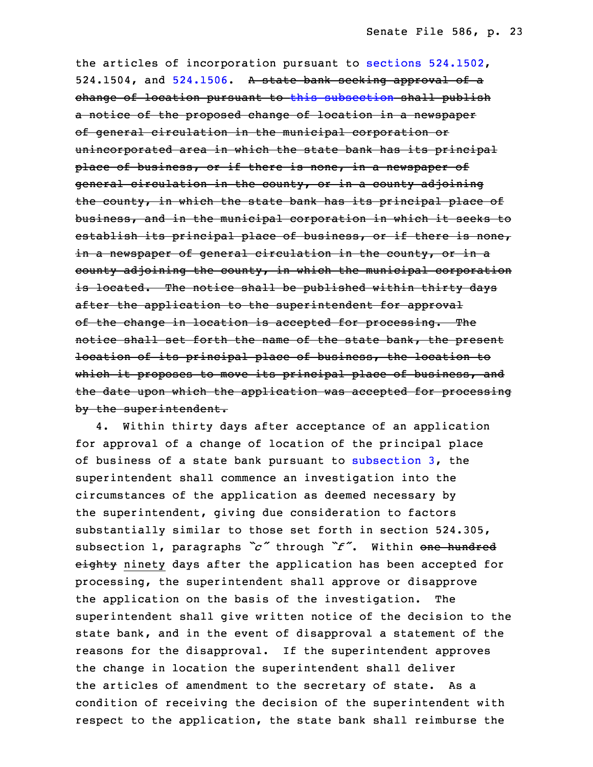the articles of incorporation pursuant to sections [524.1502](https://www.legis.iowa.gov/docs/code/2022/524.1502.pdf), 524.1504, and  $524.1506$ . A state bank seeking approval of a change of location pursuant to this [subsection](https://www.legis.iowa.gov/docs/code/2022/524.312.pdf) shall publish a notice of the proposed change of location in a newspaper of general circulation in the municipal corporation or unincorporated area in which the state bank has its principal place of business, or if there is none, in a newspaper of general circulation in the county, or in a county adjoining the county, in which the state bank has its principal place of business, and in the municipal corporation in which it seeks to establish its principal place of business, or if there is none, in <sup>a</sup> newspaper of general circulation in the county, or in <sup>a</sup> county adjoining the county, in which the municipal corporation is located. The notice shall be published within thirty days after the application to the superintendent for approval of the change in location is accepted for processing. The notice shall set forth the name of the state bank, the present location of its principal place of business, the location to which it proposes to move its principal place of business, and the date upon which the application was accepted for processing by the superintendent.

 4. Within thirty days after acceptance of an application for approval of <sup>a</sup> change of location of the principal place of business of a state bank pursuant to [subsection](https://www.legis.iowa.gov/docs/code/2022/524.312.pdf)  $3$ , the superintendent shall commence an investigation into the circumstances of the application as deemed necessary by the superintendent, giving due consideration to factors substantially similar to those set forth in section 524.305, subsection 1, paragraphs "c" through "f". Within one hundred eighty ninety days after the application has been accepted for processing, the superintendent shall approve or disapprove the application on the basis of the investigation. The superintendent shall give written notice of the decision to the state bank, and in the event of disapproval a statement of the reasons for the disapproval. If the superintendent approves the change in location the superintendent shall deliver the articles of amendment to the secretary of state. As a condition of receiving the decision of the superintendent with respect to the application, the state bank shall reimburse the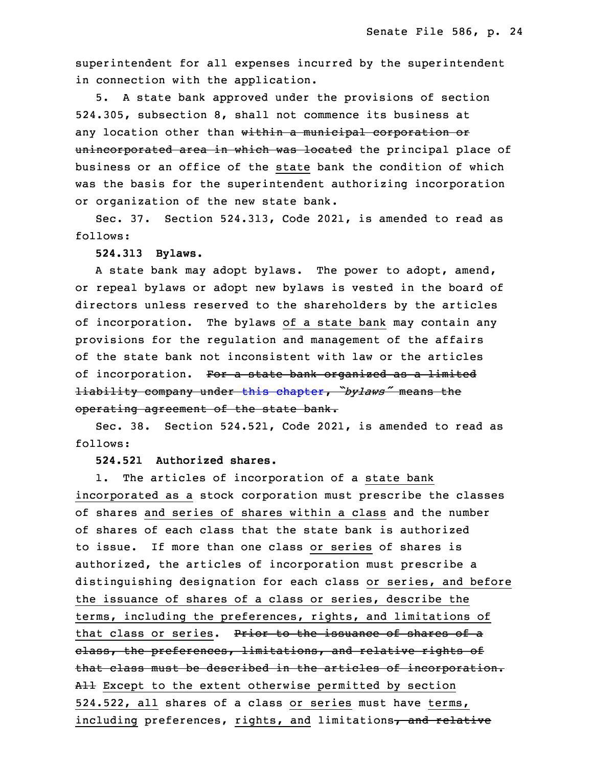superintendent for all expenses incurred by the superintendent in connection with the application.

5. A state bank approved under the provisions of section 32 524.305, subsection 8, shall not commence its business at any location other than within a municipal corporation or unincorporated area in which was located the principal place of business or an office of the state bank the condition of which was the basis for the superintendent authorizing incorporation or organization of the new state bank.

Sec. 37. Section 524.313, Code 2021, is amended to read as follows:

#### 5 **524.313 Bylaws.**

A state bank may adopt bylaws. The power to adopt, amend, or repeal bylaws or adopt new bylaws is vested in the board of directors unless reserved to the shareholders by the articles of incorporation. The bylaws of a state bank may contain any provisions for the regulation and management of the affairs of the state bank not inconsistent with law or the articles of incorporation. For a state bank organized as a limited <sup>13</sup> liability company under this [chapter](https://www.legis.iowa.gov/docs/code/2022/524.pdf), *"bylaws"* means the operating agreement of the state bank.

Sec. 38. Section 524.521, Code 2021, is amended to read as follows:

## 17 **524.521 Authorized shares.**

1. The articles of incorporation of a state bank incorporated as a stock corporation must prescribe the classes of shares and series of shares within a class and the number of shares of each class that the state bank is authorized to issue. If more than one class or series of shares is authorized, the articles of incorporation must prescribe a distinguishing designation for each class or series, and before the issuance of shares of a class or series, describe the terms, including the preferences, rights, and limitations of that class or series. Prior to the issuance of shares of a class, the preferences, limitations, and relative rights of that class must be described in the articles of incorporation. All Except to the extent otherwise permitted by section 524.522, all shares of a class or series must have terms, including preferences, rights, and limitations, and relative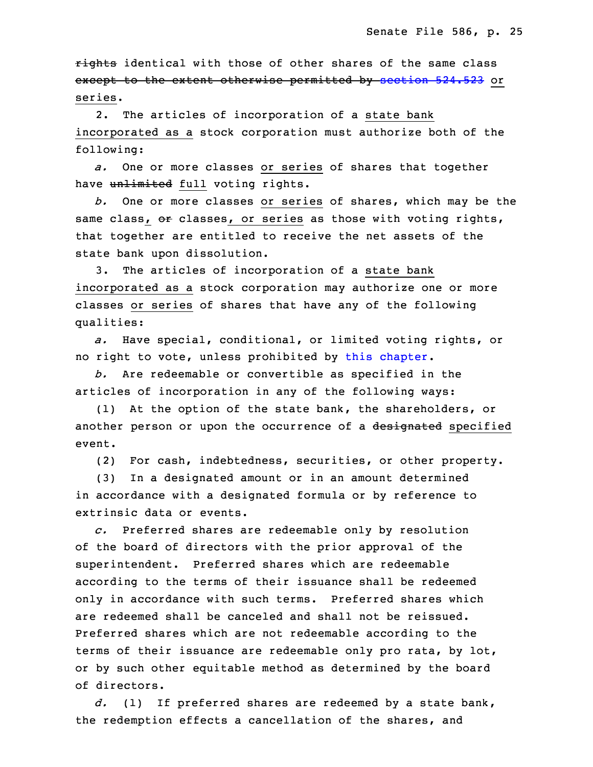rights identical with those of other shares of the same class except to the extent otherwise permitted by [section](https://www.legis.iowa.gov/docs/code/2022/524.523.pdf) 524.523 or series.

 2. The articles of incorporation of <sup>a</sup> state bank incorporated as <sup>a</sup> stock corporation must authorize both of the following:

 *a.* One or more classes or series of shares that together have unlimited full voting rights.

6 *b.* One or more classes or series of shares, which may be the same class, or classes, or series as those with voting rights, that together are entitled to receive the net assets of the state bank upon dissolution.

3. The articles of incorporation of a state bank incorporated as <sup>a</sup> stock corporation may authorize one or more classes or series of shares that have any of the following qualities:

 *a.* Have special, conditional, or limited voting rights, or no right to vote, unless prohibited by this [chapter](https://www.legis.iowa.gov/docs/code/2022/524.pdf).

b. Are redeemable or convertible as specified in the articles of incorporation in any of the following ways:

(1) At the option of the state bank, the shareholders, or another person or upon the occurrence of a designated specified event.

(2) For cash, indebtedness, securities, or other property.

 (3) In <sup>a</sup> designated amount or in an amount determined in accordance with a designated formula or by reference to extrinsic data or events.

25 *c.* Preferred shares are redeemable only by resolution of the board of directors with the prior approval of the superintendent. Preferred shares which are redeemable according to the terms of their issuance shall be redeemed only in accordance with such terms. Preferred shares which are redeemed shall be canceled and shall not be reissued. Preferred shares which are not redeemable according to the terms of their issuance are redeemable only pro rata, by lot, or by such other equitable method as determined by the board of directors.

35 *d.* (1) If preferred shares are redeemed by <sup>a</sup> state bank, the redemption effects <sup>a</sup> cancellation of the shares, and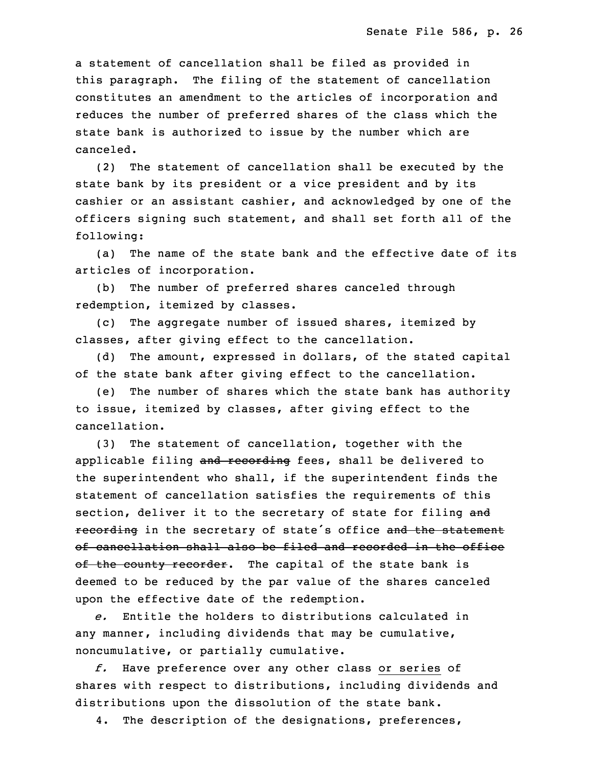<sup>a</sup> statement of cancellation shall be filed as provided in this paragraph. The filing of the statement of cancellation constitutes an amendment to the articles of incorporation and reduces the number of preferred shares of the class which the state bank is authorized to issue by the number which are canceled.

(2) The statement of cancellation shall be executed by the state bank by its president or a vice president and by its cashier or an assistant cashier, and acknowledged by one of the officers signing such statement, and shall set forth all of the following:

(a) The name of the state bank and the effective date of its articles of incorporation.

(b) The number of preferred shares canceled through redemption, itemized by classes.

(c) The aggregate number of issued shares, itemized by classes, after giving effect to the cancellation.

(d) The amount, expressed in dollars, of the stated capital of the state bank after giving effect to the cancellation.

 (e) The number of shares which the state bank has authority to issue, itemized by classes, after giving effect to the cancellation.

 (3) The statement of cancellation, together with the applicable filing and recording fees, shall be delivered to the superintendent who shall, if the superintendent finds the statement of cancellation satisfies the requirements of this section, deliver it to the secretary of state for filing and recording in the secretary of state's office and the statement of cancellation shall also be filed and recorded in the office of the county recorder. The capital of the state bank is deemed to be reduced by the par value of the shares canceled upon the effective date of the redemption.

34 *e.* Entitle the holders to distributions calculated in any manner, including dividends that may be cumulative, noncumulative, or partially cumulative.

 *f.* Have preference over any other class or series of shares with respect to distributions, including dividends and distributions upon the dissolution of the state bank.

4. The description of the designations, preferences,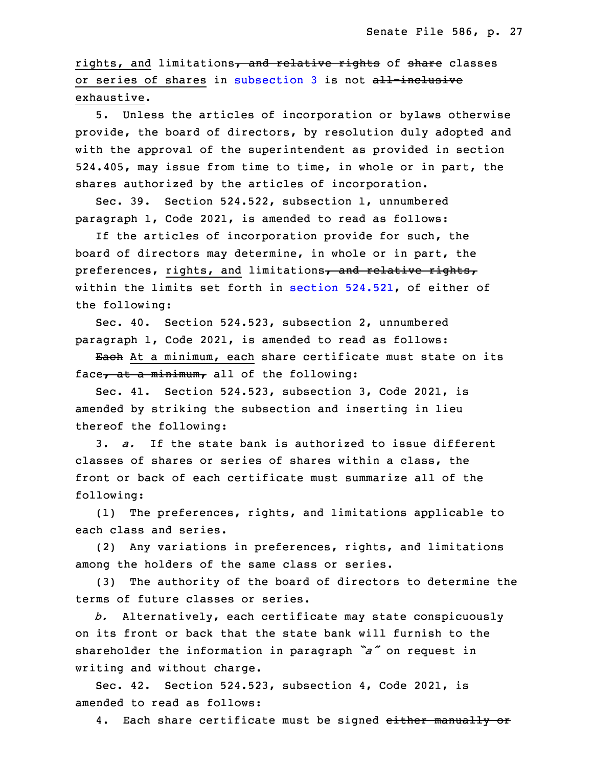rights, and limitations, and relative rights of share classes or series of shares in [subsection](https://www.legis.iowa.gov/docs/code/2022/524.521.pdf) 3 is not all-inclusive exhaustive.

5. Unless the articles of incorporation or bylaws otherwise provide, the board of directors, by resolution duly adopted and with the approval of the superintendent as provided in section 524.405, may issue from time to time, in whole or in part, the shares authorized by the articles of incorporation.

 Sec. 39. Section 524.522, subsection 1, unnumbered paragraph 1, Code 2021, is amended to read as follows:

16 If the articles of incorporation provide for such, the board of directors may determine, in whole or in part, the preferences, rights, and limitations, and relative rights, within the limits set forth in section [524.521](https://www.legis.iowa.gov/docs/code/2022/524.521.pdf), of either of the following:

 Sec. 40. Section 524.523, subsection 2, unnumbered paragraph 1, Code 2021, is amended to read as follows:

Each At a minimum, each share certificate must state on its face, at a minimum, all of the following:

Sec. 41. Section 524.523, subsection 3, Code 2021, is amended by striking the subsection and inserting in lieu thereof the following:

28 3. *a.* If the state bank is authorized to issue different classes of shares or series of shares within a class, the front or back of each certificate must summarize all of the following:

(1) The preferences, rights, and limitations applicable to each class and series.

(2) Any variations in preferences, rights, and limitations among the holders of the same class or series.

 (3) The authority of the board of directors to determine the terms of future classes or series.

3 *b.* Alternatively, each certificate may state conspicuously on its front or back that the state bank will furnish to the <sup>5</sup> shareholder the information in paragraph *"a"* on request in writing and without charge.

Sec. 42. Section 524.523, subsection 4, Code 2021, is amended to read as follows:

4. Each share certificate must be signed either manually or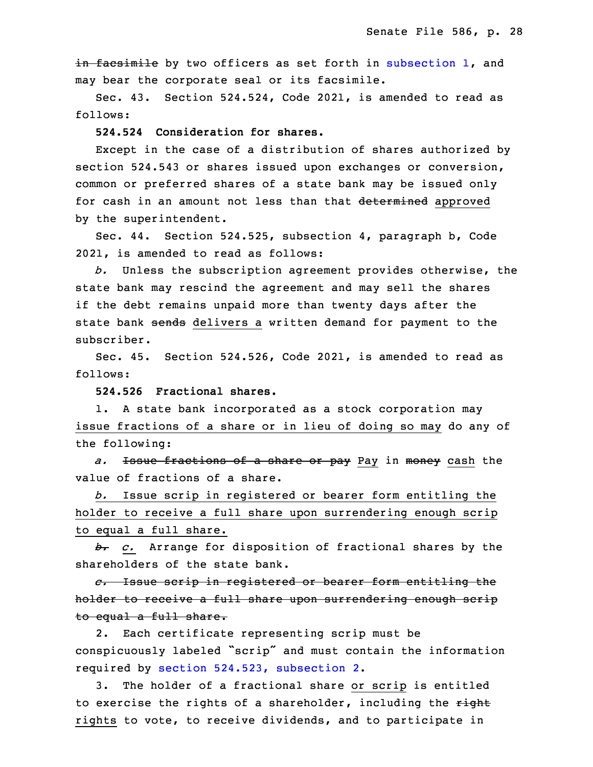in facsimile by two officers as set forth in [subsection](https://www.legis.iowa.gov/docs/code/2022/524.523.pdf) 1, and may bear the corporate seal or its facsimile.

 Sec. 43. Section 524.524, Code 2021, is amended to read as follows:

## **524.524 Consideration for shares.**

Except in the case of a distribution of shares authorized by section 524.543 or shares issued upon exchanges or conversion, common or preferred shares of a state bank may be issued only for cash in an amount not less than that determined approved by the superintendent.

Sec. 44. Section 524.525, subsection 4, paragraph b, Code 2021, is amended to read as follows:

 *b.* Unless the subscription agreement provides otherwise, the state bank may rescind the agreement and may sell the shares if the debt remains unpaid more than twenty days after the state bank sends delivers a written demand for payment to the subscriber.

Sec. 45. Section 524.526, Code 2021, is amended to read as follows:

29 **524.526 Fractional shares.**

1. A state bank incorporated as a stock corporation may issue fractions of a share or in lieu of doing so may do any of the following:

a. <del>Issue fractions of a share or pay</del> Pay in <del>money</del> cash the value of fractions of a share.

35 *b.* Issue scrip in registered or bearer form entitling the holder to receive <sup>a</sup> full share upon surrendering enough scrip to equal <sup>a</sup> full share.

3 *b. c.* Arrange for disposition of fractional shares by the shareholders of the state bank.

5 *c.* Issue scrip in registered or bearer form entitling the holder to receive a full share upon surrendering enough scrip to equal a full share.

2. Each certificate representing scrip must be conspicuously labeled "scrip" and must contain the information required by section 524.523, [subsection](https://www.legis.iowa.gov/docs/code/2022/524.523.pdf) 2.

 3. The holder of <sup>a</sup> fractional share or scrip is entitled to exercise the rights of a shareholder, including the right rights to vote, to receive dividends, and to participate in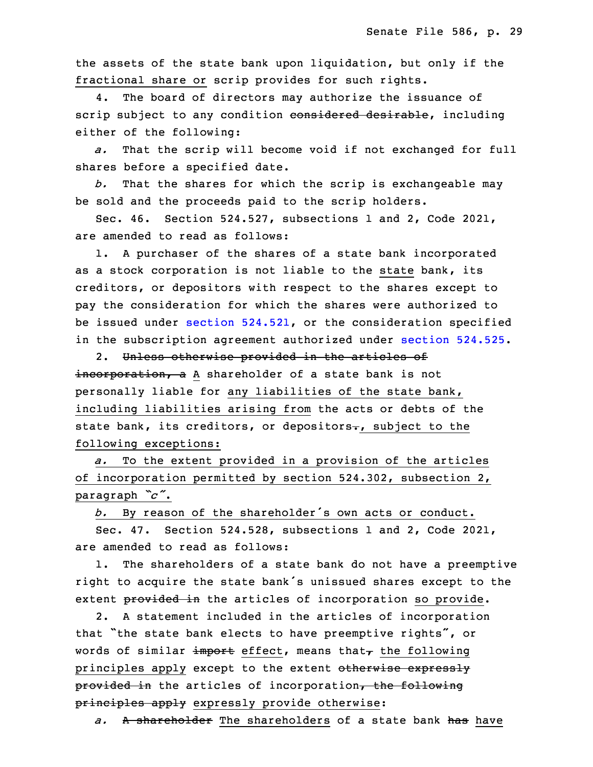the assets of the state bank upon liquidation, but only if the fractional share or scrip provides for such rights.

4. The board of directors may authorize the issuance of scrip subject to any condition considered desirable, including either of the following:

a. That the scrip will become void if not exchanged for full shares before a specified date.

 *b.* That the shares for which the scrip is exchangeable may be sold and the proceeds paid to the scrip holders.

Sec.  $46.$  Section 524.527, subsections 1 and 2, Code 2021, are amended to read as follows:

1. A purchaser of the shares of a state bank incorporated as a stock corporation is not liable to the state bank, its creditors, or depositors with respect to the shares except to pay the consideration for which the shares were authorized to be issued under section [524.521](https://www.legis.iowa.gov/docs/code/2022/524.521.pdf), or the consideration specified in the subscription agreement authorized under section [524.525](https://www.legis.iowa.gov/docs/code/2022/524.525.pdf).

2. Unless otherwise provided in the articles of incorporation, a A shareholder of a state bank is not personally liable for any liabilities of the state bank, including liabilities arising from the acts or debts of the state bank, its creditors, or depositors., subject to the following exceptions:

 *a.* To the extent provided in <sup>a</sup> provision of the articles of incorporation permitted by section 524.302, subsection 2, paragraph *"c"*.

<sup>5</sup> *b.* By reason of the shareholder's own acts or conduct.

6 Sec. 47. Section 524.528, subsections 1 and 2, Code 2021, are amended to read as follows:

1. The shareholders of a state bank do not have a preemptive right to acquire the state bank's unissued shares except to the extent provided in the articles of incorporation so provide.

 2. <sup>A</sup> statement included in the articles of incorporation that "the state bank elects to have preemptive rights", or words of similar import effect, means that $<sub>\tau</sub>$  the following</sub> principles apply except to the extent otherwise expressly provided in the articles of incorporation, the following principles apply expressly provide otherwise:

a. A shareholder The shareholders of a state bank has have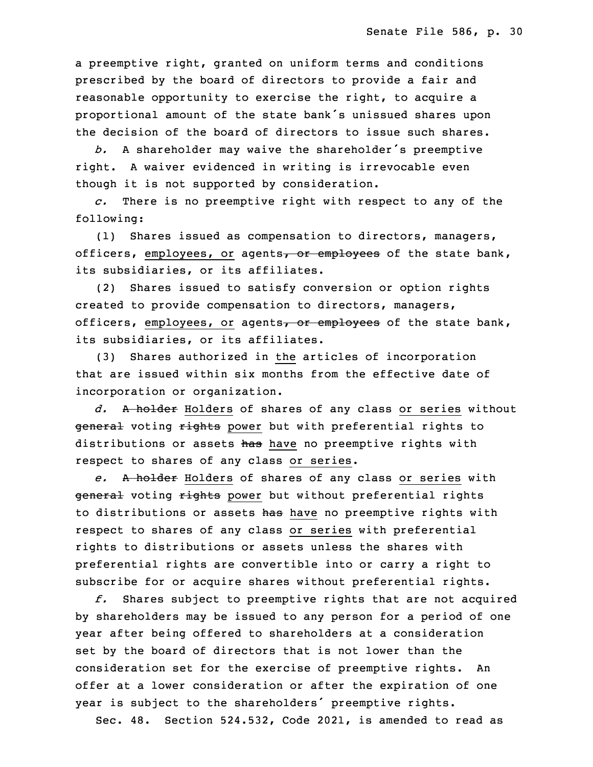a preemptive right, granted on uniform terms and conditions prescribed by the board of directors to provide a fair and reasonable opportunity to exercise the right, to acquire a proportional amount of the state bank's unissued shares upon the decision of the board of directors to issue such shares.

<sup>23</sup> *b.* <sup>A</sup> shareholder may waive the shareholder's preemptive right. <sup>A</sup> waiver evidenced in writing is irrevocable even though it is not supported by consideration.

26 *c.* There is no preemptive right with respect to any of the following:

(1) Shares issued as compensation to directors, managers, officers, employees, or agents, or employees of the state bank, its subsidiaries, or its affiliates.

(2) Shares issued to satisfy conversion or option rights created to provide compensation to directors, managers, officers, employees, or agents, or employees of the state bank, its subsidiaries, or its affiliates.

(3) Shares authorized in the articles of incorporation that are issued within six months from the effective date of incorporation or organization.

3 *d.* <sup>A</sup> holder Holders of shares of any class or series without general voting rights power but with preferential rights to distributions or assets has have no preemptive rights with respect to shares of any class or series.

7 *e.* <sup>A</sup> holder Holders of shares of any class or series with general voting rights power but without preferential rights to distributions or assets has have no preemptive rights with respect to shares of any class or series with preferential rights to distributions or assets unless the shares with preferential rights are convertible into or carry <sup>a</sup> right to subscribe for or acquire shares without preferential rights.

 *f.* Shares subject to preemptive rights that are not acquired by shareholders may be issued to any person for a period of one year after being offered to shareholders at a consideration set by the board of directors that is not lower than the consideration set for the exercise of preemptive rights. An offer at a lower consideration or after the expiration of one year is subject to the shareholders' preemptive rights.

Sec. 48. Section 524.532, Code 2021, is amended to read as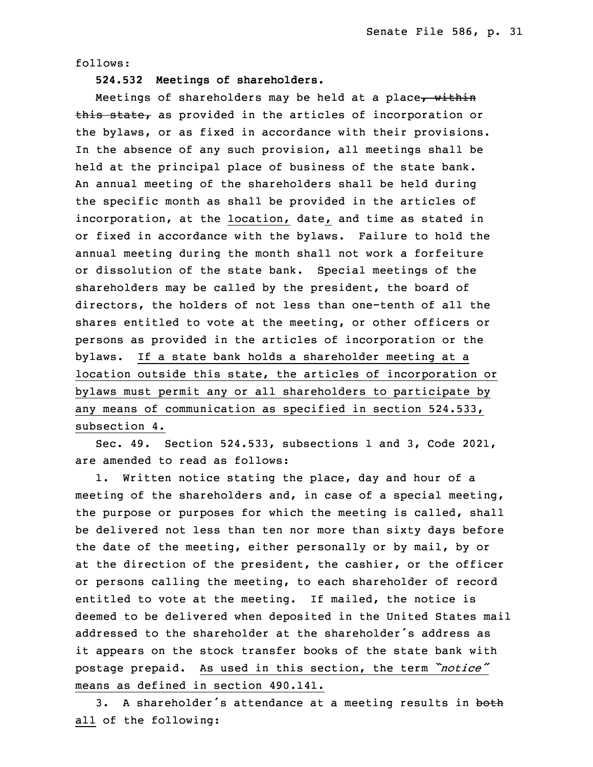follows:

23 **524.532 Meetings of shareholders.**

Meetings of shareholders may be held at a place, within this state, as provided in the articles of incorporation or the bylaws, or as fixed in accordance with their provisions. In the absence of any such provision, all meetings shall be held at the principal place of business of the state bank. An annual meeting of the shareholders shall be held during the specific month as shall be provided in the articles of incorporation, at the location, date, and time as stated in or fixed in accordance with the bylaws. Failure to hold the annual meeting during the month shall not work a forfeiture or dissolution of the state bank. Special meetings of the shareholders may be called by the president, the board of directors, the holders of not less than one-tenth of all the shares entitled to vote at the meeting, or other officers or persons as provided in the articles of incorporation or the bylaws. If <sup>a</sup> state bank holds <sup>a</sup> shareholder meeting at <sup>a</sup> location outside this state, the articles of incorporation or bylaws must permit any or all shareholders to participate by any means of communication as specified in section 524.533, subsection 4.

9 Sec. 49. Section 524.533, subsections 1 and 3, Code 2021, are amended to read as follows:

 1. Written notice stating the place, day and hour of <sup>a</sup> meeting of the shareholders and, in case of <sup>a</sup> special meeting, the purpose or purposes for which the meeting is called, shall be delivered not less than ten nor more than sixty days before the date of the meeting, either personally or by mail, by or at the direction of the president, the cashier, or the officer or persons calling the meeting, to each shareholder of record entitled to vote at the meeting. If mailed, the notice is deemed to be delivered when deposited in the United States mail addressed to the shareholder at the shareholder's address as it appears on the stock transfer books of the state bank with postage prepaid. As used in this section, the term *"notice"* means as defined in section 490.141.

3. A shareholder's attendance at a meeting results in both all of the following: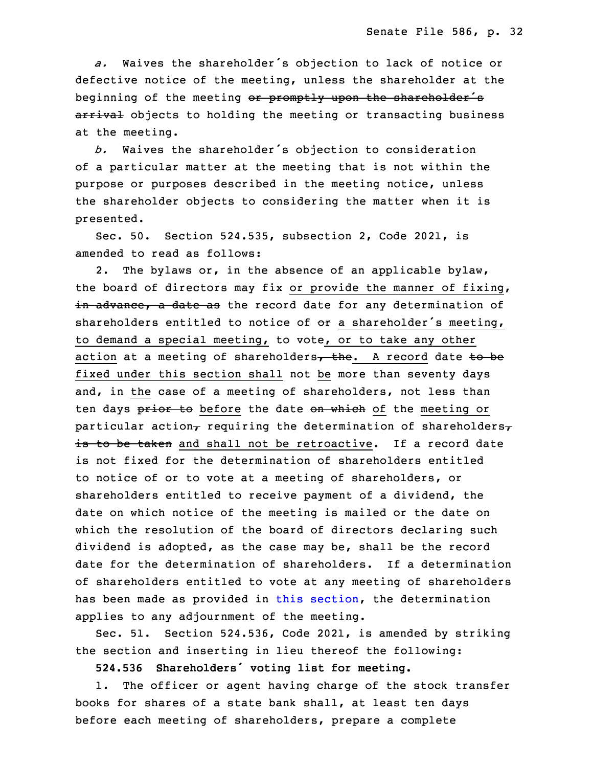a. Waives the shareholder's objection to lack of notice or defective notice of the meeting, unless the shareholder at the beginning of the meeting or promptly upon the shareholder's arrival objects to holding the meeting or transacting business at the meeting.

<sup>31</sup> *b.* Waives the shareholder's objection to consideration of a particular matter at the meeting that is not within the purpose or purposes described in the meeting notice, unless the shareholder objects to considering the matter when it is presented.

 Sec. 50. Section 524.535, subsection 2, Code 2021, is amended to read as follows:

2. The bylaws or, in the absence of an applicable bylaw, the board of directors may fix or provide the manner of fixing, in advance, a date as the record date for any determination of shareholders entitled to notice of  $e$  a shareholder's meeting, to demand a special meeting, to vote, or to take any other action at a meeting of shareholders, the. A record date to be fixed under this section shall not be more than seventy days and, in the case of a meeting of shareholders, not less than ten days prior to before the date on which of the meeting or particular action, requiring the determination of shareholders, is to be taken and shall not be retroactive. If a record date is not fixed for the determination of shareholders entitled to notice of or to vote at a meeting of shareholders, or shareholders entitled to receive payment of a dividend, the date on which notice of the meeting is mailed or the date on which the resolution of the board of directors declaring such dividend is adopted, as the case may be, shall be the record date for the determination of shareholders. If a determination of shareholders entitled to vote at any meeting of shareholders has been made as provided in this [section](https://www.legis.iowa.gov/docs/code/2022/524.535.pdf), the determination applies to any adjournment of the meeting.

 Sec. 51. Section 524.536, Code 2021, is amended by striking the section and inserting in lieu thereof the following:

<sup>26</sup> **524.536 Shareholders' voting list for meeting.**

1. The officer or agent having charge of the stock transfer books for shares of a state bank shall, at least ten days before each meeting of shareholders, prepare a complete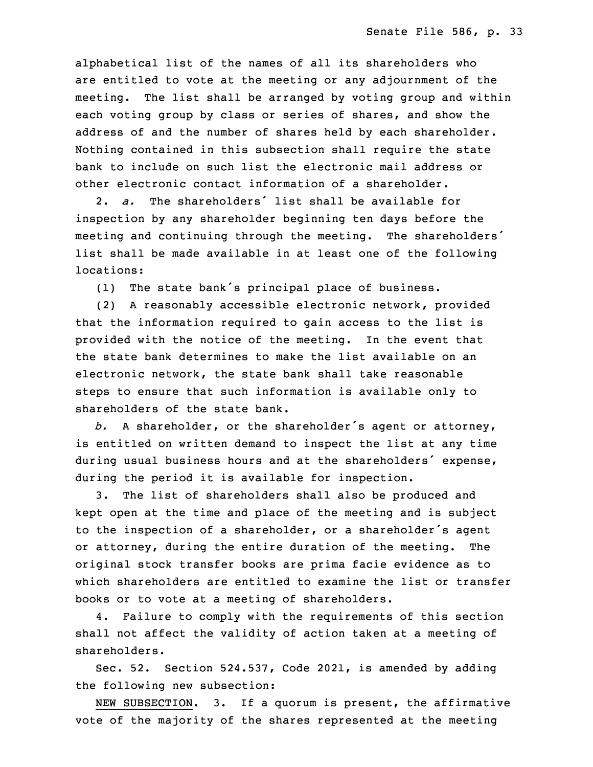alphabetical list of the names of all its shareholders who are entitled to vote at the meeting or any adjournment of the meeting. The list shall be arranged by voting group and within each voting group by class or series of shares, and show the address of and the number of shares held by each shareholder. Nothing contained in this subsection shall require the state bank to include on such list the electronic mail address or other electronic contact information of <sup>a</sup> shareholder.

3 2. *a.* The shareholders' list shall be available for inspection by any shareholder beginning ten days before the meeting and continuing through the meeting. The shareholders' list shall be made available in at least one of the following locations:

(1) The state bank's principal place of business.

9 (2) <sup>A</sup> reasonably accessible electronic network, provided that the information required to gain access to the list is provided with the notice of the meeting. In the event that the state bank determines to make the list available on an electronic network, the state bank shall take reasonable steps to ensure that such information is available only to shareholders of the state bank.

b. A shareholder, or the shareholder's agent or attorney, is entitled on written demand to inspect the list at any time during usual business hours and at the shareholders' expense, during the period it is available for inspection.

3. The list of shareholders shall also be produced and kept open at the time and place of the meeting and is subject to the inspection of <sup>a</sup> shareholder, or <sup>a</sup> shareholder's agent or attorney, during the entire duration of the meeting. The original stock transfer books are prima facie evidence as to which shareholders are entitled to examine the list or transfer books or to vote at a meeting of shareholders.

4. Failure to comply with the requirements of this section shall not affect the validity of action taken at a meeting of shareholders.

Sec. 52. Section 524.537, Code 2021, is amended by adding the following new subsection:

NEW SUBSECTION. 3. If a quorum is present, the affirmative vote of the majority of the shares represented at the meeting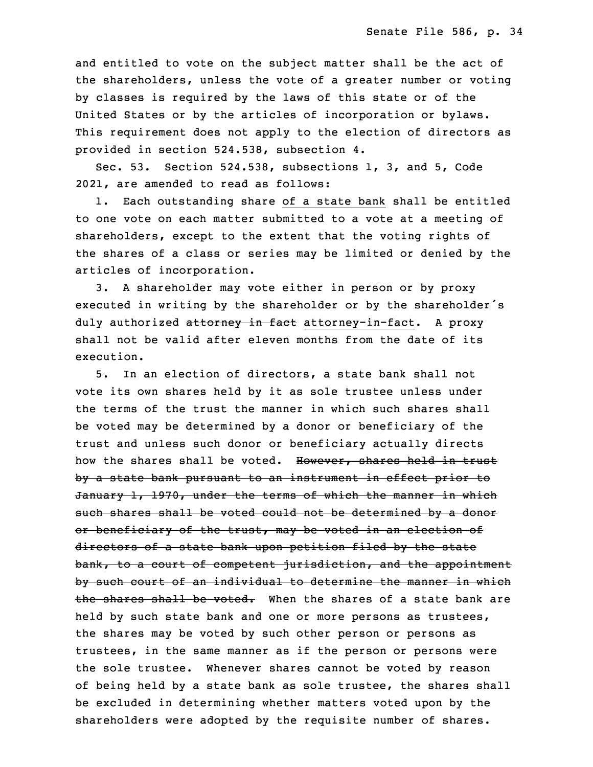and entitled to vote on the subject matter shall be the act of the shareholders, unless the vote of a greater number or voting by classes is required by the laws of this state or of the United States or by the articles of incorporation or bylaws. This requirement does not apply to the election of directors as provided in section 524.538, subsection 4.

5 Sec. 53. Section 524.538, subsections 1, 3, and 5, Code 2021, are amended to read as follows:

1. Each outstanding share of a state bank shall be entitled to one vote on each matter submitted to a vote at a meeting of shareholders, except to the extent that the voting rights of the shares of a class or series may be limited or denied by the articles of incorporation.

 3. <sup>A</sup> shareholder may vote either in person or by proxy executed in writing by the shareholder or by the shareholder's duly authorized attorney in fact attorney-in-fact. A proxy shall not be valid after eleven months from the date of its execution.

5. In an election of directors, a state bank shall not vote its own shares held by it as sole trustee unless under the terms of the trust the manner in which such shares shall be voted may be determined by a donor or beneficiary of the trust and unless such donor or beneficiary actually directs how the shares shall be voted. However, shares held in trust by a state bank pursuant to an instrument in effect prior to January 1, 1970, under the terms of which the manner in which such shares shall be voted could not be determined by a donor or beneficiary of the trust, may be voted in an election of directors of a state bank upon petition filed by the state bank, to a court of competent jurisdiction, and the appointment by such court of an individual to determine the manner in which the shares shall be voted. When the shares of a state bank are held by such state bank and one or more persons as trustees, the shares may be voted by such other person or persons as trustees, in the same manner as if the person or persons were the sole trustee. Whenever shares cannot be voted by reason of being held by a state bank as sole trustee, the shares shall be excluded in determining whether matters voted upon by the shareholders were adopted by the requisite number of shares.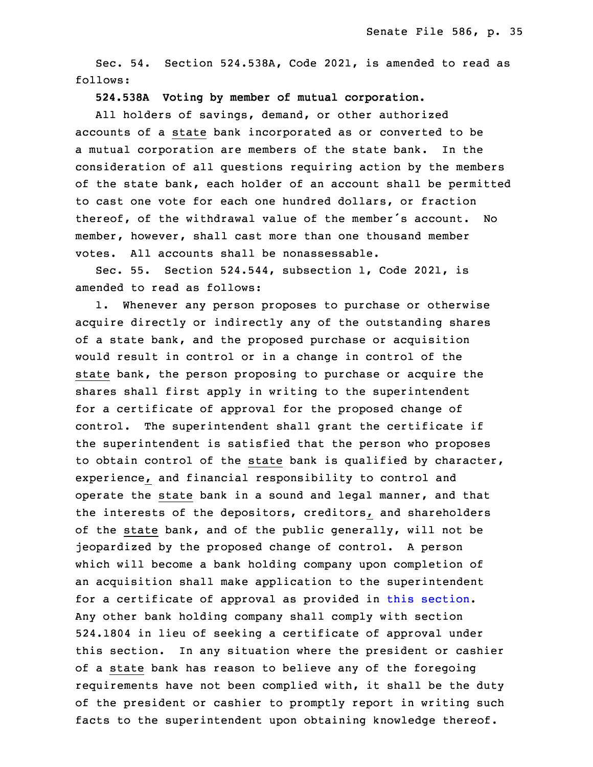3 Sec. 54. Section 524.538A, Code 2021, is amended to read as follows:

# 5 **524.538A Voting by member of mutual corporation.**

All holders of savings, demand, or other authorized accounts of a state bank incorporated as or converted to be a mutual corporation are members of the state bank. In the consideration of all questions requiring action by the members of the state bank, each holder of an account shall be permitted to cast one vote for each one hundred dollars, or fraction thereof, of the withdrawal value of the member's account. No member, however, shall cast more than one thousand member votes. All accounts shall be nonassessable.

Sec. 55. Section 524.544, subsection  $1$ , Code 2021, is amended to read as follows:

1. Whenever any person proposes to purchase or otherwise acquire directly or indirectly any of the outstanding shares of a state bank, and the proposed purchase or acquisition would result in control or in a change in control of the state bank, the person proposing to purchase or acquire the shares shall first apply in writing to the superintendent for a certificate of approval for the proposed change of control. The superintendent shall grant the certificate if the superintendent is satisfied that the person who proposes to obtain control of the state bank is qualified by character, experience, and financial responsibility to control and operate the state bank in a sound and legal manner, and that the interests of the depositors, creditors, and shareholders of the state bank, and of the public generally, will not be jeopardized by the proposed change of control. A person which will become a bank holding company upon completion of an acquisition shall make application to the superintendent for a certificate of approval as provided in this [section](https://www.legis.iowa.gov/docs/code/2022/524.544.pdf). Any other bank holding company shall comply with section 524.1804 in lieu of seeking <sup>a</sup> certificate of approval under this section. In any situation where the president or cashier of a state bank has reason to believe any of the foregoing requirements have not been complied with, it shall be the duty of the president or cashier to promptly report in writing such facts to the superintendent upon obtaining knowledge thereof.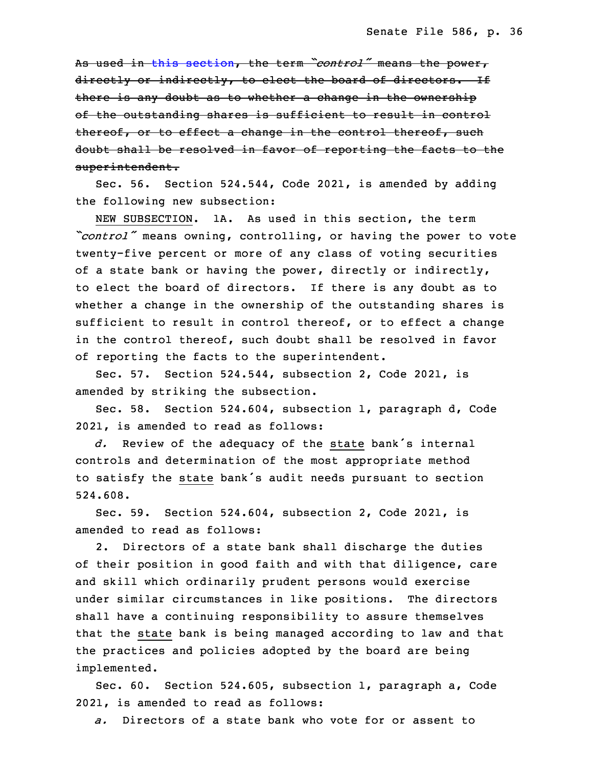<sup>7</sup> As used in this [section](https://www.legis.iowa.gov/docs/code/2022/524.544.pdf), the term *"control"* means the power, directly or indirectly, to elect the board of directors. If there is any doubt as to whether a change in the ownership of the outstanding shares is sufficient to result in control thereof, or to effect a change in the control thereof, such doubt shall be resolved in favor of reporting the facts to the superintendent.

 Sec. 56. Section 524.544, Code 2021, is amended by adding the following new subsection:

NEW SUBSECTION. 1A. As used in this section, the term <sup>17</sup> *"control"* means owning, controlling, or having the power to vote twenty-five percent or more of any class of voting securities of a state bank or having the power, directly or indirectly, to elect the board of directors. If there is any doubt as to whether <sup>a</sup> change in the ownership of the outstanding shares is sufficient to result in control thereof, or to effect <sup>a</sup> change in the control thereof, such doubt shall be resolved in favor of reporting the facts to the superintendent.

Sec. 57. Section 524.544, subsection 2, Code 2021, is amended by striking the subsection.

Sec. 58. Section 524.604, subsection 1, paragraph d, Code 2021, is amended to read as follows:

d. Review of the adequacy of the state bank's internal controls and determination of the most appropriate method to satisfy the state bank's audit needs pursuant to section 32 524.608.

Sec. 59. Section 524.604, subsection 2, Code 2021, is amended to read as follows:

2. Directors of a state bank shall discharge the duties of their position in good faith and with that diligence, care and skill which ordinarily prudent persons would exercise under similar circumstances in like positions. The directors shall have <sup>a</sup> continuing responsibility to assure themselves that the state bank is being managed according to law and that the practices and policies adopted by the board are being implemented.

8 Sec. 60. Section 524.605, subsection 1, paragraph a, Code 2021, is amended to read as follows:

a. Directors of a state bank who vote for or assent to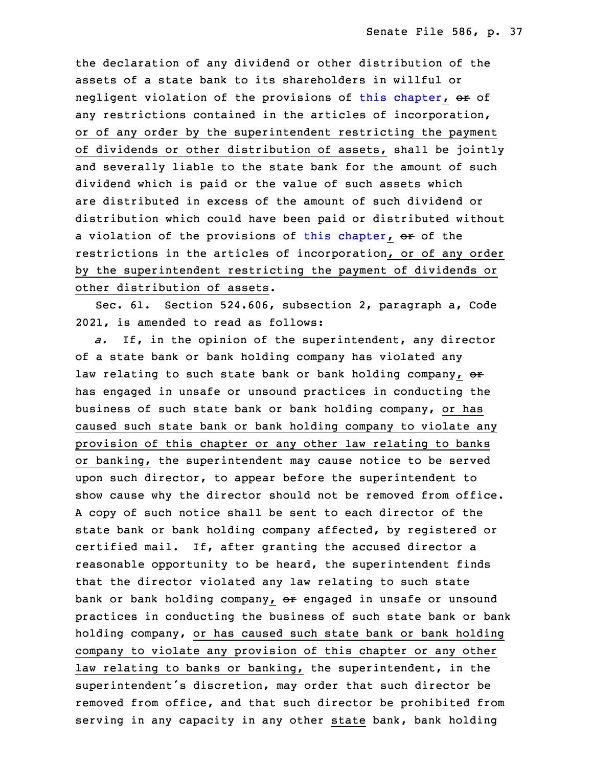the declaration of any dividend or other distribution of the assets of <sup>a</sup> state bank to its shareholders in willful or negligent violation of the provisions of this [chapter](https://www.legis.iowa.gov/docs/code/2022/524.pdf), or of any restrictions contained in the articles of incorporation, or of any order by the superintendent restricting the payment of dividends or other distribution of assets, shall be jointly and severally liable to the state bank for the amount of such dividend which is paid or the value of such assets which are distributed in excess of the amount of such dividend or distribution which could have been paid or distributed without a violation of the provisions of this [chapter](https://www.legis.iowa.gov/docs/code/2022/524.pdf), or of the restrictions in the articles of incorporation, or of any order by the superintendent restricting the payment of dividends or other distribution of assets.

Sec. 61. Section 524.606, subsection 2, paragraph a, Code 26 2021, is amended to read as follows:

27 *a.* If, in the opinion of the superintendent, any director of a state bank or bank holding company has violated any law relating to such state bank or bank holding company, or has engaged in unsafe or unsound practices in conducting the business of such state bank or bank holding company, or has caused such state bank or bank holding company to violate any provision of this chapter or any other law relating to banks or banking, the superintendent may cause notice to be served upon such director, to appear before the superintendent to show cause why the director should not be removed from office. <sup>A</sup> copy of such notice shall be sent to each director of the state bank or bank holding company affected, by registered or certified mail. If, after granting the accused director <sup>a</sup> reasonable opportunity to be heard, the superintendent finds that the director violated any law relating to such state bank or bank holding company, or engaged in unsafe or unsound practices in conducting the business of such state bank or bank holding company, or has caused such state bank or bank holding company to violate any provision of this chapter or any other law relating to banks or banking, the superintendent, in the superintendent's discretion, may order that such director be removed from office, and that such director be prohibited from serving in any capacity in any other state bank, bank holding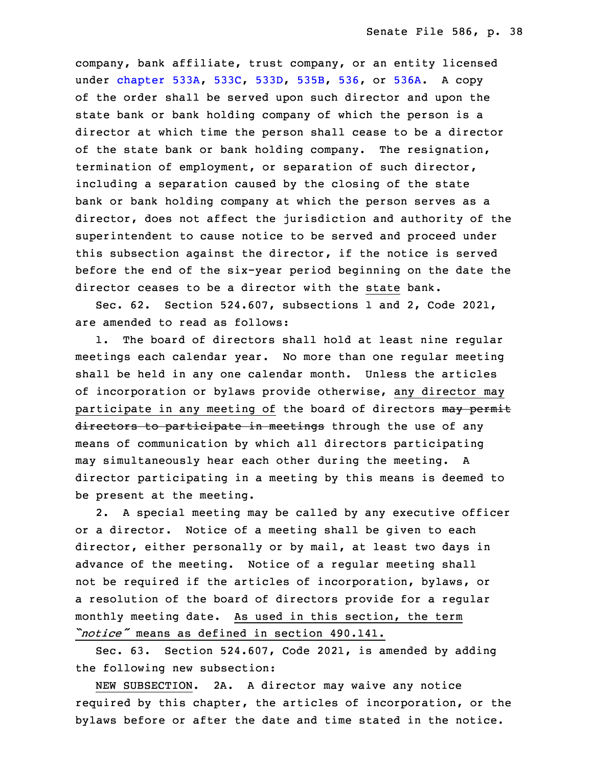company, bank affiliate, trust company, or an entity licensed under [chapter](https://www.legis.iowa.gov/docs/code/2022/533A.pdf) 533A, [533C](https://www.legis.iowa.gov/docs/code/2022/533C.pdf), [533D](https://www.legis.iowa.gov/docs/code/2022/533D.pdf), [535B](https://www.legis.iowa.gov/docs/code/2022/535B.pdf), [536](https://www.legis.iowa.gov/docs/code/2022/536.pdf), or [536A](https://www.legis.iowa.gov/docs/code/2022/536A.pdf). A copy of the order shall be served upon such director and upon the state bank or bank holding company of which the person is a director at which time the person shall cease to be a director of the state bank or bank holding company. The resignation, termination of employment, or separation of such director, including <sup>a</sup> separation caused by the closing of the state bank or bank holding company at which the person serves as a director, does not affect the jurisdiction and authority of the superintendent to cause notice to be served and proceed under this subsection against the director, if the notice is served before the end of the six-year period beginning on the date the director ceases to be a director with the state bank.

Sec. 62. Section 524.607, subsections 1 and 2, Code 2021, are amended to read as follows:

1. The board of directors shall hold at least nine regular meetings each calendar year. No more than one regular meeting shall be held in any one calendar month. Unless the articles of incorporation or bylaws provide otherwise, any director may participate in any meeting of the board of directors may permit directors to participate in meetings through the use of any means of communication by which all directors participating may simultaneously hear each other during the meeting. A director participating in <sup>a</sup> meeting by this means is deemed to be present at the meeting.

2. A special meeting may be called by any executive officer or a director. Notice of a meeting shall be given to each director, either personally or by mail, at least two days in advance of the meeting. Notice of a regular meeting shall not be required if the articles of incorporation, bylaws, or <sup>a</sup> resolution of the board of directors provide for <sup>a</sup> regular monthly meeting date. As used in this section, the term 13 *"notice"* means as defined in section 490.141.

 Sec. 63. Section 524.607, Code 2021, is amended by adding the following new subsection:

NEW SUBSECTION. 2A. A director may waive any notice required by this chapter, the articles of incorporation, or the bylaws before or after the date and time stated in the notice.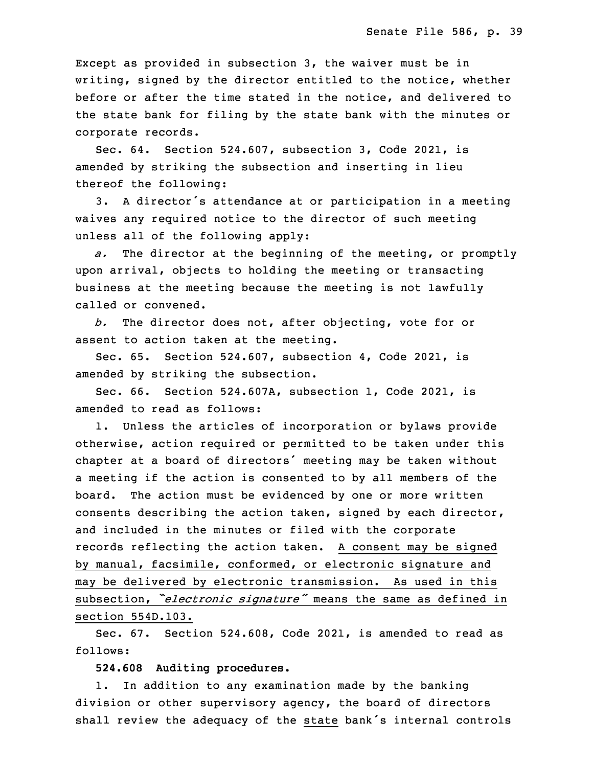Except as provided in subsection  $3$ , the waiver must be in writing, signed by the director entitled to the notice, whether before or after the time stated in the notice, and delivered to the state bank for filing by the state bank with the minutes or corporate records.

 Sec. 64. Section 524.607, subsection 3, Code 2021, is amended by striking the subsection and inserting in lieu thereof the following:

3. A director's attendance at or participation in a meeting waives any required notice to the director of such meeting unless all of the following apply:

a. The director at the beginning of the meeting, or promptly upon arrival, objects to holding the meeting or transacting business at the meeting because the meeting is not lawfully called or convened.

34 *b.* The director does not, after objecting, vote for or assent to action taken at the meeting.

 Sec. 65. Section 524.607, subsection 4, Code 2021, is amended by striking the subsection.

3 Sec. 66. Section 524.607A, subsection 1, Code 2021, is amended to read as follows:

1. Unless the articles of incorporation or bylaws provide otherwise, action required or permitted to be taken under this chapter at a board of directors' meeting may be taken without a meeting if the action is consented to by all members of the board. The action must be evidenced by one or more written consents describing the action taken, signed by each director, and included in the minutes or filed with the corporate records reflecting the action taken. <sup>A</sup> consent may be signed by manual, facsimile, conformed, or electronic signature and may be delivered by electronic transmission. As used in this subsection, *"electronic signature"* means the same as defined in section 554D.103.

Sec. 67. Section 524.608, Code 2021, is amended to read as follows:

19 **524.608 Auditing procedures.**

1. In addition to any examination made by the banking division or other supervisory agency, the board of directors shall review the adequacy of the state bank's internal controls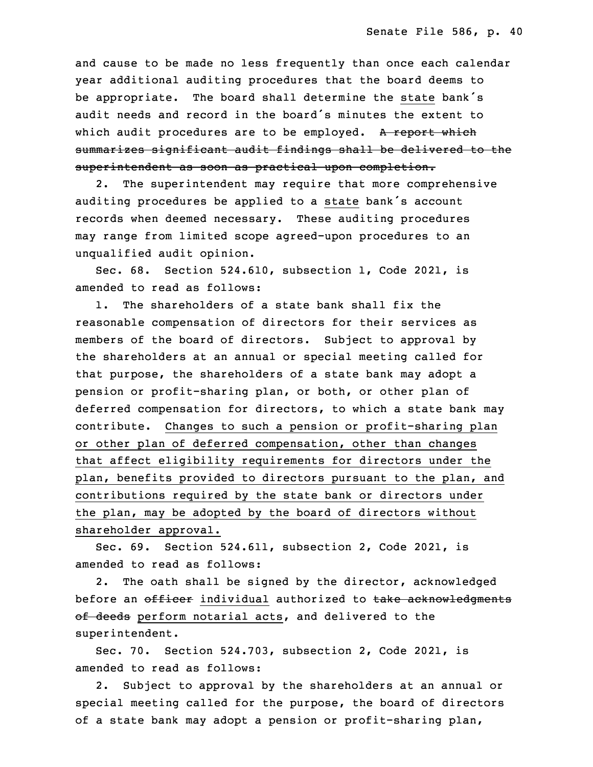and cause to be made no less frequently than once each calendar year additional auditing procedures that the board deems to be appropriate. The board shall determine the state bank's audit needs and record in the board's minutes the extent to which audit procedures are to be employed. A report which summarizes significant audit findings shall be delivered to the superintendent as soon as practical upon completion.

2. The superintendent may require that more comprehensive auditing procedures be applied to a state bank's account records when deemed necessary. These auditing procedures may range from limited scope agreed-upon procedures to an unqualified audit opinion.

35 Sec. 68. Section 524.610, subsection 1, Code 2021, is amended to read as follows:

 1. The shareholders of <sup>a</sup> state bank shall fix the reasonable compensation of directors for their services as members of the board of directors. Subject to approval by the shareholders at an annual or special meeting called for that purpose, the shareholders of a state bank may adopt a pension or profit-sharing plan, or both, or other plan of deferred compensation for directors, to which a state bank may contribute. Changes to such a pension or profit-sharing plan or other plan of deferred compensation, other than changes that affect eligibility requirements for directors under the plan, benefits provided to directors pursuant to the plan, and contributions required by the state bank or directors under the plan, may be adopted by the board of directors without shareholder approval.

Sec. 69. Section 524.611, subsection 2, Code 2021, is amended to read as follows:

2. The oath shall be signed by the director, acknowledged before an officer individual authorized to take acknowledgments of deeds perform notarial acts, and delivered to the superintendent.

 Sec. 70. Section 524.703, subsection 2, Code 2021, is amended to read as follows:

 2. Subject to approval by the shareholders at an annual or special meeting called for the purpose, the board of directors of a state bank may adopt a pension or profit-sharing plan,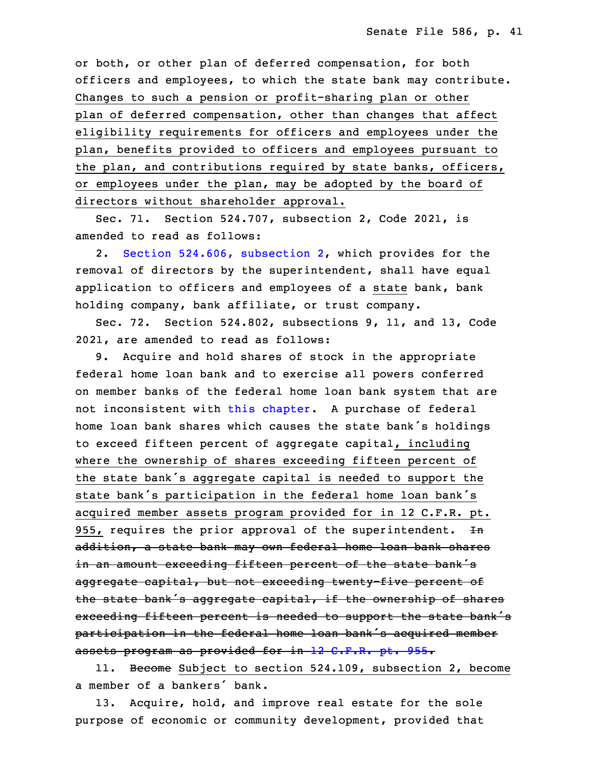or both, or other plan of deferred compensation, for both officers and employees, to which the state bank may contribute. Changes to such a pension or profit-sharing plan or other plan of deferred compensation, other than changes that affect eligibility requirements for officers and employees under the plan, benefits provided to officers and employees pursuant to the plan, and contributions required by state banks, officers, or employees under the plan, may be adopted by the board of directors without shareholder approval.

 Sec. 71. Section 524.707, subsection 2, Code 2021, is amended to read as follows:

2. Section 524.606, [subsection](https://www.legis.iowa.gov/docs/code/2022/524.606.pdf) 2, which provides for the removal of directors by the superintendent, shall have equal application to officers and employees of a state bank, bank holding company, bank affiliate, or trust company.

Sec. 72. Section 524.802, subsections 9, 11, and 13, Code 2021, are amended to read as follows:

9. Acquire and hold shares of stock in the appropriate federal home loan bank and to exercise all powers conferred on member banks of the federal home loan bank system that are not inconsistent with this [chapter](https://www.legis.iowa.gov/docs/code/2022/524.pdf). <sup>A</sup> purchase of federal home loan bank shares which causes the state bank's holdings to exceed fifteen percent of aggregate capital, including where the ownership of shares exceeding fifteen percent of the state bank's aggregate capital is needed to support the state bank's participation in the federal home loan bank's acquired member assets program provided for in 12 C.F.R. pt. 955, requires the prior approval of the superintendent.  $+n$ addition, a state bank may own federal home loan bank shares in an amount exceeding fifteen percent of the state bank's aggregate capital, but not exceeding twenty-five percent of the state bank's aggregate capital, if the ownership of shares exceeding fifteen percent is needed to support the state bank's participation in the federal home loan bank's acquired member assets program as provided for in 12 C.F.R. pt. 955.

11. Become Subject to section 524.109, subsection 2, become a member of a bankers' bank.

13. Acquire, hold, and improve real estate for the sole purpose of economic or community development, provided that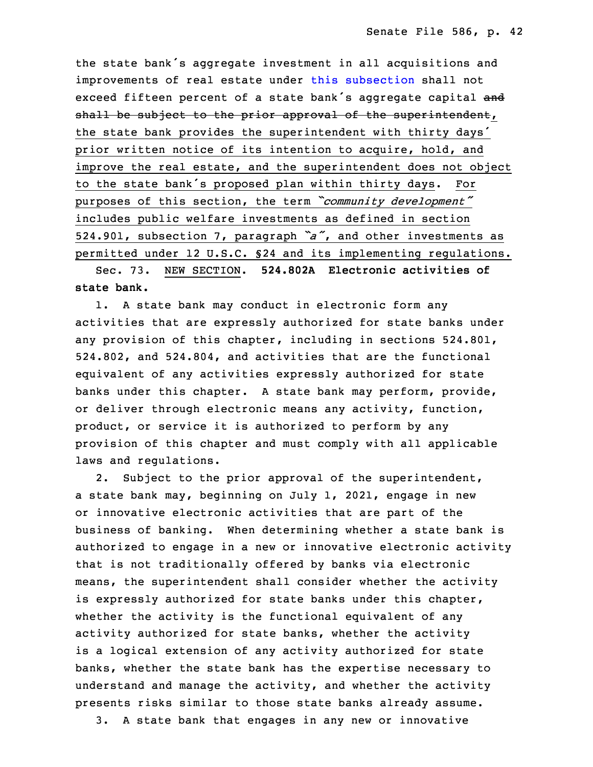the state bank's aggregate investment in all acquisitions and improvements of real estate under this [subsection](https://www.legis.iowa.gov/docs/code/2022/524.802.pdf) shall not exceed fifteen percent of a state bank's aggregate capital and shall be subject to the prior approval of the superintendent, the state bank provides the superintendent with thirty days' prior written notice of its intention to acquire, hold, and improve the real estate, and the superintendent does not object to the state bank's proposed plan within thirty days. For purposes of this section, the term *"community development"* includes public welfare investments as defined in section <sup>6</sup> 524.901, subsection 7, paragraph *"a"*, and other investments as permitted under 12 U.S.C. §24 and its implementing regulations.

8 Sec. 73. NEW SECTION. **524.802A Electronic activities of** 9 **state bank.**

1. A state bank may conduct in electronic form any activities that are expressly authorized for state banks under any provision of this chapter, including in sections 524.801, 524.802, and 524.804, and activities that are the functional equivalent of any activities expressly authorized for state banks under this chapter. A state bank may perform, provide, or deliver through electronic means any activity, function, product, or service it is authorized to perform by any provision of this chapter and must comply with all applicable laws and regulations.

2. Subject to the prior approval of the superintendent, <sup>a</sup> state bank may, beginning on July 1, 2021, engage in new or innovative electronic activities that are part of the business of banking. When determining whether a state bank is authorized to engage in <sup>a</sup> new or innovative electronic activity that is not traditionally offered by banks via electronic means, the superintendent shall consider whether the activity is expressly authorized for state banks under this chapter, whether the activity is the functional equivalent of any activity authorized for state banks, whether the activity is a logical extension of any activity authorized for state banks, whether the state bank has the expertise necessary to understand and manage the activity, and whether the activity presents risks similar to those state banks already assume. 3. A state bank that engages in any new or innovative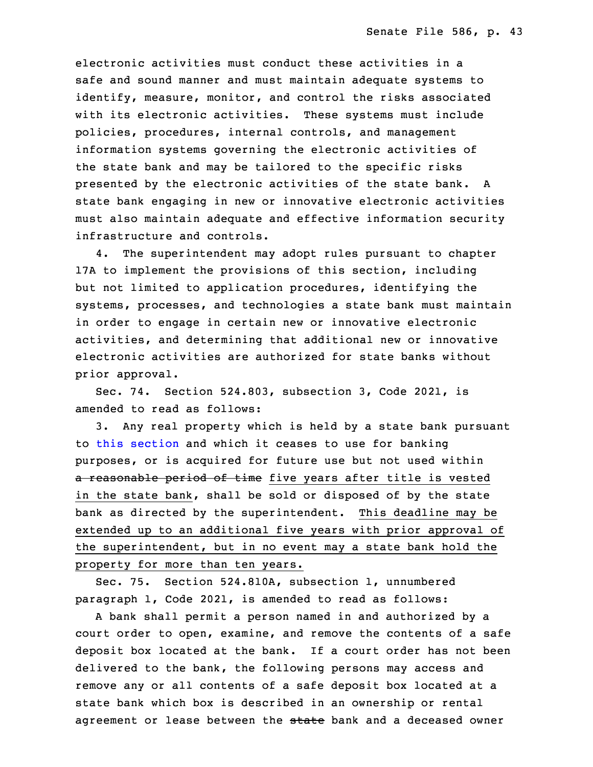electronic activities must conduct these activities in a safe and sound manner and must maintain adequate systems to identify, measure, monitor, and control the risks associated with its electronic activities. These systems must include policies, procedures, internal controls, and management information systems governing the electronic activities of the state bank and may be tailored to the specific risks presented by the electronic activities of the state bank. A state bank engaging in new or innovative electronic activities must also maintain adequate and effective information security infrastructure and controls.

 4. The superintendent may adopt rules pursuant to chapter 17A to implement the provisions of this section, including but not limited to application procedures, identifying the systems, processes, and technologies <sup>a</sup> state bank must maintain in order to engage in certain new or innovative electronic activities, and determining that additional new or innovative electronic activities are authorized for state banks without prior approval.

Sec. 74. Section 524.803, subsection 3, Code 2021, is amended to read as follows:

 3. Any real property which is held by <sup>a</sup> state bank pursuant to this [section](https://www.legis.iowa.gov/docs/code/2022/524.803.pdf) and which it ceases to use for banking purposes, or is acquired for future use but not used within a reasonable period of time five years after title is vested in the state bank, shall be sold or disposed of by the state bank as directed by the superintendent. This deadline may be extended up to an additional five years with prior approval of the superintendent, but in no event may a state bank hold the property for more than ten years.

Sec. 75. Section 524.810A, subsection 1, unnumbered paragraph 1, Code 2021, is amended to read as follows:

A bank shall permit a person named in and authorized by a court order to open, examine, and remove the contents of a safe deposit box located at the bank. If a court order has not been delivered to the bank, the following persons may access and remove any or all contents of <sup>a</sup> safe deposit box located at <sup>a</sup> state bank which box is described in an ownership or rental agreement or lease between the state bank and a deceased owner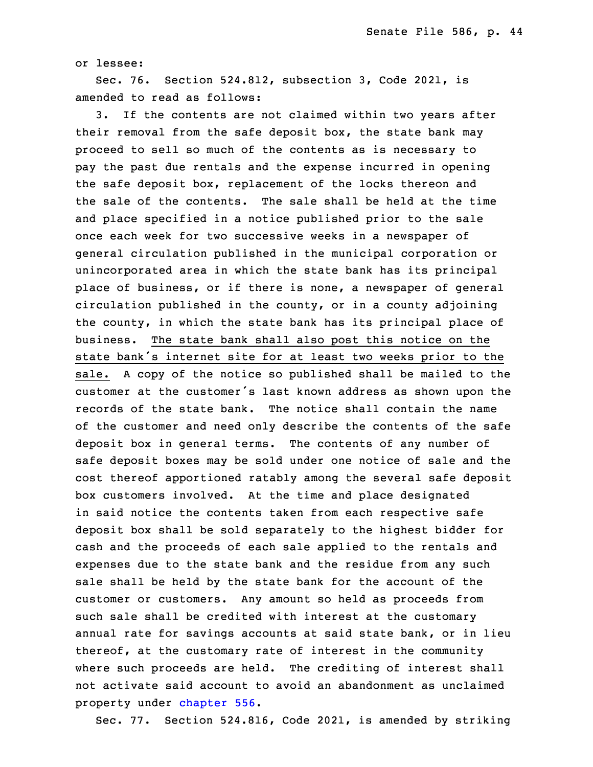or lessee:

5 Sec. 76. Section 524.812, subsection 3, Code 2021, is amended to read as follows:

3. If the contents are not claimed within two years after their removal from the safe deposit box, the state bank may 9 proceed to sell so much of the contents as is necessary to pay the past due rentals and the expense incurred in opening the safe deposit box, replacement of the locks thereon and the sale of the contents. The sale shall be held at the time and place specified in a notice published prior to the sale once each week for two successive weeks in <sup>a</sup> newspaper of 15 general circulation published in the municipal corporation or unincorporated area in which the state bank has its principal place of business, or if there is none, a newspaper of general  $circulation$  published in the county, or in a county adjoining the county, in which the state bank has its principal place of business. The state bank shall also post this notice on the state bank's internet site for at least two weeks prior to the sale. <sup>A</sup> copy of the notice so published shall be mailed to the customer at the customer's last known address as shown upon the records of the state bank. The notice shall contain the name of the customer and need only describe the contents of the safe deposit box in general terms. The contents of any number of safe deposit boxes may be sold under one notice of sale and the cost thereof apportioned ratably among the several safe deposit box customers involved. At the time and place designated in said notice the contents taken from each respective safe deposit box shall be sold separately to the highest bidder for cash and the proceeds of each sale applied to the rentals and expenses due to the state bank and the residue from any such sale shall be held by the state bank for the account of the customer or customers. Any amount so held as proceeds from such sale shall be credited with interest at the customary annual rate for savings accounts at said state bank, or in lieu thereof, at the customary rate of interest in the community where such proceeds are held. The crediting of interest shall not activate said account to avoid an abandonment as unclaimed property under [chapter](https://www.legis.iowa.gov/docs/code/2022/556.pdf) 556.

Sec. 77. Section 524.816, Code 2021, is amended by striking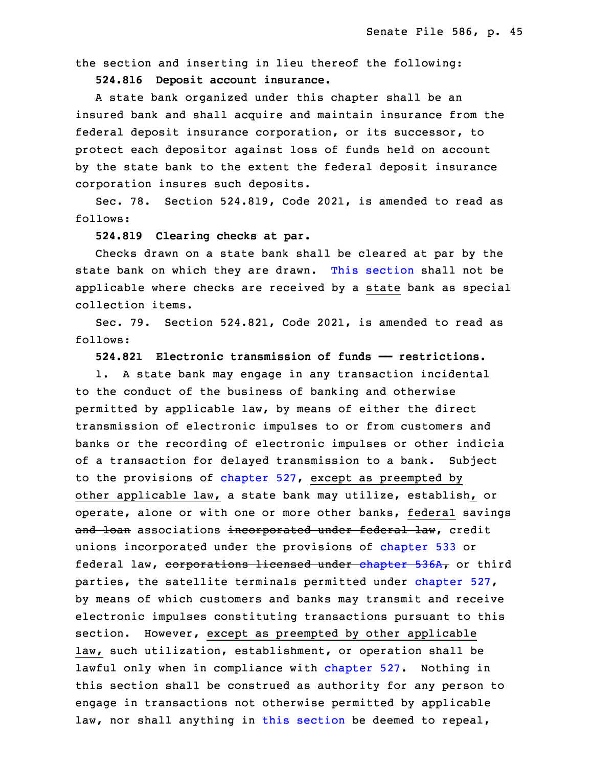the section and inserting in lieu thereof the following:

9 **524.816 Deposit account insurance.**

A state bank organized under this chapter shall be an insured bank and shall acquire and maintain insurance from the federal deposit insurance corporation, or its successor, to protect each depositor against loss of funds held on account by the state bank to the extent the federal deposit insurance corporation insures such deposits.

Sec. 78. Section 524.819, Code 2021, is amended to read as follows:

## 18 **524.819 Clearing checks at par.**

Checks drawn on a state bank shall be cleared at par by the state bank on which they are drawn. This [section](https://www.legis.iowa.gov/docs/code/2022/524.819.pdf) shall not be applicable where checks are received by <sup>a</sup> state bank as special collection items.

Sec. 79. Section 524.821, Code 2021, is amended to read as follows:

25 **524.821 Electronic transmission of funds —— restrictions.**

1. A state bank may engage in any transaction incidental to the conduct of the business of banking and otherwise permitted by applicable law, by means of either the direct transmission of electronic impulses to or from customers and banks or the recording of electronic impulses or other indicia of a transaction for delayed transmission to a bank. Subject to the provisions of [chapter](https://www.legis.iowa.gov/docs/code/2022/527.pdf) 527, except as preempted by other applicable law, a state bank may utilize, establish, or operate, alone or with one or more other banks, federal savings and loan associations incorporated under federal law, credit unions incorporated under the provisions of [chapter](https://www.legis.iowa.gov/docs/code/2022/533.pdf) 533 or federal law, corporations licensed under [chapter](https://www.legis.iowa.gov/docs/code/2022/536A.pdf) 536A, or third parties, the satellite terminals permitted under [chapter](https://www.legis.iowa.gov/docs/code/2022/527.pdf) 527, by means of which customers and banks may transmit and receive electronic impulses constituting transactions pursuant to this section. However, except as preempted by other applicable law, such utilization, establishment, or operation shall be lawful only when in compliance with [chapter](https://www.legis.iowa.gov/docs/code/2022/527.pdf) 527. Nothing in this section shall be construed as authority for any person to engage in transactions not otherwise permitted by applicable law, nor shall anything in this [section](https://www.legis.iowa.gov/docs/code/2022/524.821.pdf) be deemed to repeal,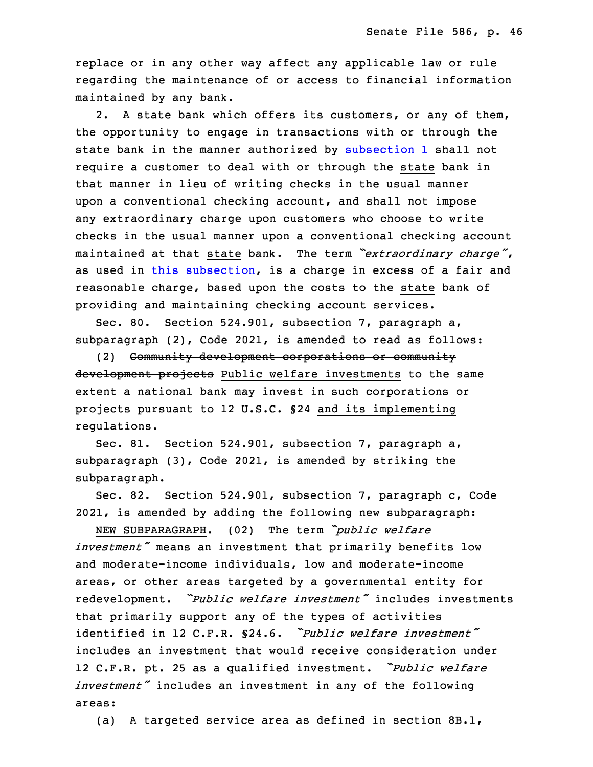replace or in any other way affect any applicable law or rule regarding the maintenance of or access to financial information maintained by any bank.

2. A state bank which offers its customers, or any of them, the opportunity to engage in transactions with or through the state bank in the manner authorized by [subsection](https://www.legis.iowa.gov/docs/code/2022/524.821.pdf) 1 shall not require a customer to deal with or through the state bank in that manner in lieu of writing checks in the usual manner upon a conventional checking account, and shall not impose any extraordinary charge upon customers who choose to write checks in the usual manner upon <sup>a</sup> conventional checking account <sup>23</sup> maintained at that state bank. The term *"extraordinary charge"*, as used in this [subsection](https://www.legis.iowa.gov/docs/code/2022/524.821.pdf), is <sup>a</sup> charge in excess of <sup>a</sup> fair and reasonable charge, based upon the costs to the state bank of providing and maintaining checking account services.

Sec. 80. Section 524.901, subsection 7, paragraph a, subparagraph (2), Code 2021, is amended to read as follows:

29 (2) Community development corporations or community development projects Public welfare investments to the same extent a national bank may invest in such corporations or projects pursuant to 12 U.S.C. §24 and its implementing regulations.

Sec. 81. Section 524.901, subsection 7, paragraph a, subparagraph  $(3)$ , Code 2021, is amended by striking the subparagraph.

 Sec. 82. Section 524.901, subsection 7, paragraph c, Code 3 2021, is amended by adding the following new subparagraph:

 NEW SUBPARAGRAPH. (02) The term *"public welfare* investment<sup>*"*</sup> means an investment that primarily benefits low and moderate-income individuals, low and moderate-income areas, or other areas targeted by a governmental entity for <sup>8</sup> redevelopment. *"Public welfare investment"* includes investments that primarily support any of the types of activities 10 identified in 12 C.F.R. §24.6. *"Public welfare investment"* includes an investment that would receive consideration under <sup>12</sup> C.F.R. pt. <sup>25</sup> as <sup>a</sup> qualified investment. *"Public welfare* investment<sup>*"*</sup> includes an investment in any of the following areas:

(a) A targeted service area as defined in section 8B.1,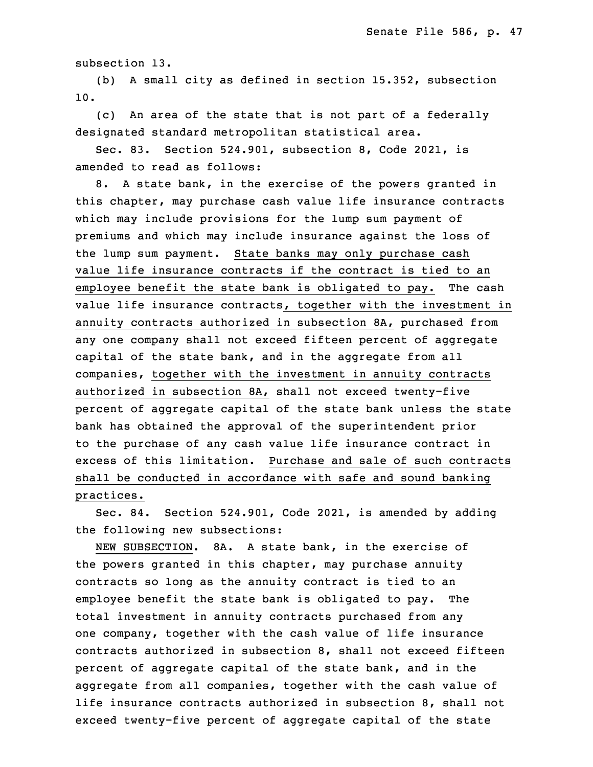subsection 13.

(b) A small city as defined in section  $15.352$ , subsection 18 10.

(c) An area of the state that is not part of a federally designated standard metropolitan statistical area.

 Sec. 83. Section 524.901, subsection 8, Code 2021, is amended to read as follows:

8. A state bank, in the exercise of the powers granted in this chapter, may purchase cash value life insurance contracts which may include provisions for the lump sum payment of premiums and which may include insurance against the loss of the lump sum payment. State banks may only purchase cash value life insurance contracts if the contract is tied to an employee benefit the state bank is obligated to pay. The cash value life insurance contracts, together with the investment in annuity contracts authorized in subsection 8A, purchased from any one company shall not exceed fifteen percent of aggregate capital of the state bank, and in the aggregate from all companies, together with the investment in annuity contracts authorized in subsection 8A, shall not exceed twenty-five percent of aggregate capital of the state bank unless the state bank has obtained the approval of the superintendent prior to the purchase of any cash value life insurance contract in excess of this limitation. Purchase and sale of such contracts shall be conducted in accordance with safe and sound banking practices.

Sec. 84. Section 524.901, Code 2021, is amended by adding the following new subsections:

NEW SUBSECTION. 8A. A state bank, in the exercise of the powers granted in this chapter, may purchase annuity contracts so long as the annuity contract is tied to an employee benefit the state bank is obligated to pay. The total investment in annuity contracts purchased from any one company, together with the cash value of life insurance contracts authorized in subsection 8, shall not exceed fifteen percent of aggregate capital of the state bank, and in the aggregate from all companies, together with the cash value of life insurance contracts authorized in subsection  $8$ , shall not exceed twenty-five percent of aggregate capital of the state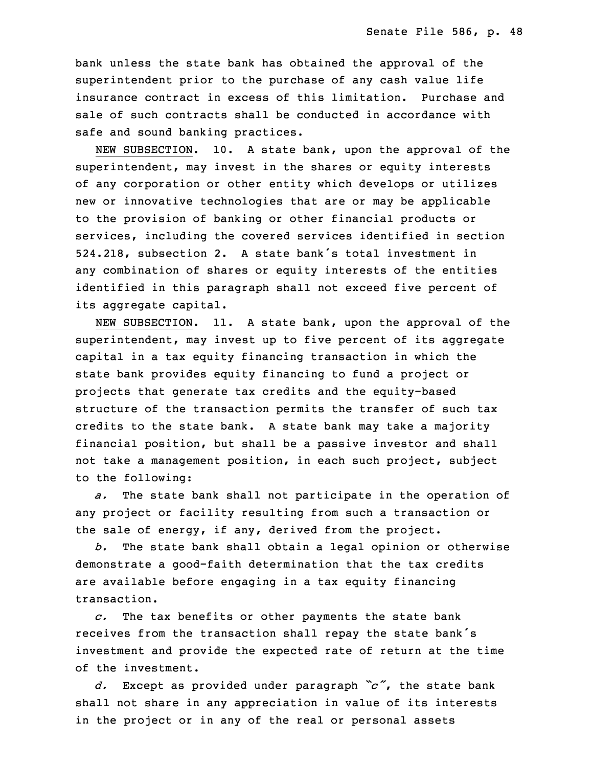bank unless the state bank has obtained the approval of the superintendent prior to the purchase of any cash value life insurance contract in excess of this limitation. Purchase and sale of such contracts shall be conducted in accordance with safe and sound banking practices.

NEW SUBSECTION. 10. A state bank, upon the approval of the superintendent, may invest in the shares or equity interests of any corporation or other entity which develops or utilizes new or innovative technologies that are or may be applicable to the provision of banking or other financial products or services, including the covered services identified in section 31 524.218, subsection 2. <sup>A</sup> state bank's total investment in any combination of shares or equity interests of the entities identified in this paragraph shall not exceed five percent of its aggregate capital.

NEW SUBSECTION. 11. A state bank, upon the approval of the superintendent, may invest up to five percent of its aggregate capital in <sup>a</sup> tax equity financing transaction in which the state bank provides equity financing to fund a project or projects that generate tax credits and the equity-based structure of the transaction permits the transfer of such tax credits to the state bank. A state bank may take a majority financial position, but shall be a passive investor and shall not take a management position, in each such project, subject to the following:

a. The state bank shall not participate in the operation of any project or facility resulting from such <sup>a</sup> transaction or the sale of energy, if any, derived from the project.

13 *b.* The state bank shall obtain <sup>a</sup> legal opinion or otherwise demonstrate <sup>a</sup> good-faith determination that the tax credits are available before engaging in a tax equity financing transaction.

17 *c.* The tax benefits or other payments the state bank receives from the transaction shall repay the state bank's investment and provide the expected rate of return at the time of the investment.

 *d.* Except as provided under paragraph *"c"*, the state bank shall not share in any appreciation in value of its interests in the project or in any of the real or personal assets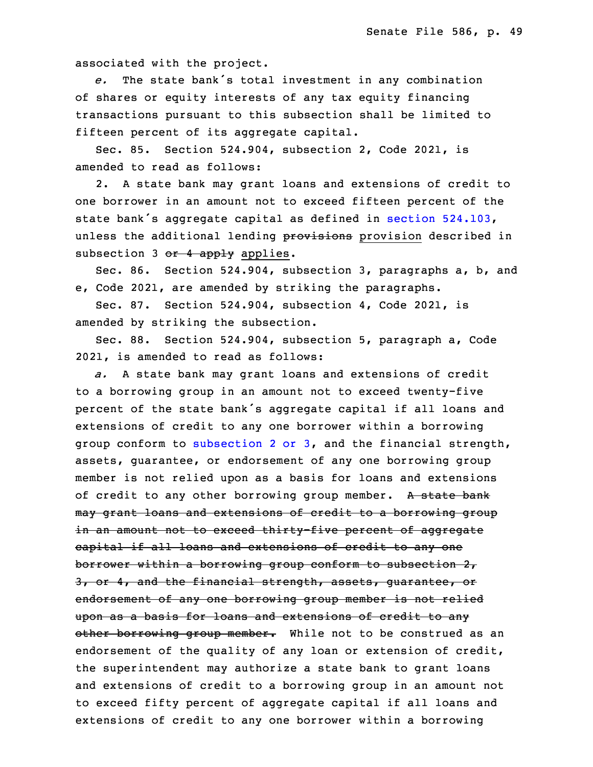associated with the project.

e. The state bank's total investment in any combination of shares or equity interests of any tax equity financing transactions pursuant to this subsection shall be limited to fifteen percent of its aggregate capital.

Sec. 85. Section  $524.904$ , subsection 2, Code 2021, is amended to read as follows:

2. A state bank may grant loans and extensions of credit to one borrower in an amount not to exceed fifteen percent of the state bank's aggregate capital as defined in section [524.103](https://www.legis.iowa.gov/docs/code/2022/524.103.pdf), unless the additional lending provisions provision described in subsection 3 or 4 apply applies.

 Sec. 86. Section 524.904, subsection 3, paragraphs a, b, and e, Code 2021, are amended by striking the paragraphs.

Sec. 87. Section 524.904, subsection 4, Code 2021, is amended by striking the subsection.

5 Sec. 88. Section 524.904, subsection 5, paragraph a, Code 2021, is amended to read as follows:

a. A state bank may grant loans and extensions of credit to a borrowing group in an amount not to exceed twenty-five percent of the state bank's aggregate capital if all loans and extensions of credit to any one borrower within a borrowing group conform to [subsection](https://www.legis.iowa.gov/docs/code/2022/524.904.pdf) 2 or 3, and the financial strength, assets, guarantee, or endorsement of any one borrowing group member is not relied upon as a basis for loans and extensions of credit to any other borrowing group member. A state bank may grant loans and extensions of credit to a borrowing group in an amount not to exceed thirty-five percent of aggregate eapital if all loans and extensions of credit to any one borrower within a borrowing group conform to subsection 2, 3, or 4, and the financial strength, assets, quarantee, or endorsement of any one borrowing group member is not relied upon as <sup>a</sup> basis for loans and extensions of credit to any other borrowing group member. While not to be construed as an endorsement of the quality of any loan or extension of credit, the superintendent may authorize <sup>a</sup> state bank to grant loans and extensions of credit to a borrowing group in an amount not 26 to exceed fifty percent of aggregate capital if all loans and extensions of credit to any one borrower within a borrowing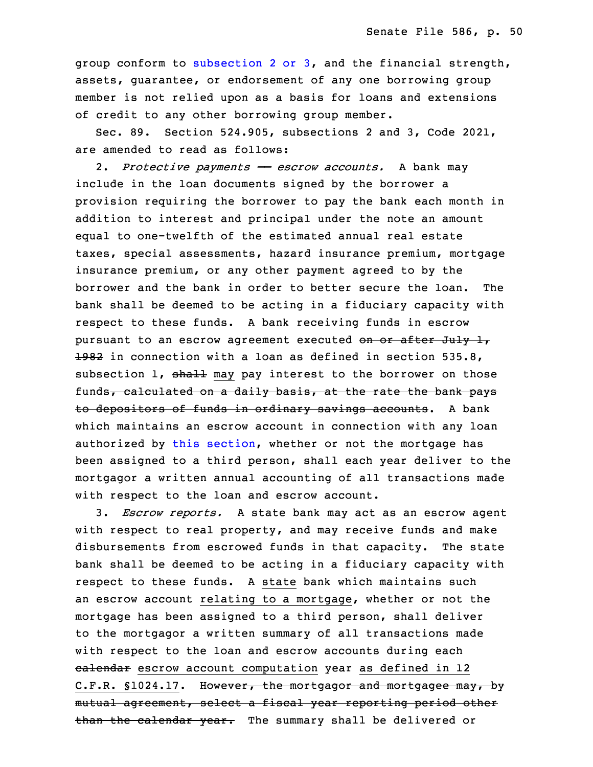group conform to [subsection](https://www.legis.iowa.gov/docs/code/2022/524.904.pdf) 2 or 3, and the financial strength, assets, quarantee, or endorsement of any one borrowing group member is not relied upon as a basis for loans and extensions of credit to any other borrowing group member.

Sec. 89. Section 524.905, subsections 2 and 3, Code 2021, are amended to read as follows:

34 2. *Protective payments —— escrow accounts.* <sup>A</sup> bank may include in the loan documents signed by the borrower a provision requiring the borrower to pay the bank each month in addition to interest and principal under the note an amount equal to one-twelfth of the estimated annual real estate taxes, special assessments, hazard insurance premium, mortgage insurance premium, or any other payment agreed to by the 6 borrower and the bank in order to better secure the loan. The bank shall be deemed to be acting in a fiduciary capacity with respect to these funds. A bank receiving funds in escrow pursuant to an escrow agreement executed on or after July 1, 1982 in connection with a loan as defined in section 535.8, subsection  $1$ , shall may pay interest to the borrower on those funds, calculated on a daily basis, at the rate the bank pays to depositors of funds in ordinary savings accounts. A bank which maintains an escrow account in connection with any loan authorized by this [section](https://www.legis.iowa.gov/docs/code/2022/524.905.pdf), whether or not the mortgage has been assigned to a third person, shall each year deliver to the mortgagor a written annual accounting of all transactions made with respect to the loan and escrow account.

19 3. *Escrow reports.* <sup>A</sup> state bank may act as an escrow agent with respect to real property, and may receive funds and make disbursements from escrowed funds in that capacity. The state bank shall be deemed to be acting in <sup>a</sup> fiduciary capacity with respect to these funds. A state bank which maintains such an escrow account relating to <sup>a</sup> mortgage, whether or not the mortgage has been assigned to a third person, shall deliver 26 to the mortgagor <sup>a</sup> written summary of all transactions made with respect to the loan and escrow accounts during each ealendar escrow account computation year as defined in 12 C.F.R. §1024.17. However, the mortgagor and mortgagee may, by mutual agreement, select a fiscal year reporting period other than the calendar year. The summary shall be delivered or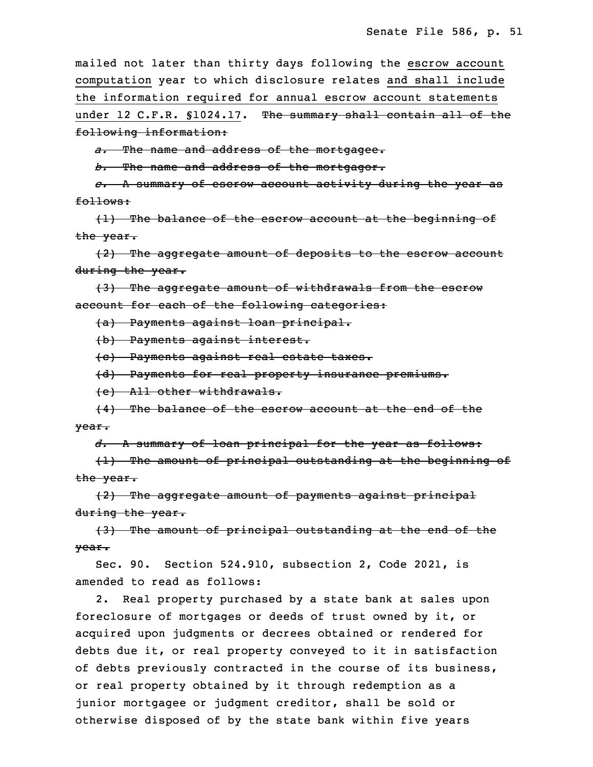mailed not later than thirty days following the escrow account computation year to which disclosure relates and shall include the information required for annual escrow account statements under 12 C.F.R. §1024.17. The summary shall contain all of the following information:

*a.* The name and address of the mortgagee.

b. The name and address of the mortgagor.

 *c.* <sup>A</sup> summary of escrow account activity during the year as follows:

 $(1)$  The balance of the escrow account at the beginning of the year.

8 (2) The aggregate amount of deposits to the escrow account during the year.

10 (3) The aggregate amount of withdrawals from the escrow account for each of the following categories:

(a) Payments against loan principal.

13 (b) Payments against interest.

(c) Payments against real estate taxes.

15 (d) Payments for real property insurance premiums.

16 (e) All other withdrawals.

17 (4) The balance of the escrow account at the end of the 18 year.

19 *d.* <sup>A</sup> summary of loan principal for the year as follows:

 $(1)$  The amount of principal outstanding at the beginning of the year.

 (2) The aggregate amount of payments against principal during the year.

 (3) The amount of principal outstanding at the end of the 25 year.

Sec. 90. Section 524.910, subsection 2, Code 2021, is amended to read as follows:

2. Real property purchased by a state bank at sales upon foreclosure of mortgages or deeds of trust owned by it, or acquired upon judgments or decrees obtained or rendered for debts due it, or real property conveyed to it in satisfaction of debts previously contracted in the course of its business, or real property obtained by it through redemption as a junior mortgagee or judgment creditor, shall be sold or otherwise disposed of by the state bank within five years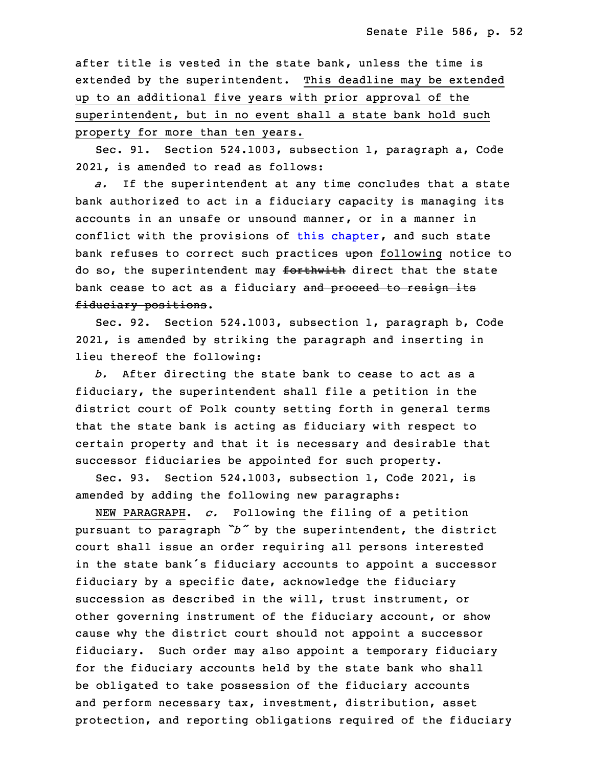after title is vested in the state bank, unless the time is extended by the superintendent. This deadline may be extended up to an additional five years with prior approval of the superintendent, but in no event shall <sup>a</sup> state bank hold such property for more than ten years.

Sec. 91. Section 524.1003, subsection 1, paragraph a, Code 7 2021, is amended to read as follows:

a. If the superintendent at any time concludes that a state bank authorized to act in a fiduciary capacity is managing its accounts in an unsafe or unsound manner, or in a manner in conflict with the provisions of this [chapter](https://www.legis.iowa.gov/docs/code/2022/524.pdf), and such state bank refuses to correct such practices upon following notice to do so, the superintendent may forthwith direct that the state bank cease to act as a fiduciary and proceed to resign its fiduciary positions.

Sec. 92. Section 524.1003, subsection 1, paragraph b, Code 2021, is amended by striking the paragraph and inserting in lieu thereof the following:

b. After directing the state bank to cease to act as a fiduciary, the superintendent shall file a petition in the district court of Polk county setting forth in general terms that the state bank is acting as fiduciary with respect to certain property and that it is necessary and desirable that successor fiduciaries be appointed for such property.

Sec. 93. Section 524.1003, subsection 1, Code 2021, is amended by adding the following new paragraphs:

NEW PARAGRAPH. *c.* Following the filing of a petition <sup>28</sup> pursuant to paragraph *"b"* by the superintendent, the district court shall issue an order requiring all persons interested in the state bank's fiduciary accounts to appoint a successor fiduciary by a specific date, acknowledge the fiduciary succession as described in the will, trust instrument, or other governing instrument of the fiduciary account, or show cause why the district court should not appoint a successor fiduciary. Such order may also appoint a temporary fiduciary for the fiduciary accounts held by the state bank who shall be obligated to take possession of the fiduciary accounts and perform necessary tax, investment, distribution, asset protection, and reporting obligations required of the fiduciary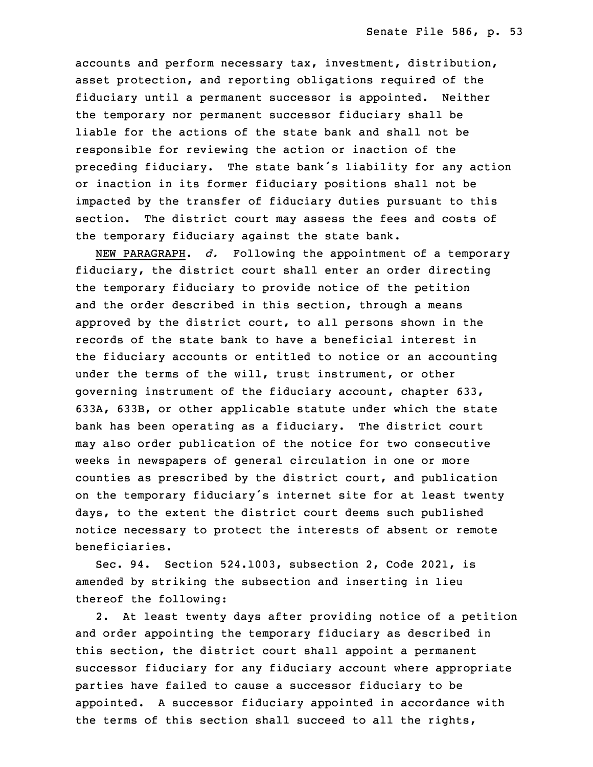accounts and perform necessary tax, investment, distribution, asset protection, and reporting obligations required of the fiduciary until a permanent successor is appointed. Neither the temporary nor permanent successor fiduciary shall be liable for the actions of the state bank and shall not be responsible for reviewing the action or inaction of the preceding fiduciary. The state bank's liability for any action or inaction in its former fiduciary positions shall not be impacted by the transfer of fiduciary duties pursuant to this section. The district court may assess the fees and costs of the temporary fiduciary against the state bank.

NEW PARAGRAPH. *d.* Following the appointment of a temporary fiduciary, the district court shall enter an order directing the temporary fiduciary to provide notice of the petition and the order described in this section, through a means approved by the district court, to all persons shown in the records of the state bank to have <sup>a</sup> beneficial interest in the fiduciary accounts or entitled to notice or an accounting under the terms of the will, trust instrument, or other governing instrument of the fiduciary account, chapter 633, 25 633A, 633B, or other applicable statute under which the state bank has been operating as a fiduciary. The district court may also order publication of the notice for two consecutive weeks in newspapers of general circulation in one or more counties as prescribed by the district court, and publication on the temporary fiduciary's internet site for at least twenty days, to the extent the district court deems such published notice necessary to protect the interests of absent or remote beneficiaries.

Sec. 94. Section 524.1003, subsection 2, Code 2021, is amended by striking the subsection and inserting in lieu thereof the following:

 2. At least twenty days after providing notice of <sup>a</sup> petition and order appointing the temporary fiduciary as described in this section, the district court shall appoint <sup>a</sup> permanent successor fiduciary for any fiduciary account where appropriate parties have failed to cause a successor fiduciary to be appointed. A successor fiduciary appointed in accordance with the terms of this section shall succeed to all the rights,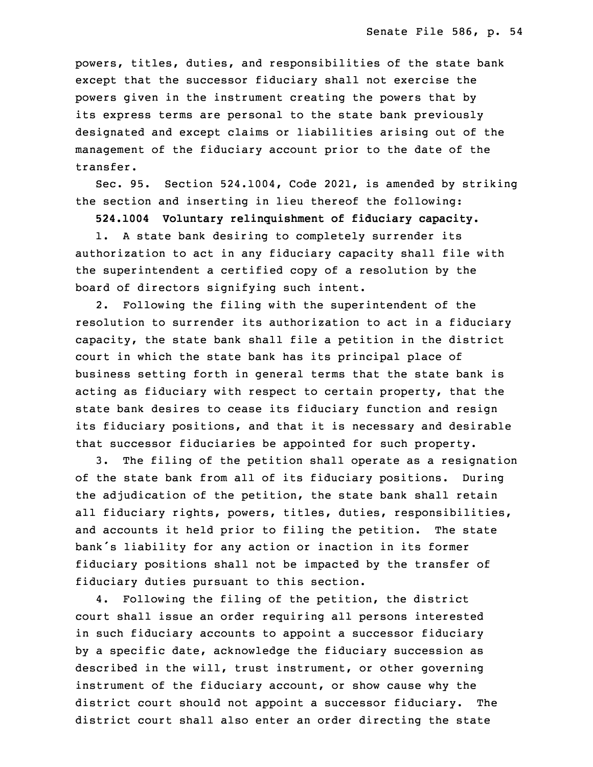powers, titles, duties, and responsibilities of the state bank except that the successor fiduciary shall not exercise the powers given in the instrument creating the powers that by its express terms are personal to the state bank previously designated and except claims or liabilities arising out of the management of the fiduciary account prior to the date of the transfer.

Sec. 95. Section 524.1004, Code 2021, is amended by striking the section and inserting in lieu thereof the following:

18 **524.1004 Voluntary relinquishment of fiduciary capacity.**

1. A state bank desiring to completely surrender its authorization to act in any fiduciary capacity shall file with the superintendent <sup>a</sup> certified copy of <sup>a</sup> resolution by the board of directors signifying such intent.

2. Following the filing with the superintendent of the resolution to surrender its authorization to act in <sup>a</sup> fiduciary capacity, the state bank shall file a petition in the district court in which the state bank has its principal place of business setting forth in general terms that the state bank is acting as fiduciary with respect to certain property, that the state bank desires to cease its fiduciary function and resign its fiduciary positions, and that it is necessary and desirable that successor fiduciaries be appointed for such property.

3. The filing of the petition shall operate as a resignation of the state bank from all of its fiduciary positions. During the adjudication of the petition, the state bank shall retain all fiduciary rights, powers, titles, duties, responsibilities, and accounts it held prior to filing the petition. The state bank's liability for any action or inaction in its former fiduciary positions shall not be impacted by the transfer of fiduciary duties pursuant to this section.

4. Following the filing of the petition, the district court shall issue an order requiring all persons interested in such fiduciary accounts to appoint a successor fiduciary by a specific date, acknowledge the fiduciary succession as described in the will, trust instrument, or other governing instrument of the fiduciary account, or show cause why the district court should not appoint <sup>a</sup> successor fiduciary. The district court shall also enter an order directing the state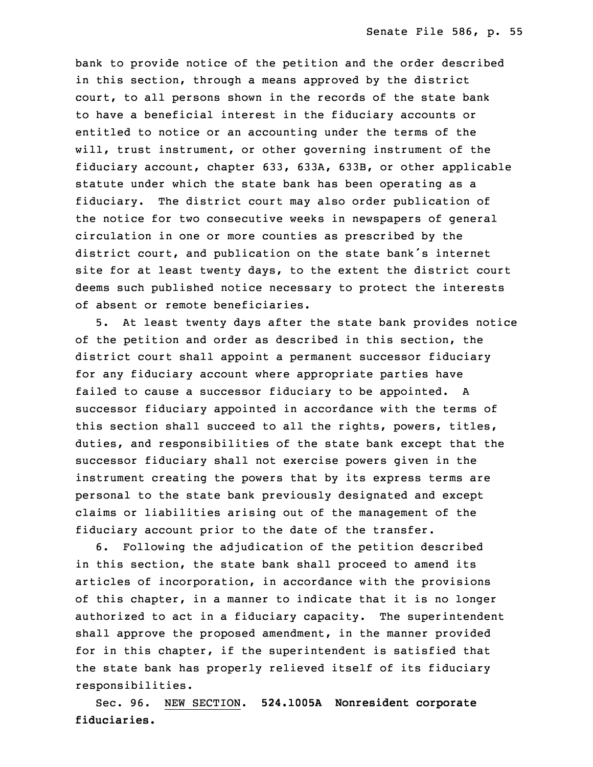bank to provide notice of the petition and the order described in this section, through <sup>a</sup> means approved by the district court, to all persons shown in the records of the state bank to have a beneficial interest in the fiduciary accounts or entitled to notice or an accounting under the terms of the will, trust instrument, or other governing instrument of the fiduciary account, chapter 633, 633A, 633B, or other applicable statute under which the state bank has been operating as a fiduciary. The district court may also order publication of the notice for two consecutive weeks in newspapers of general circulation in one or more counties as prescribed by the district court, and publication on the state bank's internet site for at least twenty days, to the extent the district court deems such published notice necessary to protect the interests of absent or remote beneficiaries.

5. At least twenty days after the state bank provides notice of the petition and order as described in this section, the district court shall appoint a permanent successor fiduciary for any fiduciary account where appropriate parties have failed to cause a successor fiduciary to be appointed. A successor fiduciary appointed in accordance with the terms of this section shall succeed to all the rights, powers, titles, duties, and responsibilities of the state bank except that the successor fiduciary shall not exercise powers given in the instrument creating the powers that by its express terms are personal to the state bank previously designated and except claims or liabilities arising out of the management of the fiduciary account prior to the date of the transfer.

6 6. Following the adjudication of the petition described in this section, the state bank shall proceed to amend its articles of incorporation, in accordance with the provisions of this chapter, in a manner to indicate that it is no longer authorized to act in a fiduciary capacity. The superintendent shall approve the proposed amendment, in the manner provided for in this chapter, if the superintendent is satisfied that the state bank has properly relieved itself of its fiduciary responsibilities.

15 Sec. 96. NEW SECTION. **524.1005A Nonresident corporate** fiduciaries.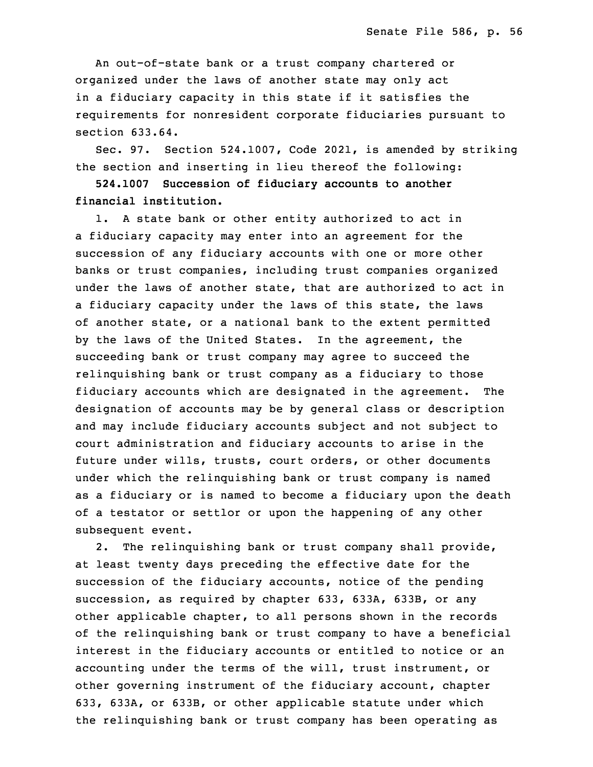An out-of-state bank or a trust company chartered or organized under the laws of another state may only act in a fiduciary capacity in this state if it satisfies the requirements for nonresident corporate fiduciaries pursuant to section 633.64.

 Sec. 97. Section 524.1007, Code 2021, is amended by striking the section and inserting in lieu thereof the following:

 **524.1007 Succession of fiduciary accounts to another** 25 **financial institution.**

1. A state bank or other entity authorized to act in a fiduciary capacity may enter into an agreement for the succession of any fiduciary accounts with one or more other banks or trust companies, including trust companies organized under the laws of another state, that are authorized to act in a fiduciary capacity under the laws of this state, the laws of another state, or a national bank to the extent permitted by the laws of the United States. In the agreement, the succeeding bank or trust company may agree to succeed the relinquishing bank or trust company as a fiduciary to those fiduciary accounts which are designated in the agreement. The designation of accounts may be by general class or description and may include fiduciary accounts subject and not subject to court administration and fiduciary accounts to arise in the future under wills, trusts, court orders, or other documents under which the relinquishing bank or trust company is named as a fiduciary or is named to become a fiduciary upon the death of a testator or settlor or upon the happening of any other subsequent event.

2. The relinquishing bank or trust company shall provide, at least twenty days preceding the effective date for the succession of the fiduciary accounts, notice of the pending succession, as required by chapter 633, 633A, 633B, or any other applicable chapter, to all persons shown in the records of the relinquishing bank or trust company to have a beneficial interest in the fiduciary accounts or entitled to notice or an accounting under the terms of the will, trust instrument, or other governing instrument of the fiduciary account, chapter 633, 633A, or 633B, or other applicable statute under which the relinquishing bank or trust company has been operating as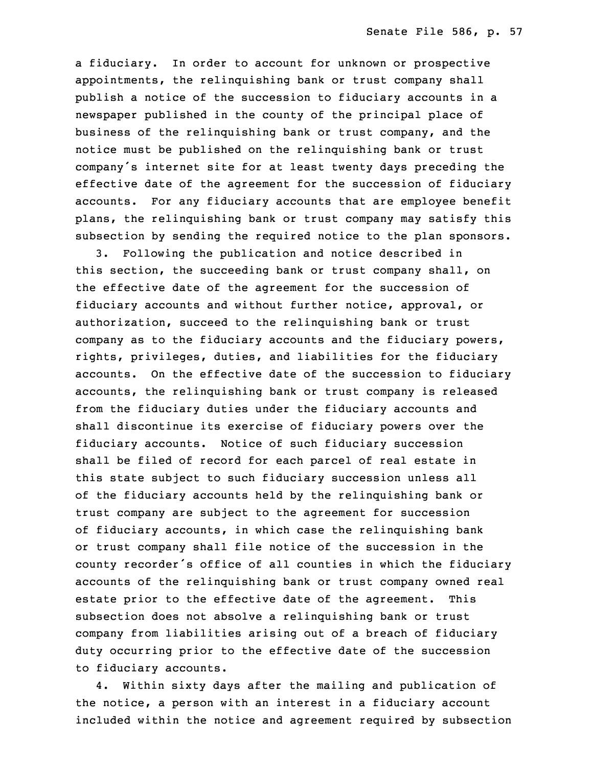<sup>a</sup> fiduciary. In order to account for unknown or prospective appointments, the relinquishing bank or trust company shall publish a notice of the succession to fiduciary accounts in a newspaper published in the county of the principal place of business of the relinquishing bank or trust company, and the notice must be published on the relinquishing bank or trust company's internet site for at least twenty days preceding the effective date of the agreement for the succession of fiduciary accounts. For any fiduciary accounts that are employee benefit plans, the relinquishing bank or trust company may satisfy this subsection by sending the required notice to the plan sponsors.

32 3. Following the publication and notice described in this section, the succeeding bank or trust company shall, on the effective date of the agreement for the succession of fiduciary accounts and without further notice, approval, or authorization, succeed to the relinquishing bank or trust company as to the fiduciary accounts and the fiduciary powers, rights, privileges, duties, and liabilities for the fiduciary accounts. On the effective date of the succession to fiduciary accounts, the relinquishing bank or trust company is released from the fiduciary duties under the fiduciary accounts and shall discontinue its exercise of fiduciary powers over the fiduciary accounts. Notice of such fiduciary succession shall be filed of record for each parcel of real estate in this state subject to such fiduciary succession unless all of the fiduciary accounts held by the relinquishing bank or trust company are subject to the agreement for succession of fiduciary accounts, in which case the relinquishing bank or trust company shall file notice of the succession in the county recorder's office of all counties in which the fiduciary accounts of the relinquishing bank or trust company owned real estate prior to the effective date of the agreement. This subsection does not absolve a relinquishing bank or trust company from liabilities arising out of a breach of fiduciary duty occurring prior to the effective date of the succession to fiduciary accounts.

 4. Within sixty days after the mailing and publication of the notice, a person with an interest in a fiduciary account included within the notice and agreement required by subsection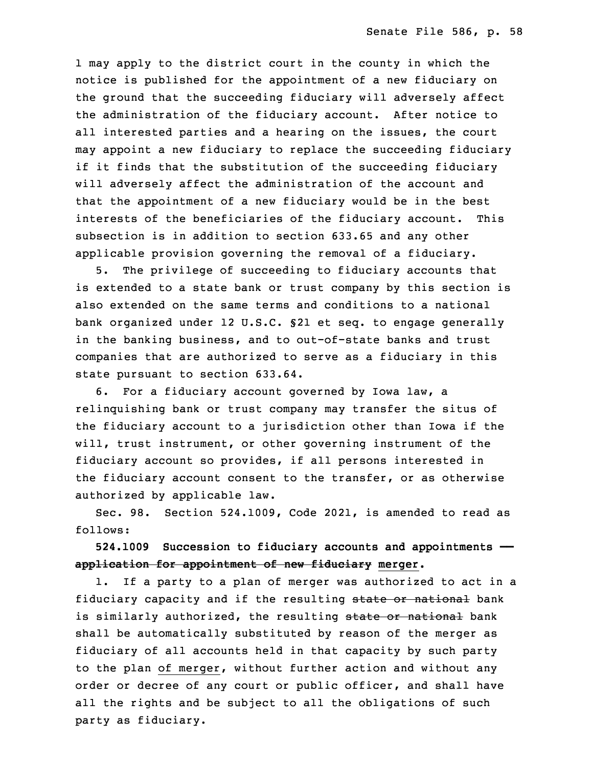1 may apply to the district court in the county in which the notice is published for the appointment of a new fiduciary on the ground that the succeeding fiduciary will adversely affect the administration of the fiduciary account. After notice to all interested parties and a hearing on the issues, the court may appoint a new fiduciary to replace the succeeding fiduciary if it finds that the substitution of the succeeding fiduciary will adversely affect the administration of the account and that the appointment of a new fiduciary would be in the best interests of the beneficiaries of the fiduciary account. This subsection is in addition to section 633.65 and any other applicable provision governing the removal of <sup>a</sup> fiduciary.

 5. The privilege of succeeding to fiduciary accounts that is extended to a state bank or trust company by this section is also extended on the same terms and conditions to <sup>a</sup> national bank organized under 12 U.S.C. §21 et seq. to engage generally in the banking business, and to out-of-state banks and trust companies that are authorized to serve as a fiduciary in this state pursuant to section 633.64.

6. For a fiduciary account governed by Iowa law, a relinquishing bank or trust company may transfer the situs of the fiduciary account to <sup>a</sup> jurisdiction other than Iowa if the will, trust instrument, or other governing instrument of the fiduciary account so provides, if all persons interested in the fiduciary account consent to the transfer, or as otherwise authorized by applicable law.

Sec. 98. Section 524.1009, Code 2021, is amended to read as follows:

18 **524.1009 Succession to fiduciary accounts and appointments ——** 19 **application for appointment of new fiduciary merger.**

1. If a party to a plan of merger was authorized to act in a fiduciary capacity and if the resulting state or national bank is similarly authorized, the resulting state or national bank shall be automatically substituted by reason of the merger as fiduciary of all accounts held in that capacity by such party to the plan of merger, without further action and without any order or decree of any court or public officer, and shall have all the rights and be subject to all the obligations of such party as fiduciary.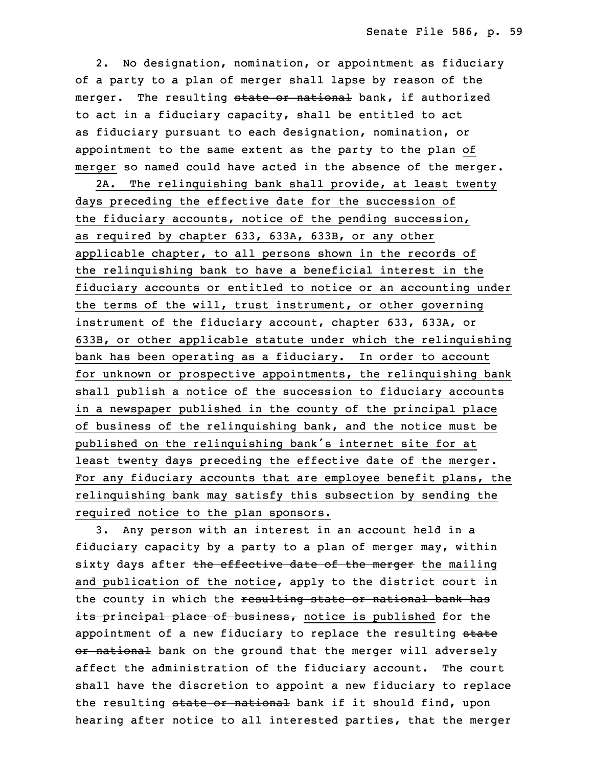2. No designation, nomination, or appointment as fiduciary of a party to a plan of merger shall lapse by reason of the merger. The resulting state or national bank, if authorized to act in a fiduciary capacity, shall be entitled to act as fiduciary pursuant to each designation, nomination, or appointment to the same extent as the party to the plan of merger so named could have acted in the absence of the merger.

 2A. The relinquishing bank shall provide, at least twenty days preceding the effective date for the succession of the fiduciary accounts, notice of the pending succession, as required by chapter 633, 633A, 633B, or any other applicable chapter, to all persons shown in the records of the relinquishing bank to have a beneficial interest in the fiduciary accounts or entitled to notice or an accounting under the terms of the will, trust instrument, or other governing instrument of the fiduciary account, chapter 633, 633A, or 633B, or other applicable statute under which the relinquishing bank has been operating as <sup>a</sup> fiduciary. In order to account for unknown or prospective appointments, the relinquishing bank shall publish a notice of the succession to fiduciary accounts in <sup>a</sup> newspaper published in the county of the principal place of business of the relinquishing bank, and the notice must be published on the relinquishing bank's internet site for at least twenty days preceding the effective date of the merger. For any fiduciary accounts that are employee benefit plans, the relinquishing bank may satisfy this subsection by sending the required notice to the plan sponsors.

 3. Any person with an interest in an account held in <sup>a</sup> fiduciary capacity by <sup>a</sup> party to <sup>a</sup> plan of merger may, within sixty days after the effective date of the merger the mailing and publication of the notice, apply to the district court in the county in which the resulting state or national bank has its principal place of business, notice is published for the appointment of a new fiduciary to replace the resulting state or national bank on the ground that the merger will adversely affect the administration of the fiduciary account. The court shall have the discretion to appoint a new fiduciary to replace the resulting state or national bank if it should find, upon hearing after notice to all interested parties, that the merger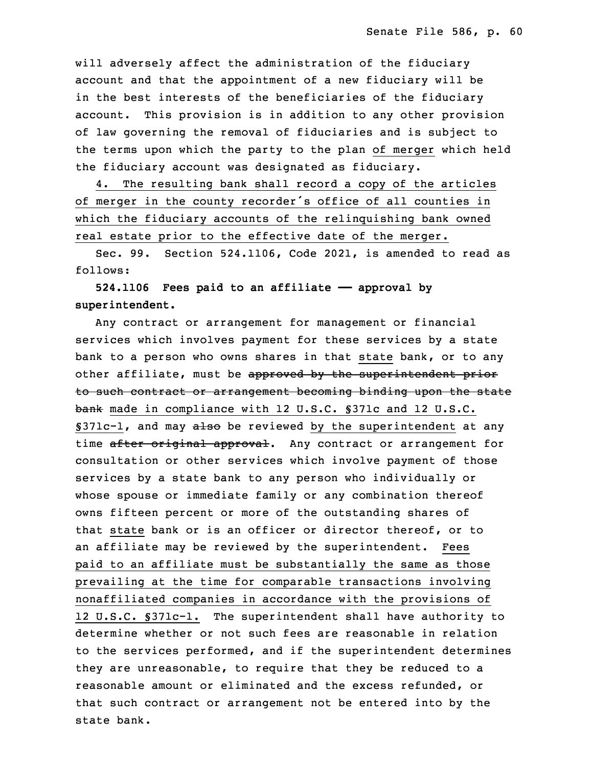will adversely affect the administration of the fiduciary account and that the appointment of a new fiduciary will be in the best interests of the beneficiaries of the fiduciary account. This provision is in addition to any other provision of law governing the removal of fiduciaries and is subject to the terms upon which the party to the plan of merger which held the fiduciary account was designated as fiduciary.

4. The resulting bank shall record a copy of the articles of merger in the county recorder's office of all counties in which the fiduciary accounts of the relinquishing bank owned real estate prior to the effective date of the merger.

Sec. 99. Section 524.1106, Code 2021, is amended to read as follows:

 **524.1106 Fees paid to an affiliate —— approval by superintendent.**

Any contract or arrangement for management or financial services which involves payment for these services by <sup>a</sup> state bank to a person who owns shares in that state bank, or to any other affiliate, must be approved by the superintendent prior to such contract or arrangement becoming binding upon the state bank made in compliance with 12 U.S.C. §371c and 12 U.S.C. §371c-1, and may also be reviewed by the superintendent at any time after original approval. Any contract or arrangement for consultation or other services which involve payment of those services by <sup>a</sup> state bank to any person who individually or whose spouse or immediate family or any combination thereof owns fifteen percent or more of the outstanding shares of that state bank or is an officer or director thereof, or to an affiliate may be reviewed by the superintendent. Fees paid to an affiliate must be substantially the same as those prevailing at the time for comparable transactions involving nonaffiliated companies in accordance with the provisions of 12 U.S.C. §371c-1. The superintendent shall have authority to determine whether or not such fees are reasonable in relation to the services performed, and if the superintendent determines they are unreasonable, to require that they be reduced to a reasonable amount or eliminated and the excess refunded, or that such contract or arrangement not be entered into by the state bank.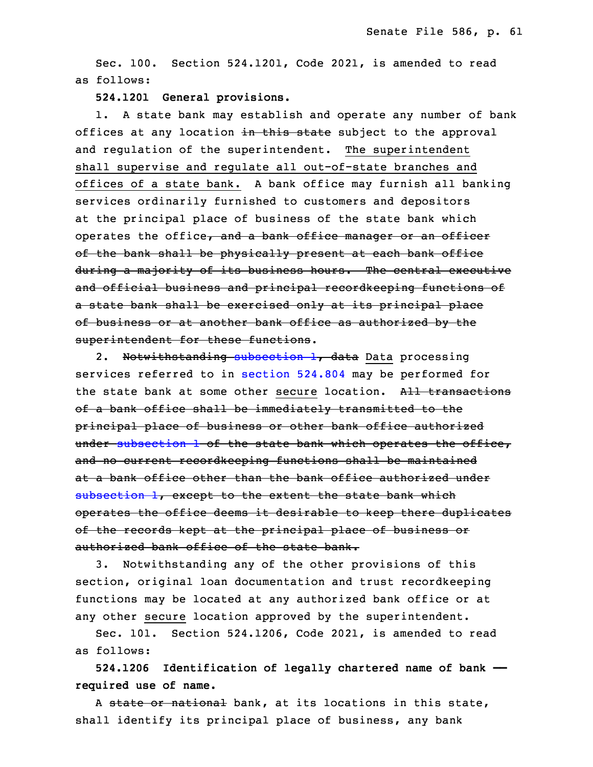Sec. 100. Section 524.1201, Code 2021, is amended to read as follows:

**524.1201 General provisions.**

1. A state bank may establish and operate any number of bank offices at any location in this state subject to the approval and regulation of the superintendent. The superintendent shall supervise and regulate all out-of-state branches and offices of a state bank. A bank office may furnish all banking services ordinarily furnished to customers and depositors at the principal place of business of the state bank which operates the office, and a bank office manager or an officer of the bank shall be physically present at each bank office during <sup>a</sup> majority of its business hours. The central executive and official business and principal recordkeeping functions of a state bank shall be exercised only at its principal place of business or at another bank office as authorized by the superintendent for these functions.

2. Notwithstanding [subsection](https://www.legis.iowa.gov/docs/code/2022/524.1201.pdf) 1, data Data processing services referred to in [section](https://www.legis.iowa.gov/docs/code/2022/524.804.pdf) 524.804 may be performed for the state bank at some other secure location. All transactions of <sup>a</sup> bank office shall be immediately transmitted to the principal place of business or other bank office authorized under [subsection](https://www.legis.iowa.gov/docs/code/2022/524.1201.pdf) 1 of the state bank which operates the office, and no current recordkeeping functions shall be maintained at a bank office other than the bank office authorized under [subsection](https://www.legis.iowa.gov/docs/code/2022/524.1201.pdf) 1, except to the extent the state bank which operates the office deems it desirable to keep there duplicates of the records kept at the principal place of business or authorized bank office of the state bank.

3. Notwithstanding any of the other provisions of this section, original loan documentation and trust recordkeeping functions may be located at any authorized bank office or at any other secure location approved by the superintendent.

Sec. 101. Section 524.1206, Code 2021, is amended to read as follows:

 **524.1206 Identification of legally chartered name of bank ——** 3 **required use of name.**

A state or national bank, at its locations in this state, shall identify its principal place of business, any bank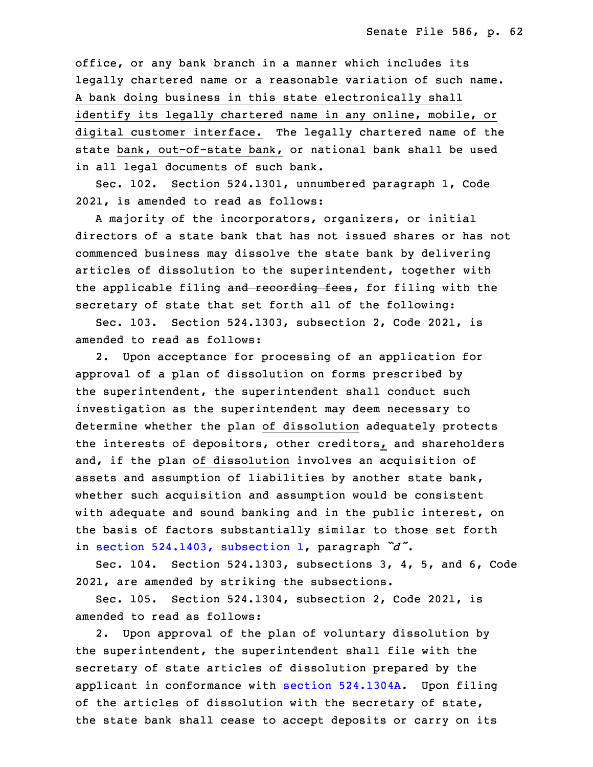office, or any bank branch in a manner which includes its legally chartered name or a reasonable variation of such name. 8 <sup>A</sup> bank doing business in this state electronically shall identify its legally chartered name in any online, mobile, or digital customer interface. The legally chartered name of the state bank, out-of-state bank, or national bank shall be used in all legal documents of such bank.

Sec. 102. Section 524.1301, unnumbered paragraph 1, Code 2021, is amended to read as follows:

A majority of the incorporators, organizers, or initial directors of a state bank that has not issued shares or has not commenced business may dissolve the state bank by delivering articles of dissolution to the superintendent, together with the applicable filing and recording fees, for filing with the secretary of state that set forth all of the following:

 Sec. 103. Section 524.1303, subsection 2, Code 2021, is amended to read as follows:

2. Upon acceptance for processing of an application for approval of <sup>a</sup> plan of dissolution on forms prescribed by the superintendent, the superintendent shall conduct such investigation as the superintendent may deem necessary to determine whether the plan of dissolution adequately protects the interests of depositors, other creditors, and shareholders and, if the plan of dissolution involves an acquisition of assets and assumption of liabilities by another state bank, whether such acquisition and assumption would be consistent with adequate and sound banking and in the public interest, on the basis of factors substantially similar to those set forth in section [524.1403,](https://www.legis.iowa.gov/docs/code/2022/524.1403.pdf) subsection 1, paragraph  $\tilde{d}$ .

Sec. 104. Section 524.1303, subsections 3, 4, 5, and 6, Code 2021, are amended by striking the subsections.

 Sec. 105. Section 524.1304, subsection 2, Code 2021, is amended to read as follows:

 2. Upon approval of the plan of voluntary dissolution by the superintendent, the superintendent shall file with the secretary of state articles of dissolution prepared by the applicant in conformance with section [524.1304A](https://www.legis.iowa.gov/docs/code/2022/524.1304A.pdf). Upon filing of the articles of dissolution with the secretary of state, the state bank shall cease to accept deposits or carry on its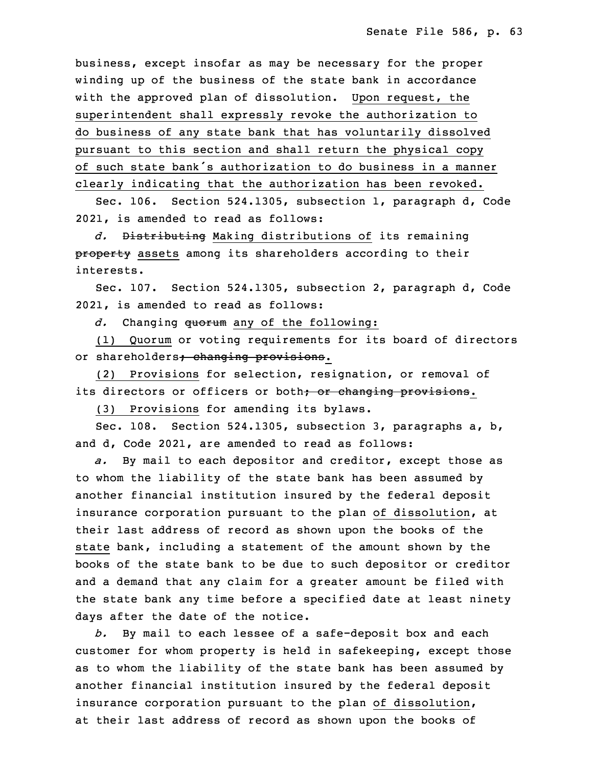business, except insofar as may be necessary for the proper winding up of the business of the state bank in accordance with the approved plan of dissolution. Upon request, the superintendent shall expressly revoke the authorization to do business of any state bank that has voluntarily dissolved pursuant to this section and shall return the physical copy of such state bank's authorization to do business in a manner clearly indicating that the authorization has been revoked.

Sec. 106. Section 524.1305, subsection 1, paragraph d, Code 2021, is amended to read as follows:

20 *d.* Distributing Making distributions of its remaining property assets among its shareholders according to their interests.

Sec. 107. Section 524.1305, subsection 2, paragraph d, Code 2021, is amended to read as follows:

d. Changing quorum any of the following:

(1) Quorum or voting requirements for its board of directors or shareholders; changing provisions.

(2) Provisions for selection, resignation, or removal of its directors or officers or both<del>; or changing provisions</del>.

(3) Provisions for amending its bylaws.

Sec. 108. Section 524.1305, subsection 3, paragraphs  $a, b,$ and d, Code 2021, are amended to read as follows:

a. By mail to each depositor and creditor, except those as to whom the liability of the state bank has been assumed by another financial institution insured by the federal deposit insurance corporation pursuant to the plan of dissolution, at their last address of record as shown upon the books of the state bank, including a statement of the amount shown by the books of the state bank to be due to such depositor or creditor and a demand that any claim for a greater amount be filed with the state bank any time before a specified date at least ninety days after the date of the notice.

b. By mail to each lessee of a safe-deposit box and each customer for whom property is held in safekeeping, except those as to whom the liability of the state bank has been assumed by another financial institution insured by the federal deposit insurance corporation pursuant to the plan of dissolution, at their last address of record as shown upon the books of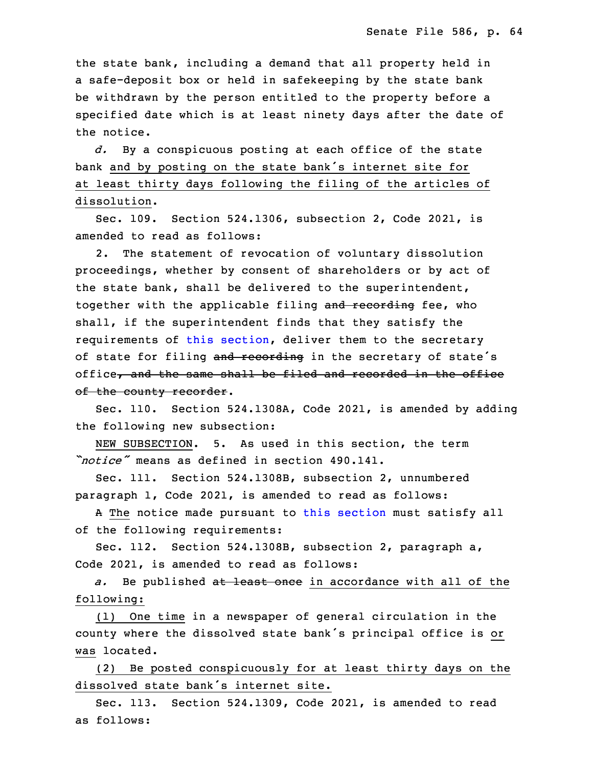the state bank, including <sup>a</sup> demand that all property held in a safe-deposit box or held in safekeeping by the state bank be withdrawn by the person entitled to the property before a specified date which is at least ninety days after the date of the notice.

d. By a conspicuous posting at each office of the state bank and by posting on the state bank's internet site for at least thirty days following the filing of the articles of dissolution.

Sec. 109. Section 524.1306, subsection 2, Code 2021, is amended to read as follows:

2. The statement of revocation of voluntary dissolution proceedings, whether by consent of shareholders or by act of the state bank, shall be delivered to the superintendent, together with the applicable filing and recording fee, who shall, if the superintendent finds that they satisfy the requirements of this [section](https://www.legis.iowa.gov/docs/code/2022/524.1306.pdf), deliver them to the secretary of state for filing and recording in the secretary of state's office, and the same shall be filed and recorded in the office of the county recorder.

Sec. 110. Section 524.1308A, Code 2021, is amended by adding the following new subsection:

 NEW SUBSECTION. 5. As used in this section, the term *"notice"* means as defined in section 490.141.

Sec. 111. Section 524.1308B, subsection 2, unnumbered paragraph 1, Code 2021, is amended to read as follows:

A The notice made pursuant to this [section](https://www.legis.iowa.gov/docs/code/2022/524.1308B.pdf) must satisfy all of the following requirements:

Sec. 112. Section 524.1308B, subsection 2, paragraph a, Code 2021, is amended to read as follows:

a. Be published at least once in accordance with all of the following:

 (1) One time in <sup>a</sup> newspaper of general circulation in the county where the dissolved state bank's principal office is or was located.

 (2) Be posted conspicuously for at least thirty days on the dissolved state bank's internet site.

Sec. 113. Section 524.1309, Code 2021, is amended to read as follows: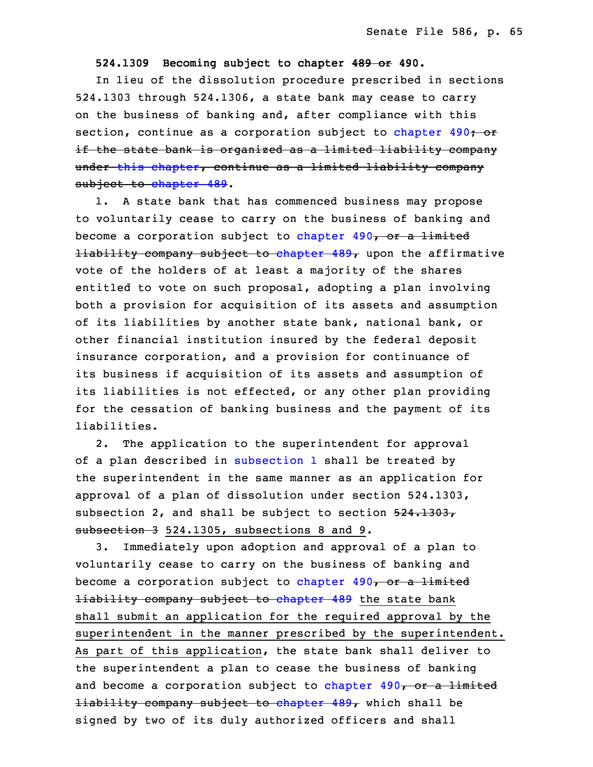## 18 **524.1309 Becoming subject to chapter 489 or 490.**

In lieu of the dissolution procedure prescribed in sections  $524.1303$  through  $524.1306$ , a state bank may cease to carry on the business of banking and, after compliance with this section, continue as a corporation subject to [chapter](https://www.legis.iowa.gov/docs/code/2022/490.pdf)  $490 -$  or if the state bank is organized as a limited liability company under this [chapter](https://www.legis.iowa.gov/docs/code/2022/524.pdf), continue as <sup>a</sup> limited liability company subject to [chapter](https://www.legis.iowa.gov/docs/code/2022/489.pdf) 489.

1. A state bank that has commenced business may propose to voluntarily cease to carry on the business of banking and become a corporation subject to [chapter](https://www.legis.iowa.gov/docs/code/2022/490.pdf) 490, or a limited  $1$ iability company subject to [chapter](https://www.legis.iowa.gov/docs/code/2022/489.pdf)  $489<sub>r</sub>$  upon the affirmative vote of the holders of at least a majority of the shares entitled to vote on such proposal, adopting a plan involving both a provision for acquisition of its assets and assumption of its liabilities by another state bank, national bank, or other financial institution insured by the federal deposit insurance corporation, and a provision for continuance of its business if acquisition of its assets and assumption of its liabilities is not effected, or any other plan providing for the cessation of banking business and the payment of its liabilities.

2. The application to the superintendent for approval of a plan described in [subsection](https://www.legis.iowa.gov/docs/code/2022/524.1309.pdf) 1 shall be treated by the superintendent in the same manner as an application for approval of a plan of dissolution under section 524.1303, subsection 2, and shall be subject to section  $524.1303$ , subsection 3 524.1305, subsections 8 and 9.

 3. Immediately upon adoption and approval of <sup>a</sup> plan to voluntarily cease to carry on the business of banking and become a corporation subject to [chapter](https://www.legis.iowa.gov/docs/code/2022/490.pdf)  $490<sub>7</sub>$  or a limited **liability company subject to [chapter](https://www.legis.iowa.gov/docs/code/2022/489.pdf) 489** the state bank shall submit an application for the required approval by the superintendent in the manner prescribed by the superintendent. As part of this application, the state bank shall deliver to the superintendent a plan to cease the business of banking and become a corporation subject to [chapter](https://www.legis.iowa.gov/docs/code/2022/490.pdf)  $490<sub>r</sub>$  or a limited  $l$ iability company subject to [chapter](https://www.legis.iowa.gov/docs/code/2022/489.pdf)  $489<sub>r</sub>$  which shall be signed by two of its duly authorized officers and shall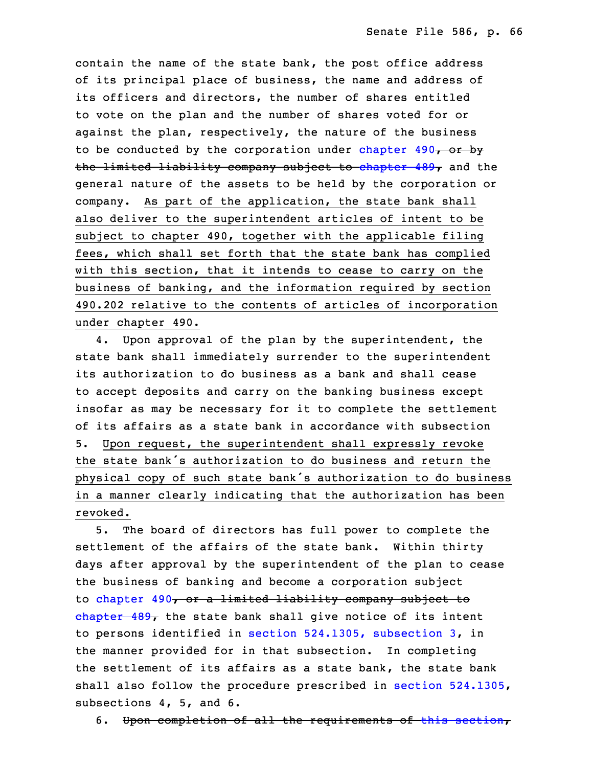contain the name of the state bank, the post office address of its principal place of business, the name and address of its officers and directors, the number of shares entitled 25 to vote on the plan and the number of shares voted for or against the plan, respectively, the nature of the business to be conducted by the corporation under [chapter](https://www.legis.iowa.gov/docs/code/2022/490.pdf)  $490<sub>7</sub>$  or by the limited liability company subject to [chapter](https://www.legis.iowa.gov/docs/code/2022/489.pdf)  $489<sub>r</sub>$  and the general nature of the assets to be held by the corporation or company. As part of the application, the state bank shall also deliver to the superintendent articles of intent to be subject to chapter 490, together with the applicable filing fees, which shall set forth that the state bank has complied with this section, that it intends to cease to carry on the business of banking, and the information required by section 490.202 relative to the contents of articles of incorporation under chapter 490.

4. Upon approval of the plan by the superintendent, the state bank shall immediately surrender to the superintendent its authorization to do business as a bank and shall cease 6 to accept deposits and carry on the banking business except insofar as may be necessary for it to complete the settlement of its affairs as a state bank in accordance with subsection 5. Upon request, the superintendent shall expressly revoke the state bank's authorization to do business and return the physical copy of such state bank's authorization to do business in <sup>a</sup> manner clearly indicating that the authorization has been revoked.

 5. The board of directors has full power to complete the settlement of the affairs of the state bank. Within thirty days after approval by the superintendent of the plan to cease the business of banking and become a corporation subject to [chapter](https://www.legis.iowa.gov/docs/code/2022/490.pdf) 490, or a limited liability company subject to  $\frac{1}{2}$  [chapter](https://www.legis.iowa.gov/docs/code/2022/489.pdf) 489, the state bank shall give notice of its intent to persons identified in section [524.1305,](https://www.legis.iowa.gov/docs/code/2022/524.1305.pdf) subsection 3, in the manner provided for in that subsection. In completing the settlement of its affairs as <sup>a</sup> state bank, the state bank shall also follow the procedure prescribed in section [524.1305](https://www.legis.iowa.gov/docs/code/2022/524.1305.pdf), subsections 4, 5, and 6.

6. Upon completion of all the requirements of this [section](https://www.legis.iowa.gov/docs/code/2022/524.1309.pdf),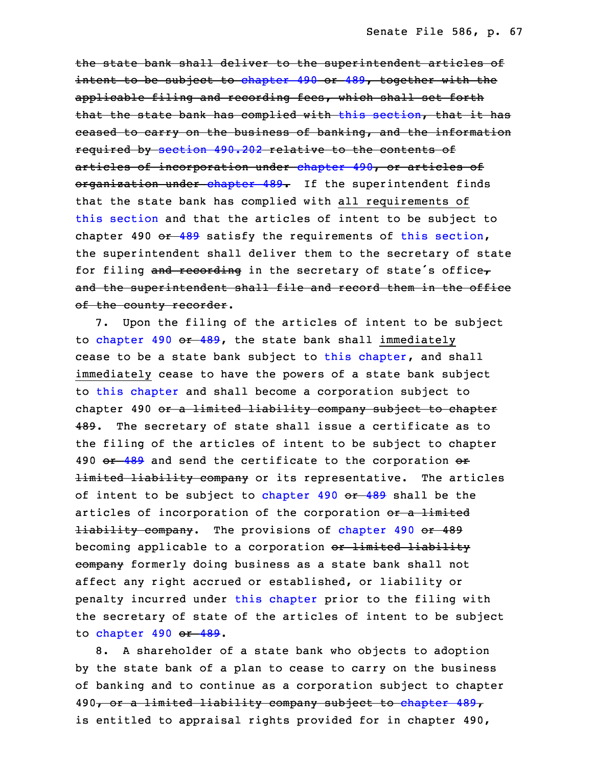the state bank shall deliver to the superintendent articles of intent to be subject to [chapter](https://www.legis.iowa.gov/docs/code/2022/490.pdf) 490 or [489](https://www.legis.iowa.gov/docs/code/2022/489.pdf), together with the applicable filing and recording fees, which shall set forth that the state bank has complied with this [section](https://www.legis.iowa.gov/docs/code/2022/524.1309.pdf), that it has ceased to carry on the business of banking, and the information required by [section](https://www.legis.iowa.gov/docs/code/2022/490.202.pdf) 490.202 relative to the contents of articles of incorporation under [chapter](https://www.legis.iowa.gov/docs/code/2022/490.pdf) 490, or articles of organization under [chapter](https://www.legis.iowa.gov/docs/code/2022/489.pdf) 489. If the superintendent finds that the state bank has complied with all requirements of this [section](https://www.legis.iowa.gov/docs/code/2022/524.1309.pdf) and that the articles of intent to be subject to chapter 490  $-489$  $-489$  satisfy the requirements of this [section](https://www.legis.iowa.gov/docs/code/2022/524.1309.pdf), the superintendent shall deliver them to the secretary of state for filing and recording in the secretary of state's office, and the superintendent shall file and record them in the office of the county recorder.

7. Upon the filing of the articles of intent to be subject to [chapter](https://www.legis.iowa.gov/docs/code/2022/490.pdf) 490 or [489](https://www.legis.iowa.gov/docs/code/2022/489.pdf), the state bank shall immediately cease to be a state bank subject to this [chapter](https://www.legis.iowa.gov/docs/code/2022/524.pdf), and shall immediately cease to have the powers of a state bank subject 10 to this [chapter](https://www.legis.iowa.gov/docs/code/2022/524.pdf) and shall become <sup>a</sup> corporation subject to chapter 490 or a limited liability company subject to chapter 489. The secretary of state shall issue a certificate as to the filing of the articles of intent to be subject to chapter 490 or [489](https://www.legis.iowa.gov/docs/code/2022/489.pdf) and send the certificate to the corporation or **limited liability company** or its representative. The articles of intent to be subject to [chapter](https://www.legis.iowa.gov/docs/code/2022/490.pdf) 490 or [489](https://www.legis.iowa.gov/docs/code/2022/489.pdf) shall be the articles of incorporation of the corporation or a limited **Hiability company.** The provisions of [chapter](https://www.legis.iowa.gov/docs/code/2022/490.pdf) 490 or 489 becoming applicable to a corporation or limited liability eompany formerly doing business as a state bank shall not affect any right accrued or established, or liability or penalty incurred under this [chapter](https://www.legis.iowa.gov/docs/code/2022/524.pdf) prior to the filing with the secretary of state of the articles of intent to be subject to [chapter](https://www.legis.iowa.gov/docs/code/2022/490.pdf) 490 or [489](https://www.legis.iowa.gov/docs/code/2022/489.pdf).

8. A shareholder of a state bank who objects to adoption by the state bank of a plan to cease to carry on the business of banking and to continue as a corporation subject to chapter 490, or a limited liability company subject to [chapter](https://www.legis.iowa.gov/docs/code/2022/489.pdf) 489, is entitled to appraisal rights provided for in chapter 490,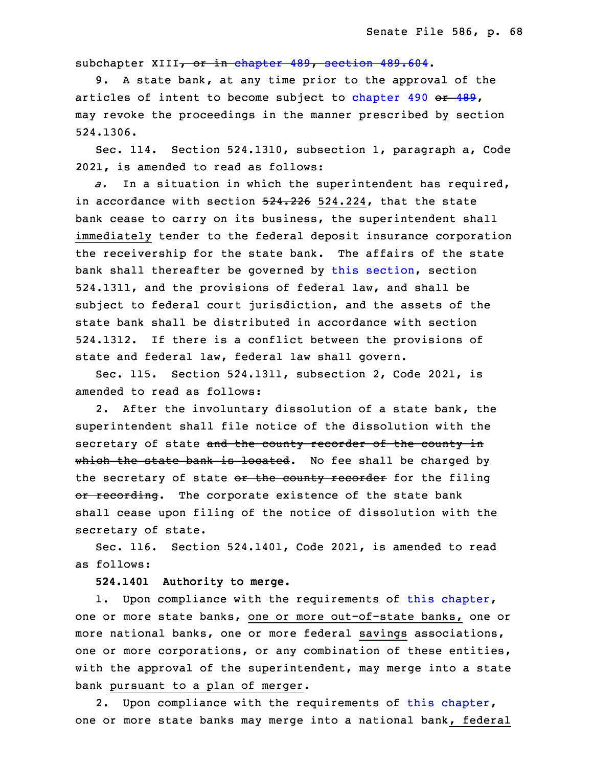sub[chapter](https://www.legis.iowa.gov/docs/code/2022/489.pdf) XIII, or in chapter 489, section [489.604](https://www.legis.iowa.gov/docs/code/2022/489.604.pdf).

9. A state bank, at any time prior to the approval of the articles of intent to become subject to [chapter](https://www.legis.iowa.gov/docs/code/2022/490.pdf)  $490$  or  $489$ , may revoke the proceedings in the manner prescribed by section 34 524.1306.

Sec. 114. Section 524.1310, subsection 1, paragraph a, Code 2021, is amended to read as follows:

 *a.* In <sup>a</sup> situation in which the superintendent has required, in accordance with section  $524.226$  524.224, that the state bank cease to carry on its business, the superintendent shall immediately tender to the federal deposit insurance corporation the receivership for the state bank. The affairs of the state bank shall thereafter be governed by this [section](https://www.legis.iowa.gov/docs/code/2022/524.1310.pdf), section 8 524.1311, and the provisions of federal law, and shall be subject to federal court jurisdiction, and the assets of the state bank shall be distributed in accordance with section 524.1312. If there is <sup>a</sup> conflict between the provisions of state and federal law, federal law shall govern.

Sec. 115. Section 524.1311, subsection 2, Code 2021, is amended to read as follows:

2. After the involuntary dissolution of a state bank, the superintendent shall file notice of the dissolution with the secretary of state and the county recorder of the county in which the state bank is located. No fee shall be charged by the secretary of state or the county recorder for the filing or recording. The corporate existence of the state bank shall cease upon filing of the notice of dissolution with the secretary of state.

Sec. 116. Section 524.1401, Code 2021, is amended to read as follows:

25 **524.1401 Authority to merge.**

1. Upon compliance with the requirements of this [chapter](https://www.legis.iowa.gov/docs/code/2022/524.pdf), one or more state banks, one or more out-of-state banks, one or more national banks, one or more federal savings associations, one or more corporations, or any combination of these entities, with the approval of the superintendent, may merge into a state bank pursuant to a plan of merger.

2. Upon compliance with the requirements of this [chapter](https://www.legis.iowa.gov/docs/code/2022/524.pdf), one or more state banks may merge into a national bank, federal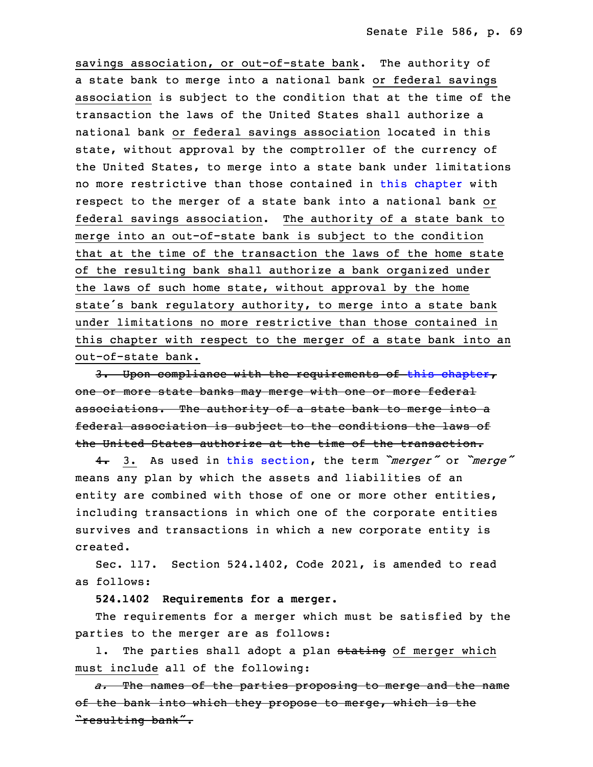savings association, or out-of-state bank. The authority of a state bank to merge into a national bank or federal savings association is subject to the condition that at the time of the transaction the laws of the United States shall authorize <sup>a</sup> national bank or federal savings association located in this state, without approval by the comptroller of the currency of the United States, to merge into a state bank under limitations no more restrictive than those contained in this [chapter](https://www.legis.iowa.gov/docs/code/2022/524.pdf) with respect to the merger of a state bank into a national bank or federal savings association. The authority of a state bank to merge into an out-of-state bank is subject to the condition that at the time of the transaction the laws of the home state of the resulting bank shall authorize <sup>a</sup> bank organized under the laws of such home state, without approval by the home state's bank regulatory authority, to merge into a state bank under limitations no more restrictive than those contained in this chapter with respect to the merger of a state bank into an out-of-state bank.

3. Upon compliance with the requirements of this [chapter](https://www.legis.iowa.gov/docs/code/2022/524.pdf), one or more state banks may merge with one or more federal associations. The authority of a state bank to merge into a federal association is subject to the conditions the laws of the United States authorize at the time of the transaction.

 4. 3. As used in this [section](https://www.legis.iowa.gov/docs/code/2022/524.1401.pdf), the term *"merger"* or *"merge"* means any plan by which the assets and liabilities of an entity are combined with those of one or more other entities, including transactions in which one of the corporate entities survives and transactions in which a new corporate entity is created.

Sec. 117. Section 524.1402, Code 2021, is amended to read as follows:

30 **524.1402 Requirements for <sup>a</sup> merger.**

The requirements for a merger which must be satisfied by the parties to the merger are as follows:

1. The parties shall adopt a plan stating of merger which must include all of the following:

35 *a.* The names of the parties proposing to merge and the name of the bank into which they propose to merge, which is the "resulting bank".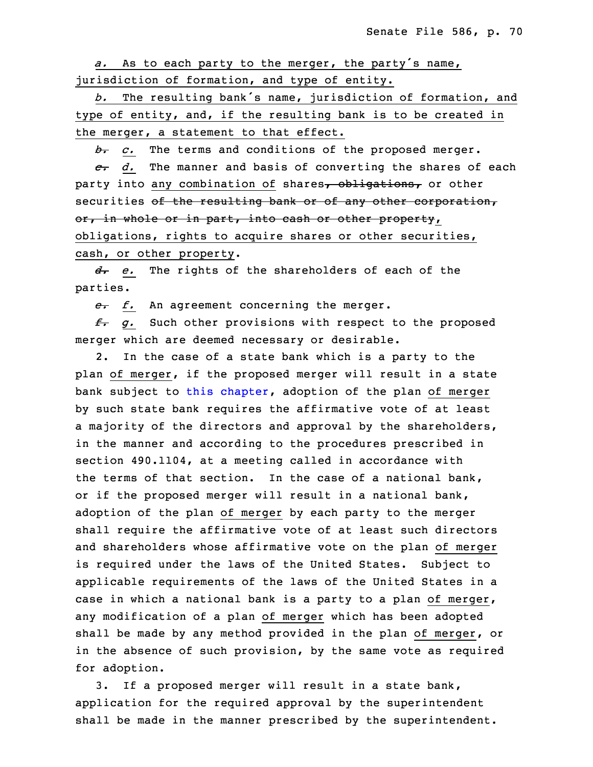a. As to each party to the merger, the party's name, jurisdiction of formation, and type of entity.

The resulting bank's name, jurisdiction of formation, and type of entity, and, if the resulting bank is to be created in the merger, a statement to that effect.

8 *b. c.* The terms and conditions of the proposed merger.

9 *c. d.* The manner and basis of converting the shares of each party into any combination of shares, obligations, or other securities of the resulting bank or of any other corporation, or, in whole or in part, into cash or other property, obligations, rights to acquire shares or other securities, cash, or other property.

15 *d. e.* The rights of the shareholders of each of the parties.

e. *f.* An agreement concerning the merger.

18 *f. g.* Such other provisions with respect to the proposed merger which are deemed necessary or desirable.

2. In the case of a state bank which is a party to the plan of merger, if the proposed merger will result in <sup>a</sup> state bank subject to this [chapter](https://www.legis.iowa.gov/docs/code/2022/524.pdf), adoption of the plan of merger by such state bank requires the affirmative vote of at least <sup>a</sup> majority of the directors and approval by the shareholders, in the manner and according to the procedures prescribed in section 490.1104, at a meeting called in accordance with the terms of that section. In the case of a national bank, or if the proposed merger will result in a national bank, adoption of the plan of merger by each party to the merger shall require the affirmative vote of at least such directors and shareholders whose affirmative vote on the plan of merger is required under the laws of the United States. Subject to applicable requirements of the laws of the United States in a case in which a national bank is a party to a plan of merger, any modification of a plan of merger which has been adopted shall be made by any method provided in the plan of merger, or in the absence of such provision, by the same vote as required for adoption.

 3. If <sup>a</sup> proposed merger will result in <sup>a</sup> state bank, application for the required approval by the superintendent shall be made in the manner prescribed by the superintendent.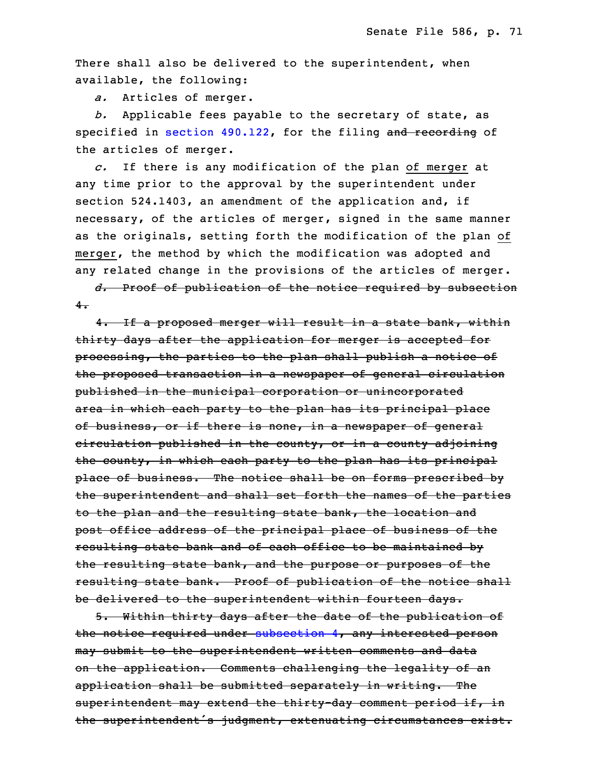There shall also be delivered to the superintendent, when available, the following:

a. Articles of merger.

b. Applicable fees payable to the secretary of state, as specified in section [490.122](https://www.legis.iowa.gov/docs/code/2022/490.122.pdf), for the filing and recording of the articles of merger.

13 *c.* If there is any modification of the plan of merger at any time prior to the approval by the superintendent under section  $524.1403$ , an amendment of the application and, if necessary, of the articles of merger, signed in the same manner as the originals, setting forth the modification of the plan of merger, the method by which the modification was adopted and any related change in the provisions of the articles of merger.

20 *d.* Proof of publication of the notice required by subsection  $4.$ 

 4. If <sup>a</sup> proposed merger will result in <sup>a</sup> state bank, within thirty days after the application for merger is accepted for processing, the parties to the plan shall publish <sup>a</sup> notice of the proposed transaction in a newspaper of general circulation published in the municipal corporation or unincorporated area in which each party to the plan has its principal place of business, or if there is none, in a newspaper of general eirculation published in the county, or in a county adjoining the county, in which each party to the plan has its principal place of business. The notice shall be on forms prescribed by the superintendent and shall set forth the names of the parties to the plan and the resulting state bank, the location and post office address of the principal place of business of the resulting state bank and of each office to be maintained by the resulting state bank, and the purpose or purposes of the resulting state bank. Proof of publication of the notice shall be delivered to the superintendent within fourteen days.

 5. Within thirty days after the date of the publication of the notice required under [subsection](https://www.legis.iowa.gov/docs/code/2022/524.1402.pdf) 4, any interested person may submit to the superintendent written comments and data on the application. Comments challenging the legality of an application shall be submitted separately in writing. The superintendent may extend the thirty-day comment period if, in the superintendent's judgment, extenuating circumstances exist.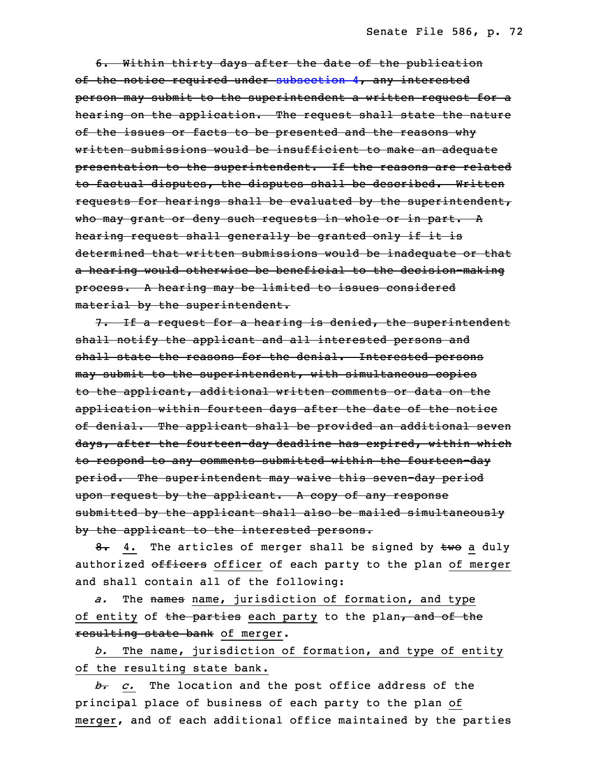6. Within thirty days after the date of the publication of the notice required under [subsection](https://www.legis.iowa.gov/docs/code/2022/524.1402.pdf) 4, any interested person may submit to the superintendent a written request for a hearing on the application. The request shall state the nature of the issues or facts to be presented and the reasons why written submissions would be insufficient to make an adequate presentation to the superintendent. If the reasons are related to factual disputes, the disputes shall be described. Written requests for hearings shall be evaluated by the superintendent, who may grant or deny such requests in whole or in part. A hearing request shall generally be granted only if it is determined that written submissions would be inadequate or that a hearing would otherwise be beneficial to the decision-making process. <sup>A</sup> hearing may be limited to issues considered material by the superintendent.

7. If a request for a hearing is denied, the superintendent shall notify the applicant and all interested persons and shall state the reasons for the denial. Interested persons may submit to the superintendent, with simultaneous copies to the applicant, additional written comments or data on the application within fourteen days after the date of the notice of denial. The applicant shall be provided an additional seven days, after the fourteen-day deadline has expired, within which to respond to any comments submitted within the fourteen-day period. The superintendent may waive this seven-day period upon request by the applicant. <sup>A</sup> copy of any response submitted by the applicant shall also be mailed simultaneously by the applicant to the interested persons.

8. 4. The articles of merger shall be signed by two a duly authorized officers officer of each party to the plan of merger and shall contain all of the following:

a. The names name, jurisdiction of formation, and type of entity of the parties each party to the plan, and of the resulting state bank of merger.

b. The name, jurisdiction of formation, and type of entity of the resulting state bank.

 *b. c.* The location and the post office address of the principal place of business of each party to the plan of merger, and of each additional office maintained by the parties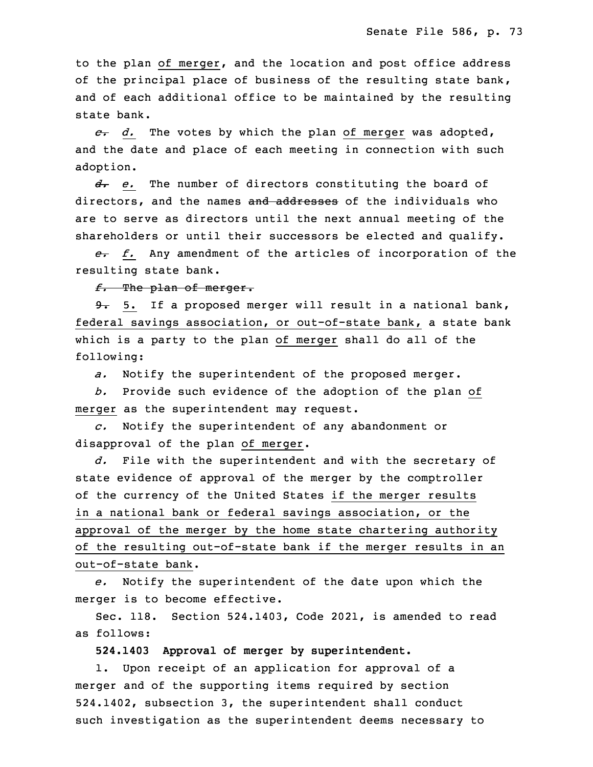to the plan of merger, and the location and post office address of the principal place of business of the resulting state bank, and of each additional office to be maintained by the resulting state bank.

19 *c. d.* The votes by which the plan of merger was adopted, and the date and place of each meeting in connection with such adoption.

 *d. e.* The number of directors constituting the board of directors, and the names and addresses of the individuals who are to serve as directors until the next annual meeting of the shareholders or until their successors be elected and qualify.

26 *e. f.* Any amendment of the articles of incorporation of the resulting state bank.

28 *f.* The plan of merger.

9. 5. If a proposed merger will result in a national bank, federal savings association, or out-of-state bank, a state bank which is a party to the plan of merger shall do all of the following:

a. Notify the superintendent of the proposed merger.

34 *b.* Provide such evidence of the adoption of the plan of merger as the superintendent may request.

 *c.* Notify the superintendent of any abandonment or disapproval of the plan of merger.

3 *d.* File with the superintendent and with the secretary of state evidence of approval of the merger by the comptroller of the currency of the United States if the merger results in a national bank or federal savings association, or the approval of the merger by the home state chartering authority of the resulting out-of-state bank if the merger results in an out-of-state bank.

10 *e.* Notify the superintendent of the date upon which the merger is to become effective.

 Sec. 118. Section 524.1403, Code 2021, is amended to read as follows:

**524.1403 Approval of merger by superintendent.**

1. Upon receipt of an application for approval of a merger and of the supporting items required by section 524.1402, subsection 3, the superintendent shall conduct such investigation as the superintendent deems necessary to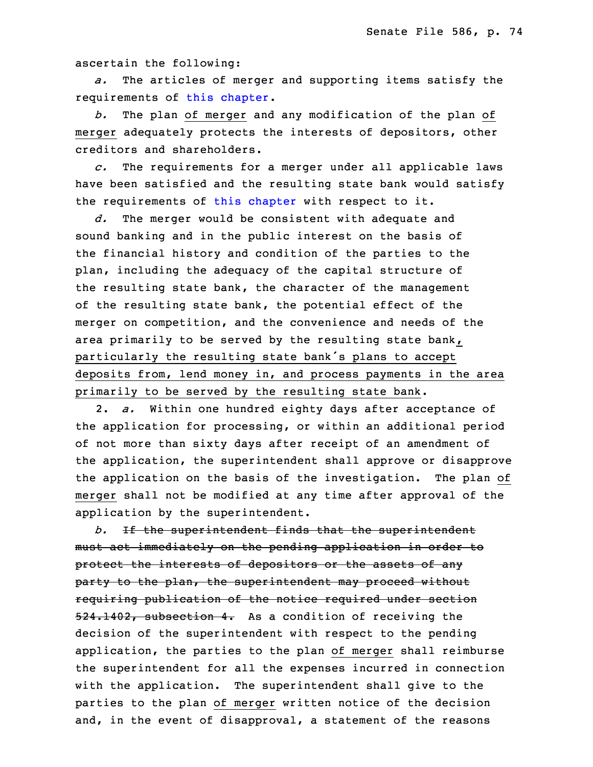ascertain the following:

a. The articles of merger and supporting items satisfy the requirements of this [chapter](https://www.legis.iowa.gov/docs/code/2022/524.pdf).

 *b.* The plan of merger and any modification of the plan of merger adequately protects the interests of depositors, other creditors and shareholders.

25 *c.* The requirements for <sup>a</sup> merger under all applicable laws have been satisfied and the resulting state bank would satisfy the requirements of this [chapter](https://www.legis.iowa.gov/docs/code/2022/524.pdf) with respect to it.

d. The merger would be consistent with adequate and sound banking and in the public interest on the basis of the financial history and condition of the parties to the plan, including the adequacy of the capital structure of the resulting state bank, the character of the management of the resulting state bank, the potential effect of the merger on competition, and the convenience and needs of the area primarily to be served by the resulting state bank, particularly the resulting state bank's plans to accept deposits from, lend money in, and process payments in the area primarily to be served by the resulting state bank.

 2. *a.* Within one hundred eighty days after acceptance of the application for processing, or within an additional period of not more than sixty days after receipt of an amendment of the application, the superintendent shall approve or disapprove the application on the basis of the investigation. The plan of merger shall not be modified at any time after approval of the application by the superintendent.

 *b.* If the superintendent finds that the superintendent must act immediately on the pending application in order to protect the interests of depositors or the assets of any party to the plan, the superintendent may proceed without requiring publication of the notice required under section 524.1402, subsection 4. As a condition of receiving the decision of the superintendent with respect to the pending application, the parties to the plan of merger shall reimburse the superintendent for all the expenses incurred in connection with the application. The superintendent shall give to the parties to the plan of merger written notice of the decision and, in the event of disapproval, <sup>a</sup> statement of the reasons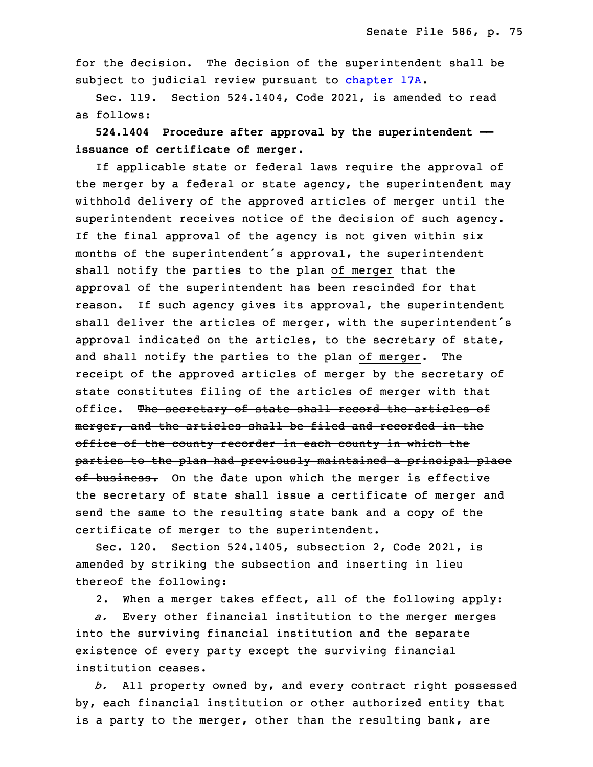for the decision. The decision of the superintendent shall be subject to judicial review pursuant to [chapter](https://www.legis.iowa.gov/docs/code/2022/17A.pdf) 17A.

Sec. 119. Section 524.1404, Code 2021, is amended to read as follows:

27 **524.1404 Procedure after approval by the superintendent ——** 28 **issuance of certificate of merger.**

If applicable state or federal laws require the approval of the merger by a federal or state agency, the superintendent may withhold delivery of the approved articles of merger until the superintendent receives notice of the decision of such agency. If the final approval of the agency is not given within six months of the superintendent's approval, the superintendent shall notify the parties to the plan of merger that the approval of the superintendent has been rescinded for that reason. If such agency gives its approval, the superintendent shall deliver the articles of merger, with the superintendent's approval indicated on the articles, to the secretary of state, and shall notify the parties to the plan of merger. The receipt of the approved articles of merger by the secretary of state constitutes filing of the articles of merger with that office. The secretary of state shall record the articles of merger, and the articles shall be filed and recorded in the office of the county recorder in each county in which the parties to the plan had previously maintained <sup>a</sup> principal place of business. On the date upon which the merger is effective the secretary of state shall issue a certificate of merger and send the same to the resulting state bank and <sup>a</sup> copy of the certificate of merger to the superintendent.

Sec. 120. Section 524.1405, subsection 2, Code 2021, is amended by striking the subsection and inserting in lieu thereof the following:

2. When a merger takes effect, all of the following apply:

a. Every other financial institution to the merger merges into the surviving financial institution and the separate existence of every party except the surviving financial institution ceases.

 *b.* All property owned by, and every contract right possessed by, each financial institution or other authorized entity that is a party to the merger, other than the resulting bank, are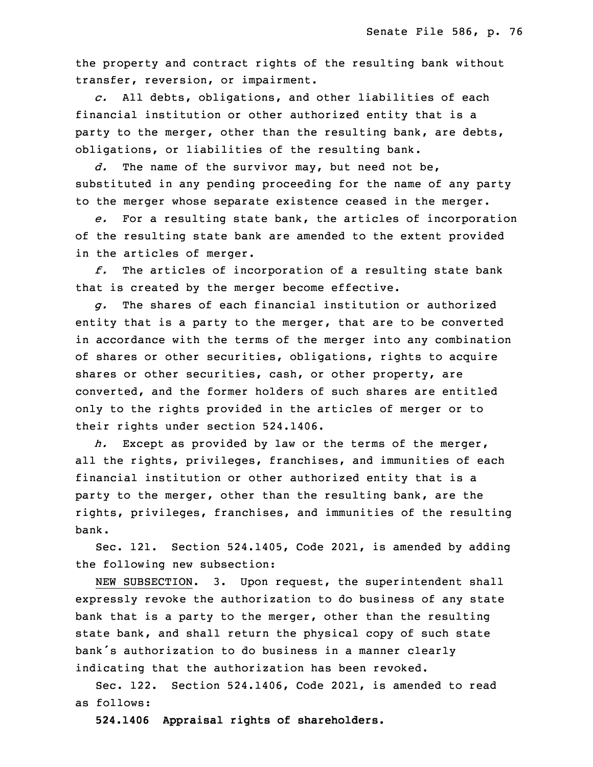the property and contract rights of the resulting bank without transfer, reversion, or impairment.

29 *c.* All debts, obligations, and other liabilities of each financial institution or other authorized entity that is a party to the merger, other than the resulting bank, are debts, obligations, or liabilities of the resulting bank.

d. The name of the survivor may, but need not be, substituted in any pending proceeding for the name of any party to the merger whose separate existence ceased in the merger.

 *e.* For <sup>a</sup> resulting state bank, the articles of incorporation of the resulting state bank are amended to the extent provided in the articles of merger.

 *f.* The articles of incorporation of <sup>a</sup> resulting state bank that is created by the merger become effective.

6 *g.* The shares of each financial institution or authorized entity that is a party to the merger, that are to be converted in accordance with the terms of the merger into any combination of shares or other securities, obligations, rights to acquire shares or other securities, cash, or other property, are converted, and the former holders of such shares are entitled only to the rights provided in the articles of merger or to their rights under section 524.1406.

 *h.* Except as provided by law or the terms of the merger, all the rights, privileges, franchises, and immunities of each financial institution or other authorized entity that is a party to the merger, other than the resulting bank, are the rights, privileges, franchises, and immunities of the resulting hank.

Sec. 121. Section 524.1405, Code 2021, is amended by adding the following new subsection:

 NEW SUBSECTION. 3. Upon request, the superintendent shall expressly revoke the authorization to do business of any state bank that is <sup>a</sup> party to the merger, other than the resulting state bank, and shall return the physical copy of such state bank's authorization to do business in a manner clearly indicating that the authorization has been revoked.

Sec. 122. Section 524.1406, Code 2021, is amended to read as follows:

30 **524.1406 Appraisal rights of shareholders.**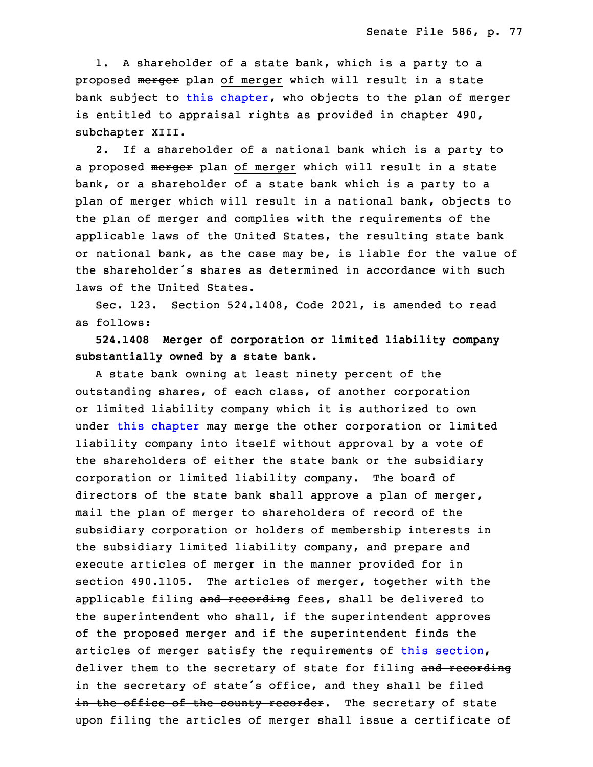1. A shareholder of a state bank, which is a party to a proposed merger plan of merger which will result in a state bank subject to this [chapter](https://www.legis.iowa.gov/docs/code/2022/524.pdf), who objects to the plan of merger is entitled to appraisal rights as provided in chapter  $490$ , subchapter XIII.

 2. If <sup>a</sup> shareholder of <sup>a</sup> national bank which is <sup>a</sup> party to a proposed merger plan of merger which will result in a state bank, or a shareholder of a state bank which is a party to a plan of merger which will result in <sup>a</sup> national bank, objects to the plan of merger and complies with the requirements of the applicable laws of the United States, the resulting state bank or national bank, as the case may be, is liable for the value of the shareholder's shares as determined in accordance with such laws of the United States.

Sec. 123. Section 524.1408, Code 2021, is amended to read as follows:

 **524.1408 Merger of corporation or limited liability company** 13 **substantially owned by <sup>a</sup> state bank.**

 <sup>A</sup> state bank owning at least ninety percent of the outstanding shares, of each class, of another corporation or limited liability company which it is authorized to own under this [chapter](https://www.legis.iowa.gov/docs/code/2022/524.pdf) may merge the other corporation or limited liability company into itself without approval by a vote of the shareholders of either the state bank or the subsidiary corporation or limited liability company. The board of directors of the state bank shall approve <sup>a</sup> plan of merger, mail the plan of merger to shareholders of record of the subsidiary corporation or holders of membership interests in the subsidiary limited liability company, and prepare and execute articles of merger in the manner provided for in section 490.1105. The articles of merger, together with the applicable filing and recording fees, shall be delivered to the superintendent who shall, if the superintendent approves of the proposed merger and if the superintendent finds the articles of merger satisfy the requirements of this [section](https://www.legis.iowa.gov/docs/code/2022/524.1408.pdf), deliver them to the secretary of state for filing and recording in the secretary of state's office<del>, and they shall be filed</del> in the office of the county recorder. The secretary of state upon filing the articles of merger shall issue a certificate of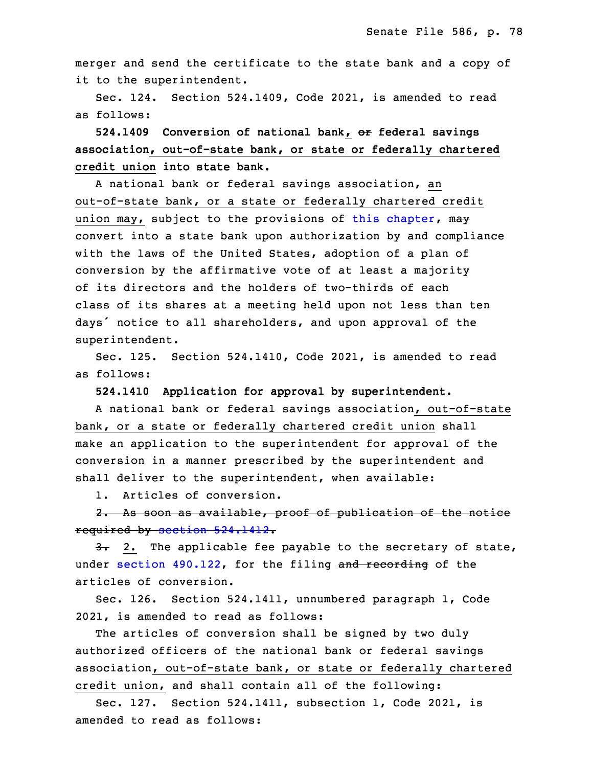merger and send the certificate to the state bank and a copy of it to the superintendent.

 Sec. 124. Section 524.1409, Code 2021, is amended to read as follows:

 **524.1409 Conversion of national bank, or federal savings** 5 **association, out-of-state bank, or state or federally chartered** 6 **credit union into state bank.**

A national bank or federal savings association, an out-of-state bank, or a state or federally chartered credit union may, subject to the provisions of this [chapter](https://www.legis.iowa.gov/docs/code/2022/524.pdf), may convert into a state bank upon authorization by and compliance with the laws of the United States, adoption of <sup>a</sup> plan of conversion by the affirmative vote of at least <sup>a</sup> majority of its directors and the holders of two-thirds of each class of its shares at <sup>a</sup> meeting held upon not less than ten days' notice to all shareholders, and upon approval of the superintendent.

Sec. 125. Section 524.1410, Code 2021, is amended to read as follows:

19 **524.1410 Application for approval by superintendent.**

A national bank or federal savings association, out-of-state bank, or <sup>a</sup> state or federally chartered credit union shall make an application to the superintendent for approval of the conversion in a manner prescribed by the superintendent and shall deliver to the superintendent, when available:

1. Articles of conversion.

2. As soon as available, proof of publication of the notice required by section [524.1412](https://www.legis.iowa.gov/docs/code/2022/524.1412.pdf).

 $3.2.$  The applicable fee payable to the secretary of state, under section [490.122](https://www.legis.iowa.gov/docs/code/2022/490.122.pdf), for the filing and recording of the articles of conversion.

Sec. 126. Section 524.1411, unnumbered paragraph 1, Code 2021, is amended to read as follows:

The articles of conversion shall be signed by two duly authorized officers of the national bank or federal savings association, out-of-state bank, or state or federally chartered credit union, and shall contain all of the following:

 Sec. 127. Section 524.1411, subsection 1, Code 2021, is amended to read as follows: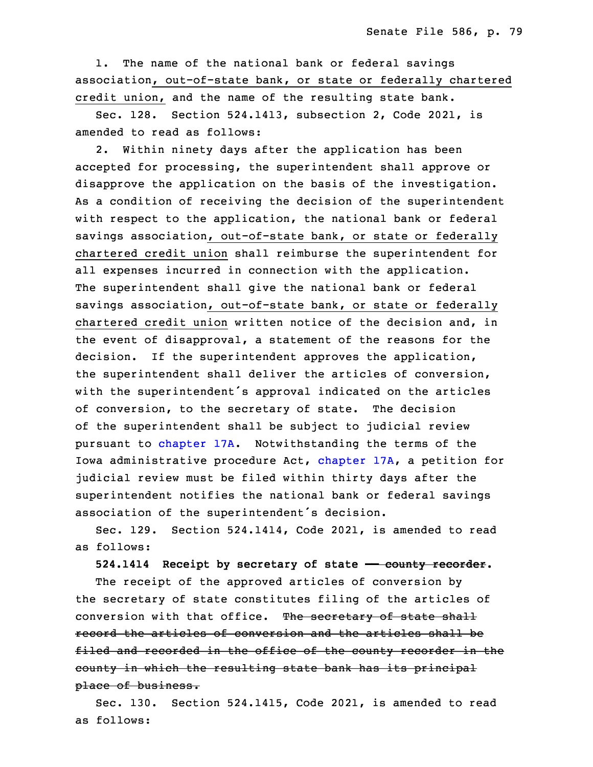1. The name of the national bank or federal savings association, out-of-state bank, or state or federally chartered credit union, and the name of the resulting state bank.

Sec. 128. Section 524.1413, subsection 2, Code 2021, is amended to read as follows:

2. Within ninety days after the application has been accepted for processing, the superintendent shall approve or disapprove the application on the basis of the investigation. As <sup>a</sup> condition of receiving the decision of the superintendent with respect to the application, the national bank or federal savings association, out-of-state bank, or state or federally chartered credit union shall reimburse the superintendent for all expenses incurred in connection with the application. The superintendent shall give the national bank or federal savings association, out-of-state bank, or state or federally chartered credit union written notice of the decision and, in the event of disapproval, a statement of the reasons for the decision. If the superintendent approves the application, the superintendent shall deliver the articles of conversion, with the superintendent's approval indicated on the articles of conversion, to the secretary of state. The decision of the superintendent shall be subject to judicial review pursuant to [chapter](https://www.legis.iowa.gov/docs/code/2022/17A.pdf) 17A. Notwithstanding the terms of the Iowa administrative procedure Act, [chapter](https://www.legis.iowa.gov/docs/code/2022/17A.pdf) 17A, a petition for judicial review must be filed within thirty days after the superintendent notifies the national bank or federal savings association of the superintendent's decision.

Sec. 129. Section 524.1414, Code 2021, is amended to read as follows:

33 **524.1414 Receipt by secretary of state —— county recorder.**

The receipt of the approved articles of conversion by the secretary of state constitutes filing of the articles of conversion with that office. The secretary of state shall record the articles of conversion and the articles shall be filed and recorded in the office of the county recorder in the county in which the resulting state bank has its principal place of business.

Sec. 130. Section 524.1415, Code 2021, is amended to read as follows: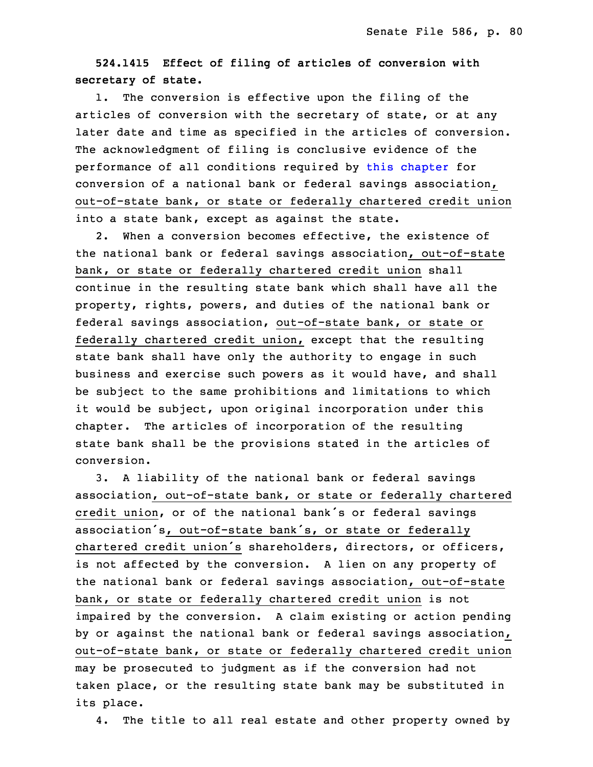## 8 **524.1415 Effect of filing of articles of conversion with** 9 **secretary of state.**

1. The conversion is effective upon the filing of the articles of conversion with the secretary of state, or at any later date and time as specified in the articles of conversion. The acknowledgment of filing is conclusive evidence of the performance of all conditions required by this [chapter](https://www.legis.iowa.gov/docs/code/2022/524.pdf) for conversion of a national bank or federal savings association, out-of-state bank, or state or federally chartered credit union into a state bank, except as against the state.

2. When a conversion becomes effective, the existence of the national bank or federal savings association, out-of-state bank, or state or federally chartered credit union shall continue in the resulting state bank which shall have all the property, rights, powers, and duties of the national bank or federal savings association, out-of-state bank, or state or federally chartered credit union, except that the resulting state bank shall have only the authority to engage in such business and exercise such powers as it would have, and shall be subject to the same prohibitions and limitations to which it would be subject, upon original incorporation under this chapter. The articles of incorporation of the resulting state bank shall be the provisions stated in the articles of conversion.

3. A liability of the national bank or federal savings association, out-of-state bank, or state or federally chartered credit union, or of the national bank's or federal savings association's, out-of-state bank's, or state or federally chartered credit union's shareholders, directors, or officers, is not affected by the conversion. <sup>A</sup> lien on any property of the national bank or federal savings association, out-of-state bank, or state or federally chartered credit union is not impaired by the conversion. A claim existing or action pending by or against the national bank or federal savings association, out-of-state bank, or state or federally chartered credit union may be prosecuted to judgment as if the conversion had not taken place, or the resulting state bank may be substituted in its place.

4. The title to all real estate and other property owned by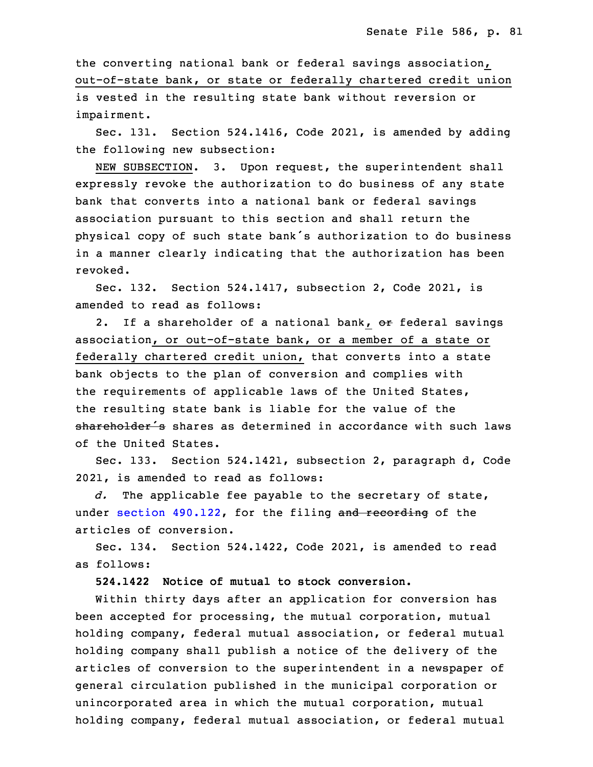the converting national bank or federal savings association, out-of-state bank, or state or federally chartered credit union is vested in the resulting state bank without reversion or impairment.

Sec. 131. Section 524.1416, Code 2021, is amended by adding the following new subsection:

NEW SUBSECTION. 3. Upon request, the superintendent shall expressly revoke the authorization to do business of any state bank that converts into a national bank or federal savings association pursuant to this section and shall return the physical copy of such state bank's authorization to do business in a manner clearly indicating that the authorization has been revoked.

Sec. 132. Section 524.1417, subsection 2, Code 2021, is amended to read as follows:

2. If a shareholder of a national bank, or federal savings association, or out-of-state bank, or a member of a state or federally chartered credit union, that converts into a state bank objects to the plan of conversion and complies with the requirements of applicable laws of the United States, the resulting state bank is liable for the value of the shareholder's shares as determined in accordance with such laws of the United States.

Sec. 133. Section 524.1421, subsection 2, paragraph d, Code 2021, is amended to read as follows:

 *d.* The applicable fee payable to the secretary of state, under section [490.122](https://www.legis.iowa.gov/docs/code/2022/490.122.pdf), for the filing and recording of the articles of conversion.

5 Sec. 134. Section 524.1422, Code 2021, is amended to read as follows:

7 **524.1422 Notice of mutual to stock conversion.**

Within thirty days after an application for conversion has been accepted for processing, the mutual corporation, mutual holding company, federal mutual association, or federal mutual holding company shall publish <sup>a</sup> notice of the delivery of the articles of conversion to the superintendent in <sup>a</sup> newspaper of general circulation published in the municipal corporation or unincorporated area in which the mutual corporation, mutual holding company, federal mutual association, or federal mutual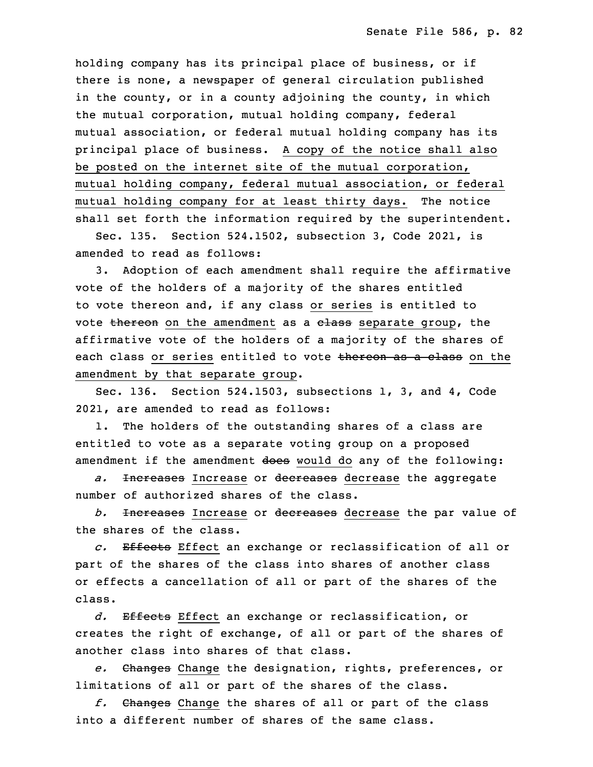holding company has its principal place of business, or if there is none, a newspaper of general circulation published in the county, or in a county adjoining the county, in which the mutual corporation, mutual holding company, federal mutual association, or federal mutual holding company has its principal place of business. <sup>A</sup> copy of the notice shall also be posted on the internet site of the mutual corporation, mutual holding company, federal mutual association, or federal mutual holding company for at least thirty days. The notice shall set forth the information required by the superintendent.

26 Sec. 135. Section 524.1502, subsection 3, Code 2021, is amended to read as follows:

3. Adoption of each amendment shall require the affirmative vote of the holders of a majority of the shares entitled to vote thereon and, if any class or series is entitled to vote thereon on the amendment as a class separate group, the affirmative vote of the holders of a majority of the shares of each class or series entitled to vote thereon as a class on the amendment by that separate group.

Sec. 136. Section 524.1503, subsections 1, 3, and 4, Code 2021, are amended to read as follows:

 1. The holders of the outstanding shares of <sup>a</sup> class are entitled to vote as a separate voting group on a proposed amendment if the amendment does would do any of the following:

5 *a.* Increases Increase or decreases decrease the aggregate number of authorized shares of the class.

b. <del>Increases</del> Increase or decreases decrease the par value of the shares of the class.

9 *c.* Effects Effect an exchange or reclassification of all or part of the shares of the class into shares of another class or effects <sup>a</sup> cancellation of all or part of the shares of the class.

13 *d.* Effects Effect an exchange or reclassification, or creates the right of exchange, of all or part of the shares of another class into shares of that class.

16 *e.* Changes Change the designation, rights, preferences, or limitations of all or part of the shares of the class.

18 *f.* Changes Change the shares of all or part of the class into a different number of shares of the same class.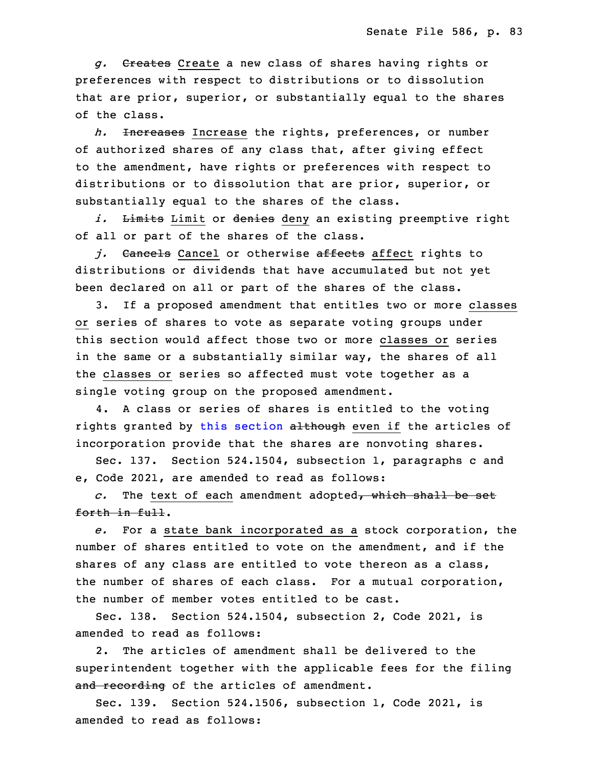g. Creates Create a new class of shares having rights or preferences with respect to distributions or to dissolution that are prior, superior, or substantially equal to the shares of the class.

 *h.* Increases Increase the rights, preferences, or number of authorized shares of any class that, after giving effect 26 to the amendment, have rights or preferences with respect to distributions or to dissolution that are prior, superior, or substantially equal to the shares of the class.

i. Limits Limit or denies deny an existing preemptive right of all or part of the shares of the class.

31 *j.* Cancels Cancel or otherwise affects affect rights to distributions or dividends that have accumulated but not yet been declared on all or part of the shares of the class.

3. If a proposed amendment that entitles two or more classes or series of shares to vote as separate voting groups under this section would affect those two or more classes or series in the same or <sup>a</sup> substantially similar way, the shares of all the classes or series so affected must vote together as a single voting group on the proposed amendment.

4. A class or series of shares is entitled to the voting rights granted by this [section](https://www.legis.iowa.gov/docs/code/2022/524.1503.pdf) although even if the articles of incorporation provide that the shares are nonvoting shares.

8 Sec. 137. Section 524.1504, subsection 1, paragraphs <sup>c</sup> and e, Code 2021, are amended to read as follows:

10 *c.* The text of each amendment adopted, which shall be set forth in full.

 *e.* For <sup>a</sup> state bank incorporated as <sup>a</sup> stock corporation, the number of shares entitled to vote on the amendment, and if the shares of any class are entitled to vote thereon as <sup>a</sup> class, the number of shares of each class. For a mutual corporation, the number of member votes entitled to be cast.

Sec. 138. Section 524.1504, subsection 2, Code 2021, is amended to read as follows:

2. The articles of amendment shall be delivered to the superintendent together with the applicable fees for the filing and recording of the articles of amendment.

 Sec. 139. Section 524.1506, subsection 1, Code 2021, is amended to read as follows: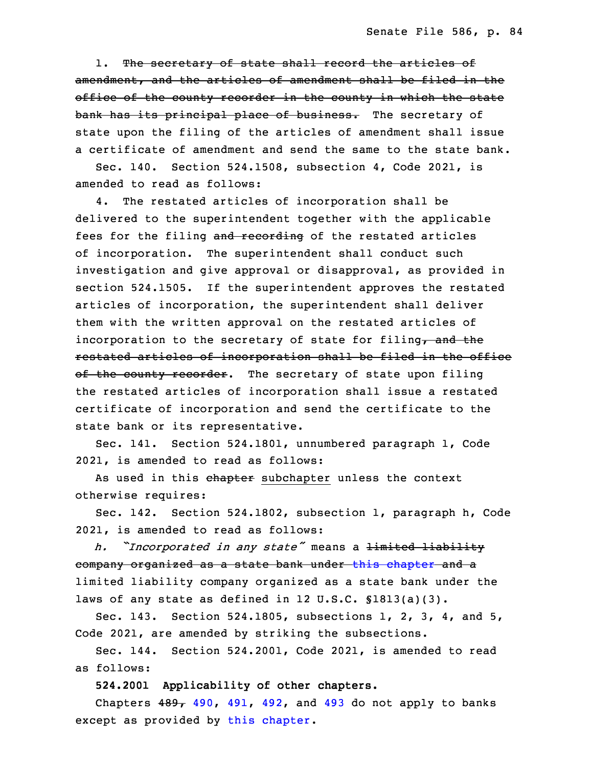1. The secretary of state shall record the articles of amendment, and the articles of amendment shall be filed in the office of the county recorder in the county in which the state bank has its principal place of business. The secretary of state upon the filing of the articles of amendment shall issue a certificate of amendment and send the same to the state bank.

Sec. 140. Section 524.1508, subsection 4, Code 2021, is amended to read as follows:

4. The restated articles of incorporation shall be delivered to the superintendent together with the applicable fees for the filing and recording of the restated articles of incorporation. The superintendent shall conduct such investigation and give approval or disapproval, as provided in section 524.1505. If the superintendent approves the restated articles of incorporation, the superintendent shall deliver them with the written approval on the restated articles of incorporation to the secretary of state for filing, and the restated articles of incorporation shall be filed in the office of the county recorder. The secretary of state upon filing the restated articles of incorporation shall issue a restated certificate of incorporation and send the certificate to the state bank or its representative.

 Sec. 141. Section 524.1801, unnumbered paragraph 1, Code 2021, is amended to read as follows:

As used in this chapter subchapter unless the context otherwise requires:

Sec. 142. Section 524.1802, subsection 1, paragraph h, Code 2021, is amended to read as follows:

<sup>17</sup> *h. "Incorporated in any state"* means <sup>a</sup> limited liability company organized as a state bank under this [chapter](https://www.legis.iowa.gov/docs/code/2022/524.pdf) and a limited liability company organized as a state bank under the laws of any state as defined in 12 U.S.C.  $$1813(a)(3)$ .

 Sec. 143. Section 524.1805, subsections 1, 2, 3, 4, and 5, Code 2021, are amended by striking the subsections.

Sec. 144. Section 524.2001, Code 2021, is amended to read as follows:

25 **524.2001 Applicability of other chapters.**

Chapters  $489 - 490$  $489 - 490$ ,  $491$ ,  $492$ , and  $493$  do not apply to banks except as provided by this [chapter](https://www.legis.iowa.gov/docs/code/2022/524.pdf).